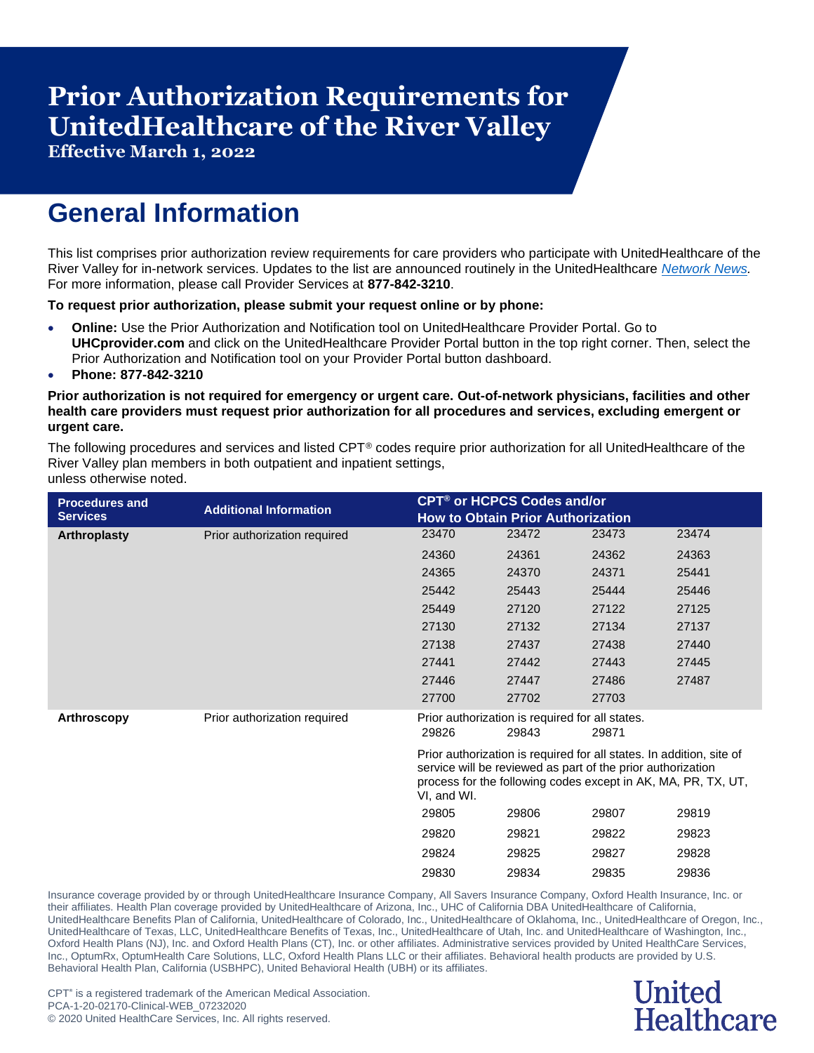# **Prior Authorization Requirements for UnitedHealthcare of the River Valley**

**Effective March 1, 2022**

## **General Information**

This list comprises prior authorization review requirements for care providers who participate with UnitedHealthcare of the River Valley for in-network services. Updates to the list are announced routinely in the UnitedHealthcare *[Network News.](https://www.uhcprovider.com/en/resource-library/news.html)* For more information, please call Provider Services at **877-842-3210**.

#### **To request prior authorization, please submit your request online or by phone:**

- **Online:** Use the Prior Authorization and Notification tool on UnitedHealthcare Provider Portal. Go to **UHCprovider.com** and click on the UnitedHealthcare Provider Portal button in the top right corner. Then, select the Prior Authorization and Notification tool on your Provider Portal button dashboard.
- **Phone: 877-842-3210**

#### **Prior authorization is not required for emergency or urgent care. Out-of-network physicians, facilities and other health care providers must request prior authorization for all procedures and services, excluding emergent or urgent care.**

The following procedures and services and listed CPT® codes require prior authorization for all UnitedHealthcare of the River Valley plan members in both outpatient and inpatient settings, unless otherwise noted.

| <b>Procedures and</b><br><b>Services</b> | <b>Additional Information</b> | <b>CPT<sup>®</sup> or HCPCS Codes and/or</b><br><b>How to Obtain Prior Authorization</b>                                                                                                                            |                                                          |       |       |  |
|------------------------------------------|-------------------------------|---------------------------------------------------------------------------------------------------------------------------------------------------------------------------------------------------------------------|----------------------------------------------------------|-------|-------|--|
| <b>Arthroplasty</b>                      | Prior authorization required  | 23470                                                                                                                                                                                                               | 23472                                                    | 23473 | 23474 |  |
|                                          |                               | 24360                                                                                                                                                                                                               | 24361                                                    | 24362 | 24363 |  |
|                                          |                               | 24365                                                                                                                                                                                                               | 24370                                                    | 24371 | 25441 |  |
|                                          |                               | 25442                                                                                                                                                                                                               | 25443                                                    | 25444 | 25446 |  |
|                                          |                               | 25449                                                                                                                                                                                                               | 27120                                                    | 27122 | 27125 |  |
|                                          |                               | 27130                                                                                                                                                                                                               | 27132                                                    | 27134 | 27137 |  |
|                                          |                               | 27138                                                                                                                                                                                                               | 27437                                                    | 27438 | 27440 |  |
|                                          |                               | 27441                                                                                                                                                                                                               | 27442                                                    | 27443 | 27445 |  |
|                                          |                               | 27446                                                                                                                                                                                                               | 27447                                                    | 27486 | 27487 |  |
|                                          |                               | 27700                                                                                                                                                                                                               | 27702                                                    | 27703 |       |  |
| <b>Arthroscopy</b>                       | Prior authorization required  | 29826                                                                                                                                                                                                               | Prior authorization is required for all states.<br>29843 | 29871 |       |  |
|                                          |                               | Prior authorization is required for all states. In addition, site of<br>service will be reviewed as part of the prior authorization<br>process for the following codes except in AK, MA, PR, TX, UT,<br>VI, and WI. |                                                          |       |       |  |
|                                          |                               | 29805                                                                                                                                                                                                               | 29806                                                    | 29807 | 29819 |  |
|                                          |                               | 29820                                                                                                                                                                                                               | 29821                                                    | 29822 | 29823 |  |
|                                          |                               | 29824                                                                                                                                                                                                               | 29825                                                    | 29827 | 29828 |  |
|                                          |                               | 29830                                                                                                                                                                                                               | 29834                                                    | 29835 | 29836 |  |

Insurance coverage provided by or through UnitedHealthcare Insurance Company, All Savers Insurance Company, Oxford Health Insurance, Inc. or their affiliates. Health Plan coverage provided by UnitedHealthcare of Arizona, Inc., UHC of California DBA UnitedHealthcare of California, UnitedHealthcare Benefits Plan of California, UnitedHealthcare of Colorado, Inc., UnitedHealthcare of Oklahoma, Inc., UnitedHealthcare of Oregon, Inc., UnitedHealthcare of Texas, LLC, UnitedHealthcare Benefits of Texas, Inc., UnitedHealthcare of Utah, Inc. and UnitedHealthcare of Washington, Inc., Oxford Health Plans (NJ), Inc. and Oxford Health Plans (CT), Inc. or other affiliates. Administrative services provided by United HealthCare Services, Inc., OptumRx, OptumHealth Care Solutions, LLC, Oxford Health Plans LLC or their affiliates. Behavioral health products are provided by U.S. Behavioral Health Plan, California (USBHPC), United Behavioral Health (UBH) or its affiliates.

#### **United Healthcare**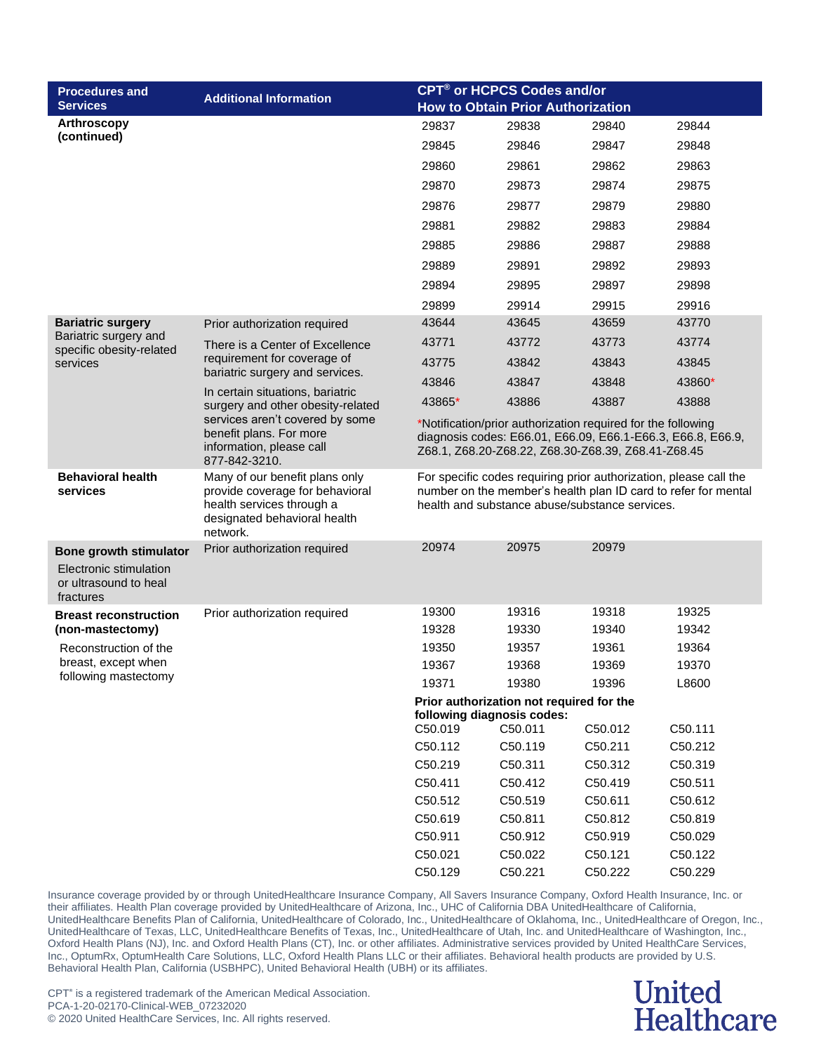| <b>Procedures and</b>                                        | <b>Additional Information</b>                                                                                                              | <b>CPT<sup>®</sup> or HCPCS Codes and/or</b>                                                                      |                                                                        |                                                |                                                                                                                                     |  |
|--------------------------------------------------------------|--------------------------------------------------------------------------------------------------------------------------------------------|-------------------------------------------------------------------------------------------------------------------|------------------------------------------------------------------------|------------------------------------------------|-------------------------------------------------------------------------------------------------------------------------------------|--|
| <b>Services</b>                                              |                                                                                                                                            | <b>How to Obtain Prior Authorization</b>                                                                          |                                                                        |                                                |                                                                                                                                     |  |
| Arthroscopy                                                  |                                                                                                                                            | 29837                                                                                                             | 29838                                                                  | 29840                                          | 29844                                                                                                                               |  |
| (continued)                                                  |                                                                                                                                            | 29845                                                                                                             | 29846                                                                  | 29847                                          | 29848                                                                                                                               |  |
|                                                              |                                                                                                                                            | 29860                                                                                                             | 29861                                                                  | 29862                                          | 29863                                                                                                                               |  |
|                                                              |                                                                                                                                            | 29870                                                                                                             | 29873                                                                  | 29874                                          | 29875                                                                                                                               |  |
|                                                              |                                                                                                                                            | 29876                                                                                                             | 29877                                                                  | 29879                                          | 29880                                                                                                                               |  |
|                                                              |                                                                                                                                            | 29881                                                                                                             | 29882                                                                  | 29883                                          | 29884                                                                                                                               |  |
|                                                              |                                                                                                                                            | 29885                                                                                                             | 29886                                                                  | 29887                                          | 29888                                                                                                                               |  |
|                                                              |                                                                                                                                            | 29889                                                                                                             | 29891                                                                  | 29892                                          | 29893                                                                                                                               |  |
|                                                              |                                                                                                                                            | 29894                                                                                                             | 29895                                                                  | 29897                                          | 29898                                                                                                                               |  |
|                                                              |                                                                                                                                            | 29899                                                                                                             | 29914                                                                  | 29915                                          | 29916                                                                                                                               |  |
| <b>Bariatric surgery</b>                                     | Prior authorization required                                                                                                               | 43644                                                                                                             | 43645                                                                  | 43659                                          | 43770                                                                                                                               |  |
| Bariatric surgery and                                        | There is a Center of Excellence                                                                                                            | 43771                                                                                                             | 43772                                                                  | 43773                                          | 43774                                                                                                                               |  |
| specific obesity-related<br>services                         | requirement for coverage of                                                                                                                | 43775                                                                                                             | 43842                                                                  | 43843                                          | 43845                                                                                                                               |  |
|                                                              | bariatric surgery and services.                                                                                                            | 43846                                                                                                             | 43847                                                                  | 43848                                          | 43860*                                                                                                                              |  |
|                                                              | In certain situations, bariatric<br>surgery and other obesity-related                                                                      | 43865*                                                                                                            | 43886                                                                  | 43887                                          | 43888                                                                                                                               |  |
|                                                              | services aren't covered by some                                                                                                            | *Notification/prior authorization required for the following                                                      |                                                                        |                                                |                                                                                                                                     |  |
|                                                              | benefit plans. For more<br>information, please call                                                                                        | diagnosis codes: E66.01, E66.09, E66.1-E66.3, E66.8, E66.9,<br>Z68.1, Z68.20-Z68.22, Z68.30-Z68.39, Z68.41-Z68.45 |                                                                        |                                                |                                                                                                                                     |  |
|                                                              | 877-842-3210.                                                                                                                              |                                                                                                                   |                                                                        |                                                |                                                                                                                                     |  |
| <b>Behavioral health</b><br>services                         | Many of our benefit plans only<br>provide coverage for behavioral<br>health services through a<br>designated behavioral health<br>network. |                                                                                                                   |                                                                        | health and substance abuse/substance services. | For specific codes requiring prior authorization, please call the<br>number on the member's health plan ID card to refer for mental |  |
| <b>Bone growth stimulator</b>                                | Prior authorization required                                                                                                               | 20974                                                                                                             | 20975                                                                  | 20979                                          |                                                                                                                                     |  |
| Electronic stimulation<br>or ultrasound to heal<br>fractures |                                                                                                                                            |                                                                                                                   |                                                                        |                                                |                                                                                                                                     |  |
| <b>Breast reconstruction</b>                                 | Prior authorization required                                                                                                               | 19300                                                                                                             | 19316                                                                  | 19318                                          | 19325                                                                                                                               |  |
| (non-mastectomy)                                             |                                                                                                                                            | 19328                                                                                                             | 19330                                                                  | 19340                                          | 19342                                                                                                                               |  |
| Reconstruction of the                                        |                                                                                                                                            | 19350                                                                                                             | 19357                                                                  | 19361                                          | 19364                                                                                                                               |  |
| breast, except when<br>following mastectomy                  |                                                                                                                                            | 19367                                                                                                             | 19368                                                                  | 19369                                          | 19370                                                                                                                               |  |
|                                                              |                                                                                                                                            | 19371                                                                                                             | 19380                                                                  | 19396                                          | L8600                                                                                                                               |  |
|                                                              |                                                                                                                                            |                                                                                                                   | Prior authorization not required for the<br>following diagnosis codes: |                                                |                                                                                                                                     |  |
|                                                              |                                                                                                                                            | C50.019                                                                                                           | C50.011                                                                | C50.012                                        | C50.111                                                                                                                             |  |
|                                                              |                                                                                                                                            | C50.112                                                                                                           | C50.119                                                                | C50.211                                        | C50.212                                                                                                                             |  |
|                                                              |                                                                                                                                            | C50.219                                                                                                           | C50.311                                                                | C50.312                                        | C50.319                                                                                                                             |  |
|                                                              |                                                                                                                                            | C50.411                                                                                                           | C50.412                                                                | C50.419                                        | C50.511                                                                                                                             |  |
|                                                              |                                                                                                                                            | C50.512                                                                                                           | C50.519                                                                | C50.611                                        | C50.612                                                                                                                             |  |
|                                                              |                                                                                                                                            | C50.619                                                                                                           | C50.811                                                                | C50.812                                        | C50.819                                                                                                                             |  |
|                                                              |                                                                                                                                            | C50.911                                                                                                           | C50.912                                                                | C50.919                                        | C50.029                                                                                                                             |  |
|                                                              |                                                                                                                                            | C50.021                                                                                                           | C50.022                                                                | C50.121                                        | C50.122                                                                                                                             |  |
|                                                              |                                                                                                                                            | C50.129                                                                                                           | C50.221                                                                | C50.222                                        | C50.229                                                                                                                             |  |

### **United Healthcare**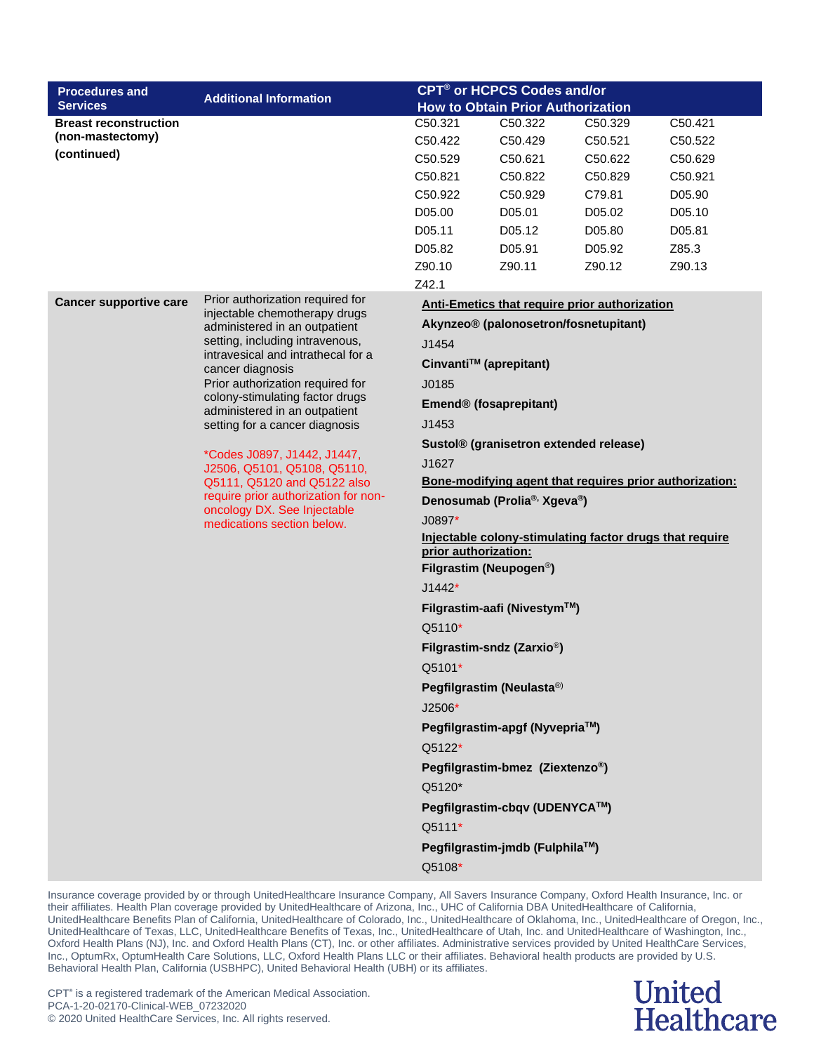| <b>Procedures and</b>         | <b>Additional Information</b>                                                                                                                                    |                                                         | CPT <sup>®</sup> or HCPCS Codes and/or                  |         |         |  |
|-------------------------------|------------------------------------------------------------------------------------------------------------------------------------------------------------------|---------------------------------------------------------|---------------------------------------------------------|---------|---------|--|
| <b>Services</b>               |                                                                                                                                                                  | <b>How to Obtain Prior Authorization</b>                |                                                         |         |         |  |
| <b>Breast reconstruction</b>  |                                                                                                                                                                  | C50.321                                                 | C50.322                                                 | C50.329 | C50.421 |  |
| (non-mastectomy)              |                                                                                                                                                                  | C50.422                                                 | C50.429                                                 | C50.521 | C50.522 |  |
| (continued)                   |                                                                                                                                                                  | C50.529                                                 | C50.621                                                 | C50.622 | C50.629 |  |
|                               |                                                                                                                                                                  | C50.821                                                 | C50.822                                                 | C50.829 | C50.921 |  |
|                               |                                                                                                                                                                  | C50.922                                                 | C50.929                                                 | C79.81  | D05.90  |  |
|                               |                                                                                                                                                                  | D05.00                                                  | D05.01                                                  | D05.02  | D05.10  |  |
|                               |                                                                                                                                                                  | D05.11                                                  | D05.12                                                  | D05.80  | D05.81  |  |
|                               |                                                                                                                                                                  | D05.82                                                  | D05.91                                                  | D05.92  | Z85.3   |  |
|                               |                                                                                                                                                                  | Z90.10                                                  | Z90.11                                                  | Z90.12  | Z90.13  |  |
| <b>Cancer supportive care</b> | Prior authorization required for                                                                                                                                 | Z42.1                                                   | <b>Anti-Emetics that require prior authorization</b>    |         |         |  |
|                               | injectable chemotherapy drugs                                                                                                                                    |                                                         | Akynzeo® (palonosetron/fosnetupitant)                   |         |         |  |
|                               | administered in an outpatient<br>setting, including intravenous,<br>intravesical and intrathecal for a<br>cancer diagnosis                                       | J1454                                                   |                                                         |         |         |  |
|                               |                                                                                                                                                                  |                                                         | Cinvanti™ (aprepitant)                                  |         |         |  |
|                               | Prior authorization required for                                                                                                                                 | J0185                                                   |                                                         |         |         |  |
|                               | colony-stimulating factor drugs<br>administered in an outpatient<br>setting for a cancer diagnosis<br>*Codes J0897, J1442, J1447,<br>J2506, Q5101, Q5108, Q5110, | Emend® (fosaprepitant)                                  |                                                         |         |         |  |
|                               |                                                                                                                                                                  | J1453                                                   |                                                         |         |         |  |
|                               |                                                                                                                                                                  | Sustol® (granisetron extended release)                  |                                                         |         |         |  |
|                               |                                                                                                                                                                  | J1627                                                   |                                                         |         |         |  |
|                               | Q5111, Q5120 and Q5122 also                                                                                                                                      | Bone-modifying agent that requires prior authorization: |                                                         |         |         |  |
|                               | require prior authorization for non-<br>oncology DX. See Injectable                                                                                              | Denosumab (Prolia®, Xgeva®)                             |                                                         |         |         |  |
|                               | medications section below.                                                                                                                                       | $J0897*$                                                |                                                         |         |         |  |
|                               |                                                                                                                                                                  | prior authorization:                                    | Injectable colony-stimulating factor drugs that require |         |         |  |
|                               |                                                                                                                                                                  |                                                         | Filgrastim (Neupogen <sup>®</sup> )                     |         |         |  |
|                               |                                                                                                                                                                  | $J1442*$                                                |                                                         |         |         |  |
|                               |                                                                                                                                                                  |                                                         | Filgrastim-aafi (Nivestym™)                             |         |         |  |
|                               |                                                                                                                                                                  | Q5110*                                                  |                                                         |         |         |  |
|                               |                                                                                                                                                                  |                                                         | Filgrastim-sndz (Zarxio <sup>®</sup> )                  |         |         |  |
|                               |                                                                                                                                                                  | Q5101*                                                  |                                                         |         |         |  |
|                               |                                                                                                                                                                  |                                                         | Pegfilgrastim (Neulasta®)                               |         |         |  |
|                               |                                                                                                                                                                  | $J2506*$                                                |                                                         |         |         |  |
|                               |                                                                                                                                                                  | Pegfilgrastim-apgf (Nyvepria™)                          |                                                         |         |         |  |
|                               |                                                                                                                                                                  | Q5122*                                                  |                                                         |         |         |  |
|                               |                                                                                                                                                                  |                                                         | Pegfilgrastim-bmez (Ziextenzo®)                         |         |         |  |
|                               |                                                                                                                                                                  | Q5120*                                                  |                                                         |         |         |  |
|                               |                                                                                                                                                                  |                                                         | Pegfilgrastim-cbqv (UDENYCA™)                           |         |         |  |
|                               |                                                                                                                                                                  | Q5111*                                                  |                                                         |         |         |  |
|                               |                                                                                                                                                                  |                                                         | Pegfilgrastim-jmdb (Fulphila™)                          |         |         |  |
|                               |                                                                                                                                                                  | Q5108*                                                  |                                                         |         |         |  |

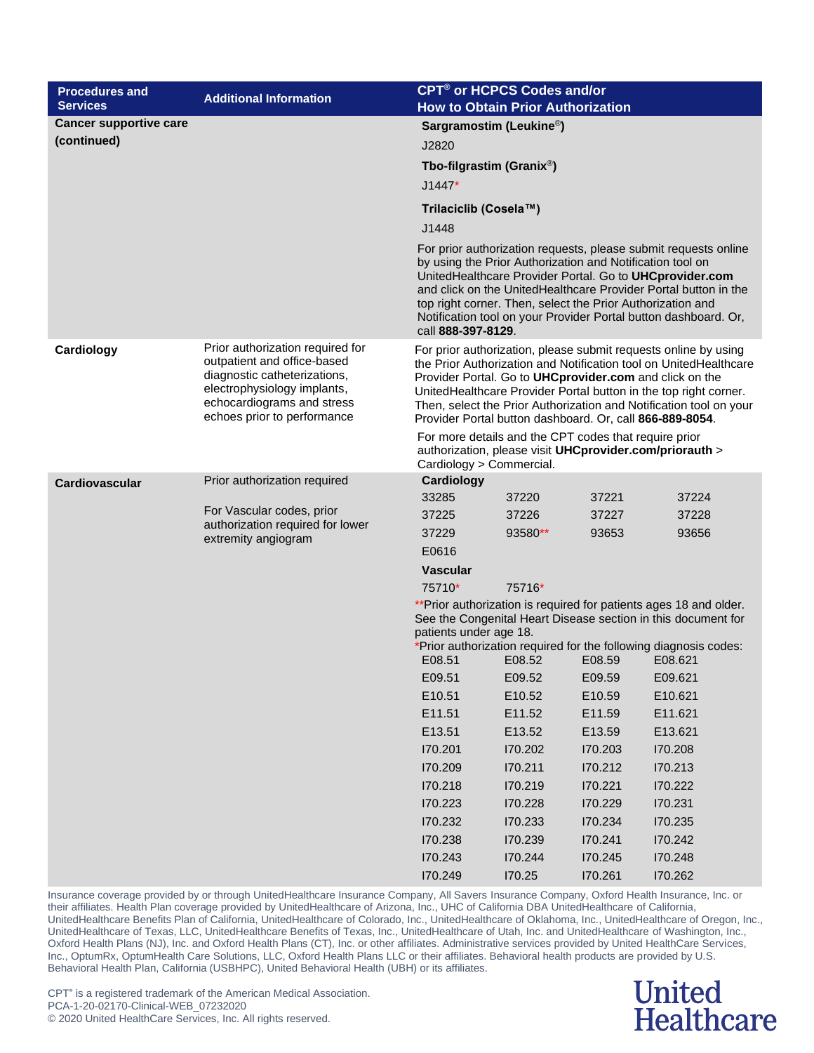| <b>Procedures and</b><br><b>Services</b> | <b>Additional Information</b>                                                                                                                                                                                                                                                                                                                                                                                     | <b>CPT<sup>®</sup> or HCPCS Codes and/or</b><br><b>How to Obtain Prior Authorization</b>                                                                                                                                                                                                                                                                                                              |         |         |         |  |
|------------------------------------------|-------------------------------------------------------------------------------------------------------------------------------------------------------------------------------------------------------------------------------------------------------------------------------------------------------------------------------------------------------------------------------------------------------------------|-------------------------------------------------------------------------------------------------------------------------------------------------------------------------------------------------------------------------------------------------------------------------------------------------------------------------------------------------------------------------------------------------------|---------|---------|---------|--|
| <b>Cancer supportive care</b>            |                                                                                                                                                                                                                                                                                                                                                                                                                   | Sargramostim (Leukine <sup>®</sup> )                                                                                                                                                                                                                                                                                                                                                                  |         |         |         |  |
| (continued)                              |                                                                                                                                                                                                                                                                                                                                                                                                                   | J2820                                                                                                                                                                                                                                                                                                                                                                                                 |         |         |         |  |
|                                          |                                                                                                                                                                                                                                                                                                                                                                                                                   | Tbo-filgrastim (Granix <sup>®</sup> )                                                                                                                                                                                                                                                                                                                                                                 |         |         |         |  |
|                                          |                                                                                                                                                                                                                                                                                                                                                                                                                   | $J1447*$                                                                                                                                                                                                                                                                                                                                                                                              |         |         |         |  |
|                                          |                                                                                                                                                                                                                                                                                                                                                                                                                   | Trilaciclib (Cosela™)                                                                                                                                                                                                                                                                                                                                                                                 |         |         |         |  |
|                                          |                                                                                                                                                                                                                                                                                                                                                                                                                   | J1448                                                                                                                                                                                                                                                                                                                                                                                                 |         |         |         |  |
|                                          | For prior authorization requests, please submit requests online<br>by using the Prior Authorization and Notification tool on<br>UnitedHealthcare Provider Portal. Go to UHCprovider.com<br>and click on the UnitedHealthcare Provider Portal button in the<br>top right corner. Then, select the Prior Authorization and<br>Notification tool on your Provider Portal button dashboard. Or,<br>call 888-397-8129. |                                                                                                                                                                                                                                                                                                                                                                                                       |         |         |         |  |
| Cardiology                               | Prior authorization required for<br>outpatient and office-based<br>diagnostic catheterizations,<br>electrophysiology implants,<br>echocardiograms and stress<br>echoes prior to performance                                                                                                                                                                                                                       | For prior authorization, please submit requests online by using<br>the Prior Authorization and Notification tool on UnitedHealthcare<br>Provider Portal. Go to UHCprovider.com and click on the<br>UnitedHealthcare Provider Portal button in the top right corner.<br>Then, select the Prior Authorization and Notification tool on your<br>Provider Portal button dashboard. Or, call 866-889-8054. |         |         |         |  |
|                                          |                                                                                                                                                                                                                                                                                                                                                                                                                   | For more details and the CPT codes that require prior<br>authorization, please visit UHCprovider.com/priorauth ><br>Cardiology > Commercial.                                                                                                                                                                                                                                                          |         |         |         |  |
| Cardiovascular                           | Prior authorization required                                                                                                                                                                                                                                                                                                                                                                                      | Cardiology                                                                                                                                                                                                                                                                                                                                                                                            |         |         |         |  |
|                                          |                                                                                                                                                                                                                                                                                                                                                                                                                   | 33285                                                                                                                                                                                                                                                                                                                                                                                                 | 37220   | 37221   | 37224   |  |
|                                          | For Vascular codes, prior<br>authorization required for lower                                                                                                                                                                                                                                                                                                                                                     | 37225                                                                                                                                                                                                                                                                                                                                                                                                 | 37226   | 37227   | 37228   |  |
|                                          | extremity angiogram                                                                                                                                                                                                                                                                                                                                                                                               | 37229<br>E0616                                                                                                                                                                                                                                                                                                                                                                                        | 93580** | 93653   | 93656   |  |
|                                          |                                                                                                                                                                                                                                                                                                                                                                                                                   | <b>Vascular</b>                                                                                                                                                                                                                                                                                                                                                                                       |         |         |         |  |
|                                          |                                                                                                                                                                                                                                                                                                                                                                                                                   | 75710*                                                                                                                                                                                                                                                                                                                                                                                                | 75716*  |         |         |  |
|                                          |                                                                                                                                                                                                                                                                                                                                                                                                                   | ** Prior authorization is required for patients ages 18 and older.<br>See the Congenital Heart Disease section in this document for<br>patients under age 18.<br>*Prior authorization required for the following diagnosis codes:<br>E08.51<br>E08.52<br>E08.621<br>E08.59                                                                                                                            |         |         |         |  |
|                                          |                                                                                                                                                                                                                                                                                                                                                                                                                   | E09.51                                                                                                                                                                                                                                                                                                                                                                                                | E09.52  | E09.59  | E09.621 |  |
|                                          |                                                                                                                                                                                                                                                                                                                                                                                                                   | E10.51                                                                                                                                                                                                                                                                                                                                                                                                | E10.52  | E10.59  | E10.621 |  |
|                                          |                                                                                                                                                                                                                                                                                                                                                                                                                   | E11.51                                                                                                                                                                                                                                                                                                                                                                                                | E11.52  | E11.59  | E11.621 |  |
|                                          |                                                                                                                                                                                                                                                                                                                                                                                                                   | E13.51                                                                                                                                                                                                                                                                                                                                                                                                | E13.52  | E13.59  | E13.621 |  |
|                                          |                                                                                                                                                                                                                                                                                                                                                                                                                   | 170.201                                                                                                                                                                                                                                                                                                                                                                                               | 170.202 | 170.203 | 170.208 |  |
|                                          |                                                                                                                                                                                                                                                                                                                                                                                                                   | 170.209                                                                                                                                                                                                                                                                                                                                                                                               | 170.211 | 170.212 | 170.213 |  |
|                                          |                                                                                                                                                                                                                                                                                                                                                                                                                   | 170.218                                                                                                                                                                                                                                                                                                                                                                                               | 170.219 | 170.221 | 170.222 |  |
|                                          |                                                                                                                                                                                                                                                                                                                                                                                                                   | 170.223                                                                                                                                                                                                                                                                                                                                                                                               | 170.228 | 170.229 | 170.231 |  |
|                                          |                                                                                                                                                                                                                                                                                                                                                                                                                   | 170.232                                                                                                                                                                                                                                                                                                                                                                                               | 170.233 | 170.234 | 170.235 |  |
|                                          |                                                                                                                                                                                                                                                                                                                                                                                                                   | 170.238                                                                                                                                                                                                                                                                                                                                                                                               | 170.239 | 170.241 | 170.242 |  |
|                                          |                                                                                                                                                                                                                                                                                                                                                                                                                   | 170.243                                                                                                                                                                                                                                                                                                                                                                                               | 170.244 | 170.245 | 170.248 |  |
|                                          |                                                                                                                                                                                                                                                                                                                                                                                                                   | 170.249                                                                                                                                                                                                                                                                                                                                                                                               | 170.25  | 170.261 | 170.262 |  |

#### **United** Healthcare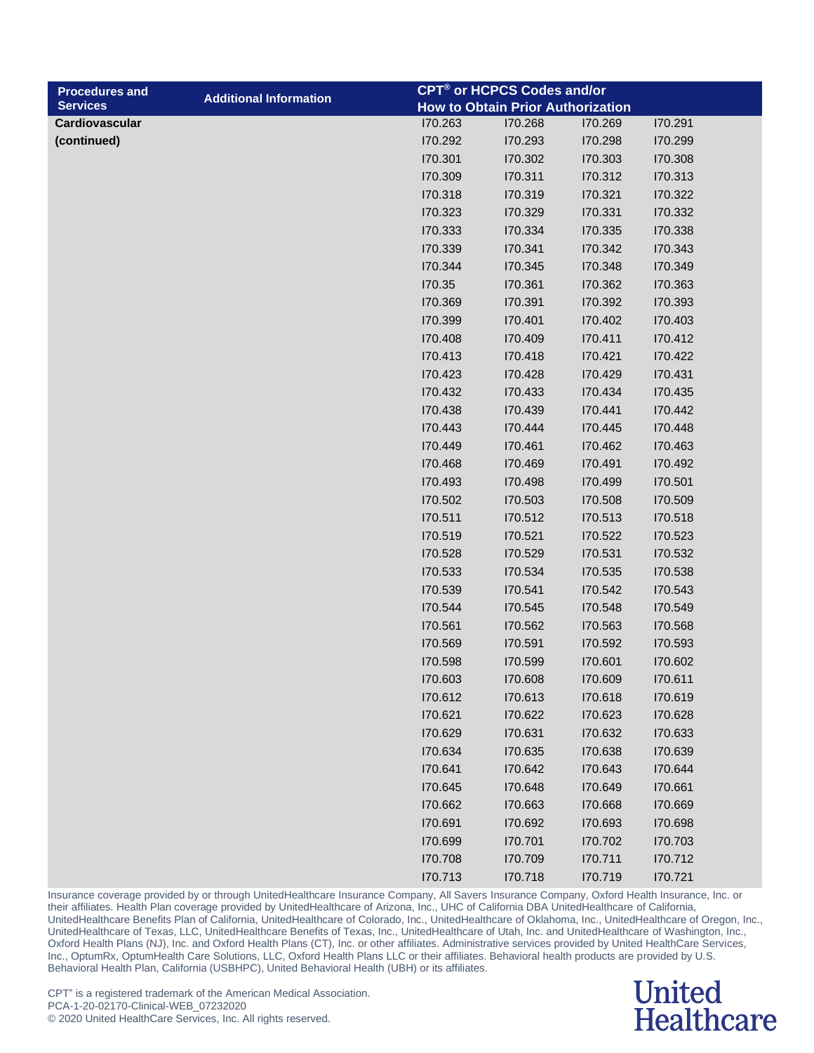| <b>Procedures and</b> |                               |         | CPT® or HCPCS Codes and/or               |         |         |
|-----------------------|-------------------------------|---------|------------------------------------------|---------|---------|
| <b>Services</b>       | <b>Additional Information</b> |         | <b>How to Obtain Prior Authorization</b> |         |         |
| Cardiovascular        |                               | 170.263 | 170.268                                  | 170.269 | 170.291 |
| (continued)           |                               | 170.292 | 170.293                                  | 170.298 | 170.299 |
|                       |                               | 170.301 | 170.302                                  | 170.303 | 170.308 |
|                       |                               | 170.309 | 170.311                                  | 170.312 | 170.313 |
|                       |                               | 170.318 | 170.319                                  | 170.321 | 170.322 |
|                       |                               | 170.323 | 170.329                                  | 170.331 | 170.332 |
|                       |                               | 170.333 | 170.334                                  | 170.335 | 170.338 |
|                       |                               | 170.339 | 170.341                                  | 170.342 | 170.343 |
|                       |                               | 170.344 | 170.345                                  | 170.348 | 170.349 |
|                       |                               | 170.35  | 170.361                                  | 170.362 | 170.363 |
|                       |                               | 170.369 | 170.391                                  | 170.392 | 170.393 |
|                       |                               | 170.399 | 170.401                                  | 170.402 | 170.403 |
|                       |                               | 170.408 | 170.409                                  | 170.411 | 170.412 |
|                       |                               | 170.413 | 170.418                                  | 170.421 | 170.422 |
|                       |                               | 170.423 | 170.428                                  | 170.429 | 170.431 |
|                       |                               | 170.432 | 170.433                                  | 170.434 | 170.435 |
|                       |                               | 170.438 | 170.439                                  | 170.441 | 170.442 |
|                       |                               | 170.443 | 170.444                                  | 170.445 | 170.448 |
|                       |                               | 170.449 | 170.461                                  | 170.462 | 170.463 |
|                       |                               | 170.468 | 170.469                                  | 170.491 | 170.492 |
|                       |                               | 170.493 | 170.498                                  | 170.499 | 170.501 |
|                       |                               | 170.502 | 170.503                                  | 170.508 | 170.509 |
|                       |                               | 170.511 | 170.512                                  | 170.513 | 170.518 |
|                       |                               | 170.519 | 170.521                                  | 170.522 | 170.523 |
|                       |                               | 170.528 | 170.529                                  | 170.531 | 170.532 |
|                       |                               | 170.533 | 170.534                                  | 170.535 | 170.538 |
|                       |                               | 170.539 | 170.541                                  | 170.542 | 170.543 |
|                       |                               | 170.544 | 170.545                                  | 170.548 | 170.549 |
|                       |                               | 170.561 | 170.562                                  | 170.563 | 170.568 |
|                       |                               | 170.569 | 170.591                                  | 170.592 | 170.593 |
|                       |                               | 170.598 | 170.599                                  | 170.601 | 170.602 |
|                       |                               | 170.603 | 170.608                                  | 170.609 | 170.611 |
|                       |                               | 170.612 | 170.613                                  | 170.618 | 170.619 |
|                       |                               | 170.621 | 170.622                                  | 170.623 | 170.628 |
|                       |                               | 170.629 | 170.631                                  | 170.632 | 170.633 |
|                       |                               | 170.634 | 170.635                                  | 170.638 | 170.639 |
|                       |                               | 170.641 | 170.642                                  | 170.643 | 170.644 |
|                       |                               | 170.645 | 170.648                                  | 170.649 | 170.661 |
|                       |                               | 170.662 | 170.663                                  | 170.668 | 170.669 |
|                       |                               | 170.691 | 170.692                                  | 170.693 | 170.698 |
|                       |                               | 170.699 | 170.701                                  | 170.702 | 170.703 |
|                       |                               | 170.708 | 170.709                                  | 170.711 | 170.712 |

I70.713 I70.718 I70.719 I70.721

Insurance coverage provided by or through UnitedHealthcare Insurance Company, All Savers Insurance Company, Oxford Health Insurance, Inc. or their affiliates. Health Plan coverage provided by UnitedHealthcare of Arizona, Inc., UHC of California DBA UnitedHealthcare of California, UnitedHealthcare Benefits Plan of California, UnitedHealthcare of Colorado, Inc., UnitedHealthcare of Oklahoma, Inc., UnitedHealthcare of Oregon, Inc., UnitedHealthcare of Texas, LLC, UnitedHealthcare Benefits of Texas, Inc., UnitedHealthcare of Utah, Inc. and UnitedHealthcare of Washington, Inc., Oxford Health Plans (NJ), Inc. and Oxford Health Plans (CT), Inc. or other affiliates. Administrative services provided by United HealthCare Services, Inc., OptumRx, OptumHealth Care Solutions, LLC, Oxford Health Plans LLC or their affiliates. Behavioral health products are provided by U.S. Behavioral Health Plan, California (USBHPC), United Behavioral Health (UBH) or its affiliates.

### **United Healthcare**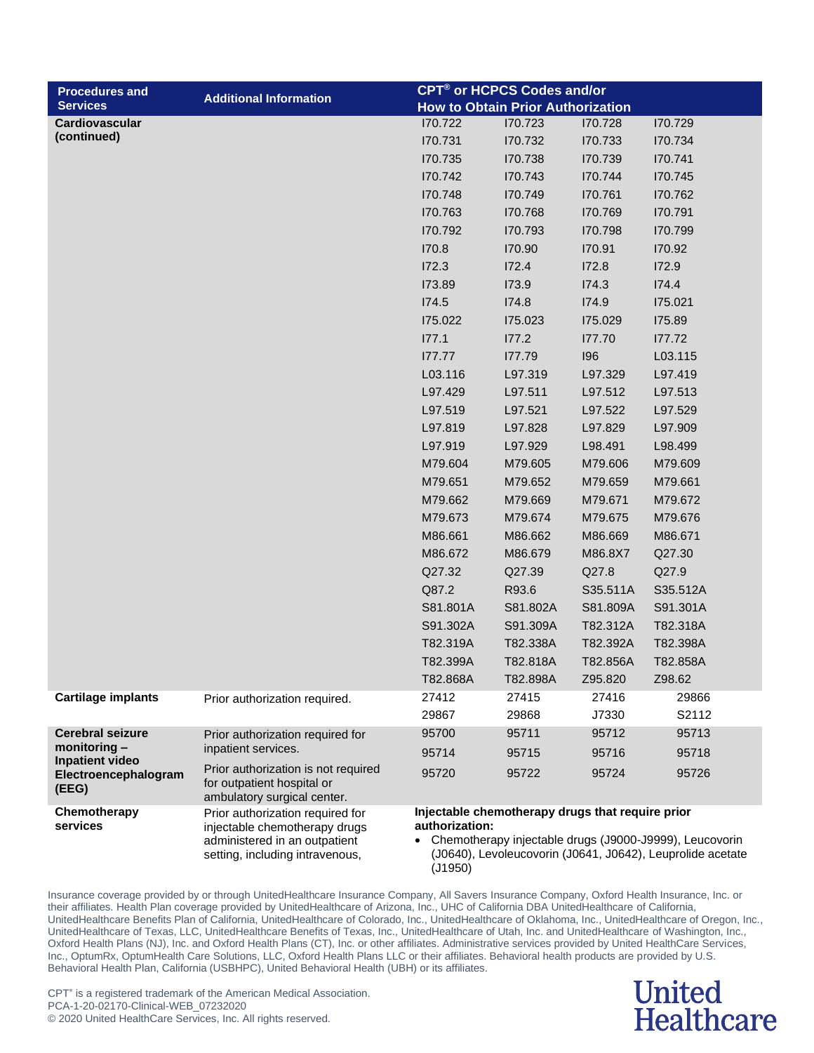| <b>Procedures and</b>                                   | <b>Additional Information</b>                                                                    | CPT <sup>®</sup> or HCPCS Codes and/or                                                                                             |          |          |          |
|---------------------------------------------------------|--------------------------------------------------------------------------------------------------|------------------------------------------------------------------------------------------------------------------------------------|----------|----------|----------|
| <b>Services</b>                                         |                                                                                                  | <b>How to Obtain Prior Authorization</b>                                                                                           |          |          |          |
| Cardiovascular                                          |                                                                                                  | 170.722                                                                                                                            | 170.723  | 170.728  | 170.729  |
| (continued)                                             |                                                                                                  | 170.731                                                                                                                            | 170.732  | 170.733  | 170.734  |
|                                                         |                                                                                                  | 170.735                                                                                                                            | 170.738  | 170.739  | 170.741  |
|                                                         |                                                                                                  | 170.742                                                                                                                            | 170.743  | 170.744  | 170.745  |
|                                                         |                                                                                                  | 170.748                                                                                                                            | 170.749  | 170.761  | 170.762  |
|                                                         |                                                                                                  | 170.763                                                                                                                            | 170.768  | 170.769  | 170.791  |
|                                                         |                                                                                                  | 170.792                                                                                                                            | 170.793  | 170.798  | 170.799  |
|                                                         |                                                                                                  | 170.8                                                                                                                              | 170.90   | 170.91   | 170.92   |
|                                                         |                                                                                                  | I72.3                                                                                                                              | 172.4    | 172.8    | 172.9    |
|                                                         |                                                                                                  | 173.89                                                                                                                             | 173.9    | I74.3    | 174.4    |
|                                                         |                                                                                                  | I74.5                                                                                                                              | 174.8    | 174.9    | 175.021  |
|                                                         |                                                                                                  | 175.022                                                                                                                            | 175.023  | 175.029  | I75.89   |
|                                                         |                                                                                                  | 177.1                                                                                                                              | 177.2    | 177.70   | 177.72   |
|                                                         |                                                                                                  | 177.77                                                                                                                             | 177.79   | 196      | L03.115  |
|                                                         |                                                                                                  | L03.116                                                                                                                            | L97.319  | L97.329  | L97.419  |
|                                                         |                                                                                                  | L97.429                                                                                                                            | L97.511  | L97.512  | L97.513  |
|                                                         |                                                                                                  | L97.519                                                                                                                            | L97.521  | L97.522  | L97.529  |
|                                                         |                                                                                                  | L97.819                                                                                                                            | L97.828  | L97.829  | L97.909  |
|                                                         |                                                                                                  | L97.919                                                                                                                            | L97.929  | L98.491  | L98.499  |
|                                                         |                                                                                                  | M79.604                                                                                                                            | M79.605  | M79.606  | M79.609  |
|                                                         |                                                                                                  | M79.651                                                                                                                            | M79.652  | M79.659  | M79.661  |
|                                                         |                                                                                                  | M79.662                                                                                                                            | M79.669  | M79.671  | M79.672  |
|                                                         |                                                                                                  | M79.673                                                                                                                            | M79.674  | M79.675  | M79.676  |
|                                                         |                                                                                                  | M86.661                                                                                                                            | M86.662  | M86.669  | M86.671  |
|                                                         |                                                                                                  | M86.672                                                                                                                            | M86.679  | M86.8X7  | Q27.30   |
|                                                         |                                                                                                  | Q27.32                                                                                                                             | Q27.39   | Q27.8    | Q27.9    |
|                                                         |                                                                                                  | Q87.2                                                                                                                              | R93.6    | S35.511A | S35.512A |
|                                                         |                                                                                                  | S81.801A                                                                                                                           | S81.802A | S81.809A | S91.301A |
|                                                         |                                                                                                  | S91.302A                                                                                                                           | S91.309A | T82.312A | T82.318A |
|                                                         |                                                                                                  | T82.319A                                                                                                                           | T82.338A | T82.392A | T82.398A |
|                                                         |                                                                                                  | T82.399A                                                                                                                           | T82.818A | T82.856A | T82.858A |
|                                                         |                                                                                                  | T82.868A                                                                                                                           | T82.898A | Z95.820  | Z98.62   |
| <b>Cartilage implants</b>                               | Prior authorization required.                                                                    | 27412                                                                                                                              | 27415    | 27416    | 29866    |
|                                                         |                                                                                                  | 29867                                                                                                                              | 29868    | J7330    | S2112    |
| <b>Cerebral seizure</b>                                 | Prior authorization required for                                                                 | 95700                                                                                                                              | 95711    | 95712    | 95713    |
| monitoring $-$                                          | inpatient services.                                                                              | 95714                                                                                                                              | 95715    | 95716    | 95718    |
| <b>Inpatient video</b><br>Electroencephalogram<br>(EEG) | Prior authorization is not required<br>for outpatient hospital or<br>ambulatory surgical center. | 95720                                                                                                                              | 95722    | 95724    | 95726    |
| Chemotherapy                                            | Prior authorization required for                                                                 | Injectable chemotherapy drugs that require prior                                                                                   |          |          |          |
| services                                                | injectable chemotherapy drugs                                                                    | authorization:                                                                                                                     |          |          |          |
|                                                         | administered in an outpatient<br>setting, including intravenous,                                 | • Chemotherapy injectable drugs (J9000-J9999), Leucovorin<br>(J0640), Levoleucovorin (J0641, J0642), Leuprolide acetate<br>(J1950) |          |          |          |

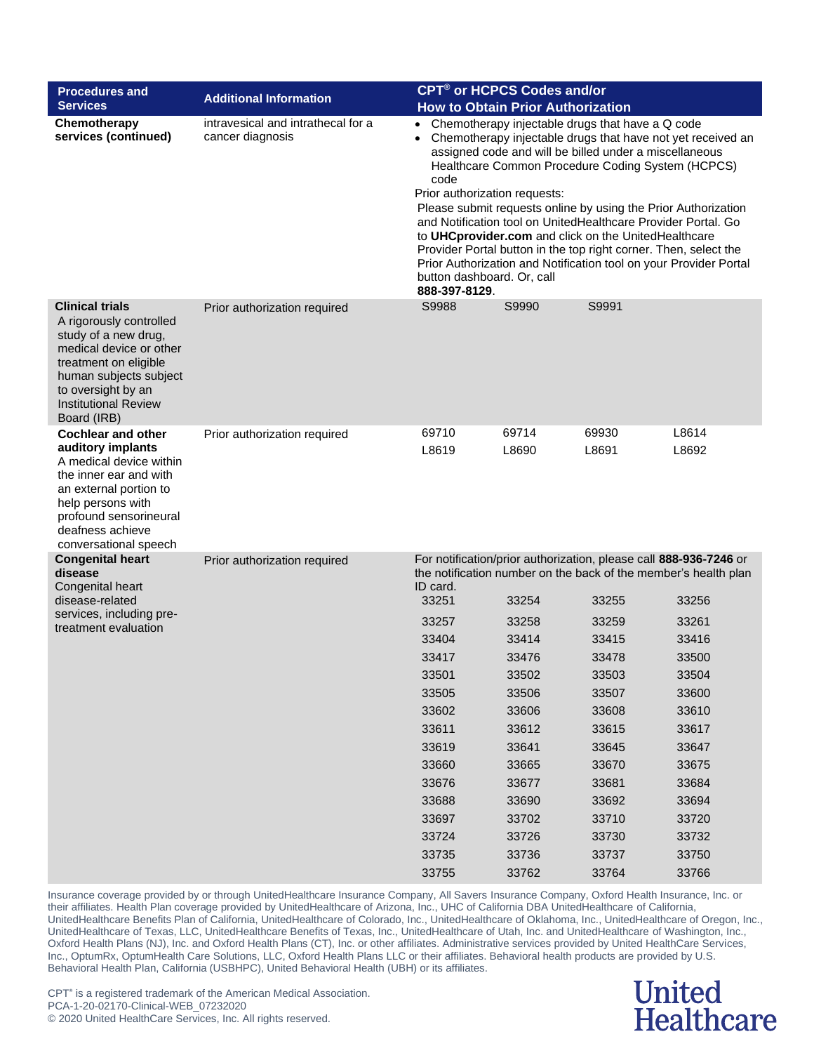| <b>Procedures and</b>                                                                                                                                                                                                       | <b>Additional Information</b>                          | <b>CPT<sup>®</sup> or HCPCS Codes and/or</b>                                                                                                                                                                                                                                                                                                                                                                                                                                                                                                                                                                                                                            |                                          |                                                                                                                                      |                |  |
|-----------------------------------------------------------------------------------------------------------------------------------------------------------------------------------------------------------------------------|--------------------------------------------------------|-------------------------------------------------------------------------------------------------------------------------------------------------------------------------------------------------------------------------------------------------------------------------------------------------------------------------------------------------------------------------------------------------------------------------------------------------------------------------------------------------------------------------------------------------------------------------------------------------------------------------------------------------------------------------|------------------------------------------|--------------------------------------------------------------------------------------------------------------------------------------|----------------|--|
| <b>Services</b>                                                                                                                                                                                                             |                                                        |                                                                                                                                                                                                                                                                                                                                                                                                                                                                                                                                                                                                                                                                         | <b>How to Obtain Prior Authorization</b> |                                                                                                                                      |                |  |
| Chemotherapy<br>services (continued)                                                                                                                                                                                        | intravesical and intrathecal for a<br>cancer diagnosis | Chemotherapy injectable drugs that have a Q code<br>$\bullet$<br>Chemotherapy injectable drugs that have not yet received an<br>assigned code and will be billed under a miscellaneous<br>Healthcare Common Procedure Coding System (HCPCS)<br>code<br>Prior authorization requests:<br>Please submit requests online by using the Prior Authorization<br>and Notification tool on UnitedHealthcare Provider Portal. Go<br>to UHCprovider.com and click on the UnitedHealthcare<br>Provider Portal button in the top right corner. Then, select the<br>Prior Authorization and Notification tool on your Provider Portal<br>button dashboard. Or, call<br>888-397-8129. |                                          |                                                                                                                                      |                |  |
| <b>Clinical trials</b><br>A rigorously controlled<br>study of a new drug,<br>medical device or other<br>treatment on eligible<br>human subjects subject<br>to oversight by an<br><b>Institutional Review</b><br>Board (IRB) | Prior authorization required                           | S9988                                                                                                                                                                                                                                                                                                                                                                                                                                                                                                                                                                                                                                                                   | S9990                                    | S9991                                                                                                                                |                |  |
| <b>Cochlear and other</b><br>auditory implants<br>A medical device within<br>the inner ear and with<br>an external portion to<br>help persons with<br>profound sensorineural<br>deafness achieve<br>conversational speech   | Prior authorization required                           | 69710<br>L8619                                                                                                                                                                                                                                                                                                                                                                                                                                                                                                                                                                                                                                                          | 69714<br>L8690                           | 69930<br>L8691                                                                                                                       | L8614<br>L8692 |  |
| <b>Congenital heart</b><br>disease<br>Congenital heart                                                                                                                                                                      | Prior authorization required                           | ID card.                                                                                                                                                                                                                                                                                                                                                                                                                                                                                                                                                                                                                                                                |                                          | For notification/prior authorization, please call 888-936-7246 or<br>the notification number on the back of the member's health plan |                |  |
| disease-related                                                                                                                                                                                                             |                                                        | 33251                                                                                                                                                                                                                                                                                                                                                                                                                                                                                                                                                                                                                                                                   | 33254                                    | 33255                                                                                                                                | 33256          |  |
| services, including pre-                                                                                                                                                                                                    |                                                        | 33257                                                                                                                                                                                                                                                                                                                                                                                                                                                                                                                                                                                                                                                                   | 33258                                    | 33259                                                                                                                                | 33261          |  |
| treatment evaluation                                                                                                                                                                                                        |                                                        | 33404                                                                                                                                                                                                                                                                                                                                                                                                                                                                                                                                                                                                                                                                   | 33414                                    | 33415                                                                                                                                | 33416          |  |
|                                                                                                                                                                                                                             |                                                        | 33417                                                                                                                                                                                                                                                                                                                                                                                                                                                                                                                                                                                                                                                                   | 33476                                    | 33478                                                                                                                                | 33500          |  |
|                                                                                                                                                                                                                             |                                                        | 33501                                                                                                                                                                                                                                                                                                                                                                                                                                                                                                                                                                                                                                                                   | 33502                                    | 33503                                                                                                                                | 33504          |  |
|                                                                                                                                                                                                                             |                                                        | 33505                                                                                                                                                                                                                                                                                                                                                                                                                                                                                                                                                                                                                                                                   | 33506                                    | 33507                                                                                                                                | 33600          |  |
|                                                                                                                                                                                                                             |                                                        | 33602                                                                                                                                                                                                                                                                                                                                                                                                                                                                                                                                                                                                                                                                   | 33606                                    | 33608                                                                                                                                | 33610          |  |
|                                                                                                                                                                                                                             |                                                        | 33611                                                                                                                                                                                                                                                                                                                                                                                                                                                                                                                                                                                                                                                                   | 33612                                    | 33615                                                                                                                                | 33617          |  |
|                                                                                                                                                                                                                             |                                                        | 33619                                                                                                                                                                                                                                                                                                                                                                                                                                                                                                                                                                                                                                                                   | 33641                                    | 33645                                                                                                                                | 33647          |  |
|                                                                                                                                                                                                                             |                                                        | 33660                                                                                                                                                                                                                                                                                                                                                                                                                                                                                                                                                                                                                                                                   | 33665                                    | 33670                                                                                                                                | 33675          |  |
|                                                                                                                                                                                                                             |                                                        | 33676                                                                                                                                                                                                                                                                                                                                                                                                                                                                                                                                                                                                                                                                   | 33677                                    | 33681                                                                                                                                | 33684          |  |
|                                                                                                                                                                                                                             |                                                        | 33688                                                                                                                                                                                                                                                                                                                                                                                                                                                                                                                                                                                                                                                                   | 33690                                    | 33692                                                                                                                                | 33694          |  |
|                                                                                                                                                                                                                             |                                                        | 33697                                                                                                                                                                                                                                                                                                                                                                                                                                                                                                                                                                                                                                                                   | 33702                                    | 33710                                                                                                                                | 33720          |  |
|                                                                                                                                                                                                                             |                                                        | 33724                                                                                                                                                                                                                                                                                                                                                                                                                                                                                                                                                                                                                                                                   | 33726                                    | 33730                                                                                                                                | 33732          |  |
|                                                                                                                                                                                                                             |                                                        | 33735                                                                                                                                                                                                                                                                                                                                                                                                                                                                                                                                                                                                                                                                   | 33736                                    | 33737                                                                                                                                | 33750          |  |
|                                                                                                                                                                                                                             |                                                        | 33755                                                                                                                                                                                                                                                                                                                                                                                                                                                                                                                                                                                                                                                                   | 33762                                    | 33764                                                                                                                                | 33766          |  |

#### **United Healthcare**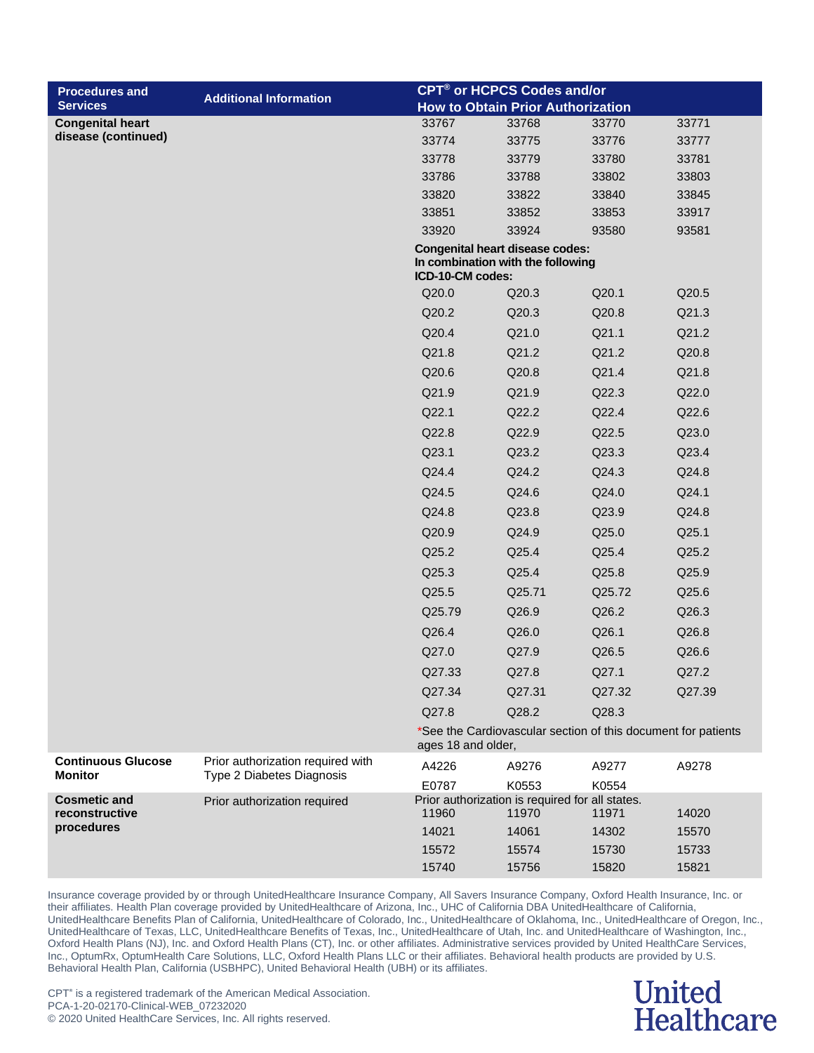| <b>Procedures and</b>                 | <b>Additional Information</b>     |                                                          | <b>CPT<sup>®</sup> or HCPCS Codes and/or</b>                  |        |        |
|---------------------------------------|-----------------------------------|----------------------------------------------------------|---------------------------------------------------------------|--------|--------|
| <b>Services</b>                       |                                   |                                                          | <b>How to Obtain Prior Authorization</b>                      |        |        |
| <b>Congenital heart</b>               |                                   | 33767                                                    | 33768                                                         | 33770  | 33771  |
| disease (continued)                   |                                   | 33774                                                    | 33775                                                         | 33776  | 33777  |
|                                       |                                   | 33778                                                    | 33779                                                         | 33780  | 33781  |
|                                       |                                   | 33786                                                    | 33788                                                         | 33802  | 33803  |
|                                       |                                   | 33820                                                    | 33822                                                         | 33840  | 33845  |
|                                       |                                   | 33851                                                    | 33852                                                         | 33853  | 33917  |
|                                       |                                   | 33920<br><b>Congenital heart disease codes:</b>          | 33924                                                         | 93580  | 93581  |
|                                       |                                   | In combination with the following<br>ICD-10-CM codes:    |                                                               |        |        |
|                                       |                                   | Q20.0                                                    | Q20.3                                                         | Q20.1  | Q20.5  |
|                                       |                                   | Q20.2                                                    | Q20.3                                                         | Q20.8  | Q21.3  |
|                                       |                                   | Q20.4                                                    | Q21.0                                                         | Q21.1  | Q21.2  |
|                                       |                                   | Q21.8                                                    | Q21.2                                                         | Q21.2  | Q20.8  |
|                                       |                                   | Q20.6                                                    | Q20.8                                                         | Q21.4  | Q21.8  |
|                                       |                                   | Q21.9                                                    | Q21.9                                                         | Q22.3  | Q22.0  |
|                                       |                                   | Q22.1                                                    | Q22.2                                                         | Q22.4  | Q22.6  |
|                                       |                                   | Q22.8                                                    | Q22.9                                                         | Q22.5  | Q23.0  |
|                                       |                                   | Q23.1                                                    | Q23.2                                                         | Q23.3  | Q23.4  |
|                                       |                                   | Q24.4                                                    | Q24.2                                                         | Q24.3  | Q24.8  |
|                                       |                                   | Q24.5                                                    | Q24.6                                                         | Q24.0  | Q24.1  |
|                                       |                                   | Q24.8                                                    | Q23.8                                                         | Q23.9  | Q24.8  |
|                                       |                                   | Q20.9                                                    | Q24.9                                                         | Q25.0  | Q25.1  |
|                                       |                                   | Q25.2                                                    | Q25.4                                                         | Q25.4  | Q25.2  |
|                                       |                                   | Q25.3                                                    | Q25.4                                                         | Q25.8  | Q25.9  |
|                                       |                                   | Q25.5                                                    | Q25.71                                                        | Q25.72 | Q25.6  |
|                                       |                                   | Q25.79                                                   | Q26.9                                                         | Q26.2  | Q26.3  |
|                                       |                                   | Q26.4                                                    | Q26.0                                                         | Q26.1  | Q26.8  |
|                                       |                                   | Q27.0                                                    | Q27.9                                                         | Q26.5  | Q26.6  |
|                                       |                                   | Q27.33                                                   | Q27.8                                                         | Q27.1  | Q27.2  |
|                                       |                                   | Q27.34                                                   | Q27.31                                                        | Q27.32 | Q27.39 |
|                                       |                                   | Q27.8                                                    | Q28.2                                                         | Q28.3  |        |
|                                       |                                   | ages 18 and older,                                       | *See the Cardiovascular section of this document for patients |        |        |
| <b>Continuous Glucose</b>             | Prior authorization required with | A4226                                                    | A9276                                                         | A9277  | A9278  |
| <b>Monitor</b>                        | Type 2 Diabetes Diagnosis         | E0787                                                    | K0553                                                         | K0554  |        |
| <b>Cosmetic and</b><br>reconstructive | Prior authorization required      | Prior authorization is required for all states.<br>11960 | 11970                                                         | 11971  | 14020  |
| procedures                            |                                   | 14021                                                    | 14061                                                         | 14302  | 15570  |
|                                       |                                   | 15572                                                    | 15574                                                         | 15730  | 15733  |
|                                       |                                   | 15740                                                    | 15756                                                         | 15820  | 15821  |

### **United Healthcare**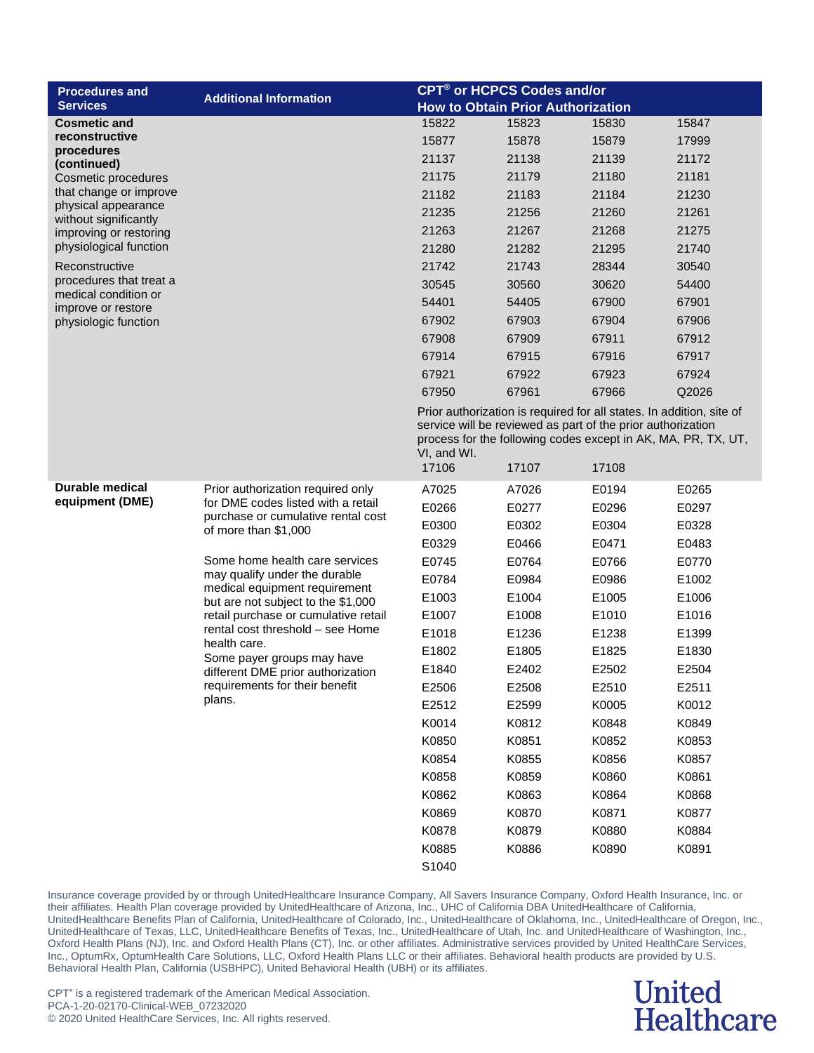| <b>Procedures and</b>                           | <b>Additional Information</b>                                       | <b>CPT<sup>®</sup> or HCPCS Codes and/or</b>                                                                                                                                                                        |                                          |       |       |
|-------------------------------------------------|---------------------------------------------------------------------|---------------------------------------------------------------------------------------------------------------------------------------------------------------------------------------------------------------------|------------------------------------------|-------|-------|
| <b>Services</b>                                 |                                                                     |                                                                                                                                                                                                                     | <b>How to Obtain Prior Authorization</b> |       |       |
| <b>Cosmetic and</b>                             |                                                                     | 15822                                                                                                                                                                                                               | 15823                                    | 15830 | 15847 |
| reconstructive<br>procedures                    |                                                                     | 15877                                                                                                                                                                                                               | 15878                                    | 15879 | 17999 |
| (continued)                                     |                                                                     | 21137                                                                                                                                                                                                               | 21138                                    | 21139 | 21172 |
| Cosmetic procedures                             |                                                                     | 21175                                                                                                                                                                                                               | 21179                                    | 21180 | 21181 |
| that change or improve                          |                                                                     | 21182                                                                                                                                                                                                               | 21183                                    | 21184 | 21230 |
| physical appearance<br>without significantly    |                                                                     | 21235                                                                                                                                                                                                               | 21256                                    | 21260 | 21261 |
| improving or restoring                          |                                                                     | 21263                                                                                                                                                                                                               | 21267                                    | 21268 | 21275 |
| physiological function                          |                                                                     | 21280                                                                                                                                                                                                               | 21282                                    | 21295 | 21740 |
| Reconstructive                                  |                                                                     | 21742                                                                                                                                                                                                               | 21743                                    | 28344 | 30540 |
| procedures that treat a<br>medical condition or |                                                                     | 30545                                                                                                                                                                                                               | 30560                                    | 30620 | 54400 |
| improve or restore                              |                                                                     | 54401                                                                                                                                                                                                               | 54405                                    | 67900 | 67901 |
| physiologic function                            |                                                                     | 67902                                                                                                                                                                                                               | 67903                                    | 67904 | 67906 |
|                                                 |                                                                     | 67908                                                                                                                                                                                                               | 67909                                    | 67911 | 67912 |
|                                                 |                                                                     | 67914                                                                                                                                                                                                               | 67915                                    | 67916 | 67917 |
|                                                 |                                                                     | 67921                                                                                                                                                                                                               | 67922                                    | 67923 | 67924 |
|                                                 |                                                                     | 67950                                                                                                                                                                                                               | 67961                                    | 67966 | Q2026 |
|                                                 |                                                                     | Prior authorization is required for all states. In addition, site of<br>service will be reviewed as part of the prior authorization<br>process for the following codes except in AK, MA, PR, TX, UT,<br>VI, and WI. |                                          |       |       |
|                                                 |                                                                     | 17106                                                                                                                                                                                                               | 17107                                    | 17108 |       |
| <b>Durable medical</b>                          | Prior authorization required only                                   | A7025                                                                                                                                                                                                               | A7026                                    | E0194 | E0265 |
| equipment (DME)                                 | for DME codes listed with a retail                                  | E0266                                                                                                                                                                                                               | E0277                                    | E0296 | E0297 |
|                                                 | purchase or cumulative rental cost<br>of more than \$1,000          | E0300                                                                                                                                                                                                               | E0302                                    | E0304 | E0328 |
|                                                 |                                                                     | E0329                                                                                                                                                                                                               | E0466                                    | E0471 | E0483 |
|                                                 | Some home health care services                                      | E0745                                                                                                                                                                                                               | E0764                                    | E0766 | E0770 |
|                                                 | may qualify under the durable                                       | E0784                                                                                                                                                                                                               | E0984                                    | E0986 | E1002 |
|                                                 | medical equipment requirement<br>but are not subject to the \$1,000 | E1003                                                                                                                                                                                                               | E1004                                    | E1005 | E1006 |
|                                                 | retail purchase or cumulative retail                                | E1007                                                                                                                                                                                                               | E1008                                    | E1010 | E1016 |
|                                                 | rental cost threshold - see Home                                    | E1018                                                                                                                                                                                                               | E1236                                    | E1238 | E1399 |
|                                                 | health care.<br>Some payer groups may have                          | E1802                                                                                                                                                                                                               | E1805                                    | E1825 | E1830 |
|                                                 | different DME prior authorization                                   | E1840                                                                                                                                                                                                               | E2402                                    | E2502 | E2504 |
|                                                 | requirements for their benefit                                      | E2506                                                                                                                                                                                                               | E2508                                    | E2510 | E2511 |
|                                                 | plans.                                                              | E2512                                                                                                                                                                                                               | E2599                                    | K0005 | K0012 |
|                                                 |                                                                     | K0014                                                                                                                                                                                                               | K0812                                    | K0848 | K0849 |
|                                                 |                                                                     | K0850                                                                                                                                                                                                               | K0851                                    | K0852 | K0853 |
|                                                 |                                                                     | K0854                                                                                                                                                                                                               | K0855                                    | K0856 | K0857 |
|                                                 |                                                                     | K0858                                                                                                                                                                                                               | K0859                                    | K0860 | K0861 |
|                                                 |                                                                     | K0862                                                                                                                                                                                                               | K0863                                    | K0864 | K0868 |
|                                                 |                                                                     | K0869                                                                                                                                                                                                               | K0870                                    | K0871 | K0877 |
|                                                 |                                                                     | K0878                                                                                                                                                                                                               | K0879                                    | K0880 | K0884 |
|                                                 |                                                                     | K0885                                                                                                                                                                                                               | K0886                                    | K0890 | K0891 |

S1040

Insurance coverage provided by or through UnitedHealthcare Insurance Company, All Savers Insurance Company, Oxford Health Insurance, Inc. or their affiliates. Health Plan coverage provided by UnitedHealthcare of Arizona, Inc., UHC of California DBA UnitedHealthcare of California, UnitedHealthcare Benefits Plan of California, UnitedHealthcare of Colorado, Inc., UnitedHealthcare of Oklahoma, Inc., UnitedHealthcare of Oregon, Inc., UnitedHealthcare of Texas, LLC, UnitedHealthcare Benefits of Texas, Inc., UnitedHealthcare of Utah, Inc. and UnitedHealthcare of Washington, Inc., Oxford Health Plans (NJ), Inc. and Oxford Health Plans (CT), Inc. or other affiliates. Administrative services provided by United HealthCare Services, Inc., OptumRx, OptumHealth Care Solutions, LLC, Oxford Health Plans LLC or their affiliates. Behavioral health products are provided by U.S. Behavioral Health Plan, California (USBHPC), United Behavioral Health (UBH) or its affiliates.

### **United Healthcare**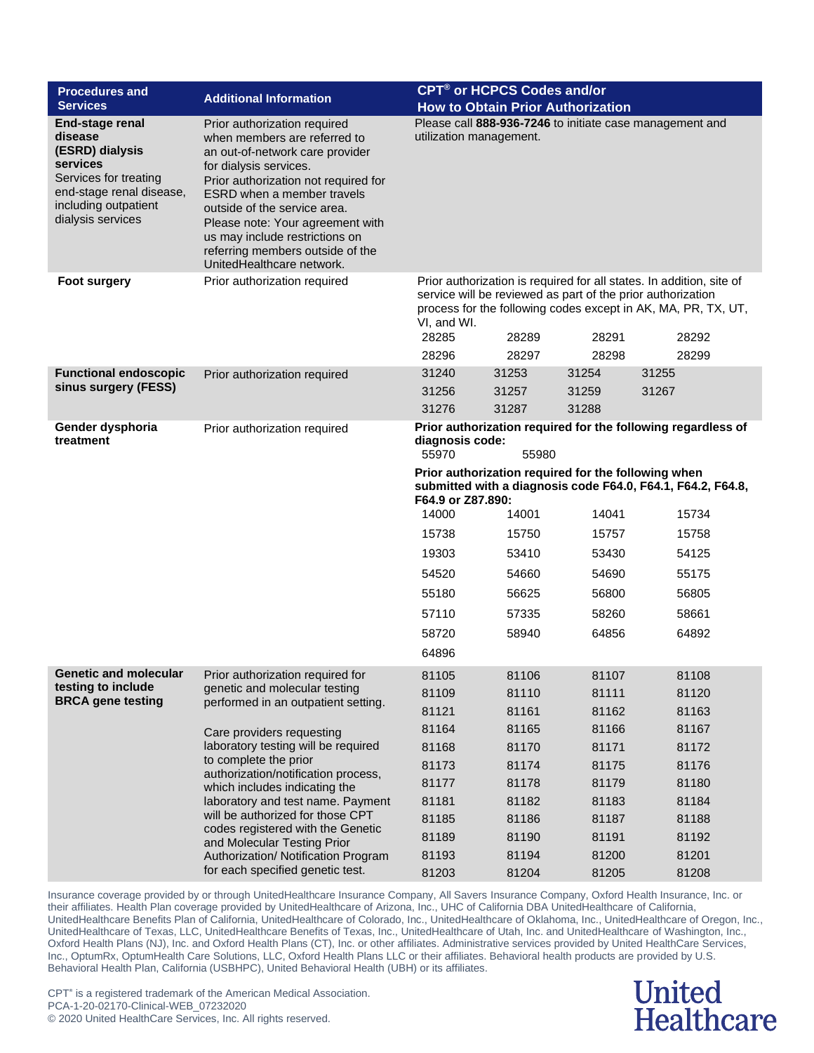| <b>Procedures and</b><br><b>Services</b>                                                                                                                    | <b>Additional Information</b>                                                                                                                                                                                                                                                                                                                                          | <b>CPT<sup>®</sup> or HCPCS Codes and/or</b><br><b>How to Obtain Prior Authorization</b>                                                                                                                                                                |       |       |       |  |  |
|-------------------------------------------------------------------------------------------------------------------------------------------------------------|------------------------------------------------------------------------------------------------------------------------------------------------------------------------------------------------------------------------------------------------------------------------------------------------------------------------------------------------------------------------|---------------------------------------------------------------------------------------------------------------------------------------------------------------------------------------------------------------------------------------------------------|-------|-------|-------|--|--|
| End-stage renal<br>disease<br>(ESRD) dialysis<br>services<br>Services for treating<br>end-stage renal disease,<br>including outpatient<br>dialysis services | Prior authorization required<br>when members are referred to<br>an out-of-network care provider<br>for dialysis services.<br>Prior authorization not required for<br>ESRD when a member travels<br>outside of the service area.<br>Please note: Your agreement with<br>us may include restrictions on<br>referring members outside of the<br>UnitedHealthcare network. | Please call 888-936-7246 to initiate case management and<br>utilization management.                                                                                                                                                                     |       |       |       |  |  |
| <b>Foot surgery</b>                                                                                                                                         | Prior authorization required                                                                                                                                                                                                                                                                                                                                           | Prior authorization is required for all states. In addition, site of<br>service will be reviewed as part of the prior authorization<br>process for the following codes except in AK, MA, PR, TX, UT,<br>VI, and WI.<br>28285<br>28289<br>28291<br>28292 |       |       |       |  |  |
|                                                                                                                                                             |                                                                                                                                                                                                                                                                                                                                                                        | 28296                                                                                                                                                                                                                                                   | 28297 | 28298 | 28299 |  |  |
| <b>Functional endoscopic</b>                                                                                                                                | Prior authorization required                                                                                                                                                                                                                                                                                                                                           | 31240                                                                                                                                                                                                                                                   | 31253 | 31254 | 31255 |  |  |
| sinus surgery (FESS)                                                                                                                                        |                                                                                                                                                                                                                                                                                                                                                                        | 31256                                                                                                                                                                                                                                                   | 31257 | 31259 | 31267 |  |  |
|                                                                                                                                                             |                                                                                                                                                                                                                                                                                                                                                                        | 31276                                                                                                                                                                                                                                                   | 31287 | 31288 |       |  |  |
| Gender dysphoria<br>treatment                                                                                                                               | Prior authorization required                                                                                                                                                                                                                                                                                                                                           | Prior authorization required for the following regardless of<br>diagnosis code:<br>55970<br>55980                                                                                                                                                       |       |       |       |  |  |
|                                                                                                                                                             |                                                                                                                                                                                                                                                                                                                                                                        | Prior authorization required for the following when<br>submitted with a diagnosis code F64.0, F64.1, F64.2, F64.8,<br>F64.9 or Z87.890:                                                                                                                 |       |       |       |  |  |
|                                                                                                                                                             |                                                                                                                                                                                                                                                                                                                                                                        | 14000                                                                                                                                                                                                                                                   | 14001 | 14041 | 15734 |  |  |
|                                                                                                                                                             |                                                                                                                                                                                                                                                                                                                                                                        | 15738                                                                                                                                                                                                                                                   | 15750 | 15757 | 15758 |  |  |
|                                                                                                                                                             |                                                                                                                                                                                                                                                                                                                                                                        | 19303                                                                                                                                                                                                                                                   | 53410 | 53430 | 54125 |  |  |
|                                                                                                                                                             |                                                                                                                                                                                                                                                                                                                                                                        | 54520                                                                                                                                                                                                                                                   | 54660 | 54690 | 55175 |  |  |
|                                                                                                                                                             |                                                                                                                                                                                                                                                                                                                                                                        | 55180                                                                                                                                                                                                                                                   | 56625 | 56800 | 56805 |  |  |
|                                                                                                                                                             |                                                                                                                                                                                                                                                                                                                                                                        | 57110                                                                                                                                                                                                                                                   | 57335 | 58260 | 58661 |  |  |
|                                                                                                                                                             |                                                                                                                                                                                                                                                                                                                                                                        | 58720                                                                                                                                                                                                                                                   | 58940 | 64856 | 64892 |  |  |
|                                                                                                                                                             |                                                                                                                                                                                                                                                                                                                                                                        | 64896                                                                                                                                                                                                                                                   |       |       |       |  |  |
| <b>Genetic and molecular</b>                                                                                                                                | Prior authorization required for                                                                                                                                                                                                                                                                                                                                       | 81105                                                                                                                                                                                                                                                   | 81106 | 81107 | 81108 |  |  |
| testing to include                                                                                                                                          | genetic and molecular testing                                                                                                                                                                                                                                                                                                                                          | 81109                                                                                                                                                                                                                                                   | 81110 | 81111 | 81120 |  |  |
| <b>BRCA</b> gene testing                                                                                                                                    | performed in an outpatient setting.                                                                                                                                                                                                                                                                                                                                    | 81121                                                                                                                                                                                                                                                   | 81161 | 81162 | 81163 |  |  |
|                                                                                                                                                             | Care providers requesting                                                                                                                                                                                                                                                                                                                                              | 81164                                                                                                                                                                                                                                                   | 81165 | 81166 | 81167 |  |  |
|                                                                                                                                                             | laboratory testing will be required                                                                                                                                                                                                                                                                                                                                    | 81168                                                                                                                                                                                                                                                   | 81170 | 81171 | 81172 |  |  |
|                                                                                                                                                             | to complete the prior                                                                                                                                                                                                                                                                                                                                                  | 81173                                                                                                                                                                                                                                                   | 81174 | 81175 | 81176 |  |  |
|                                                                                                                                                             | authorization/notification process,<br>which includes indicating the                                                                                                                                                                                                                                                                                                   | 81177                                                                                                                                                                                                                                                   | 81178 | 81179 | 81180 |  |  |
|                                                                                                                                                             | laboratory and test name. Payment                                                                                                                                                                                                                                                                                                                                      | 81181                                                                                                                                                                                                                                                   | 81182 | 81183 | 81184 |  |  |
|                                                                                                                                                             | will be authorized for those CPT<br>codes registered with the Genetic                                                                                                                                                                                                                                                                                                  | 81185                                                                                                                                                                                                                                                   | 81186 | 81187 | 81188 |  |  |
|                                                                                                                                                             | and Molecular Testing Prior                                                                                                                                                                                                                                                                                                                                            | 81189                                                                                                                                                                                                                                                   | 81190 | 81191 | 81192 |  |  |
|                                                                                                                                                             | Authorization/ Notification Program                                                                                                                                                                                                                                                                                                                                    | 81193                                                                                                                                                                                                                                                   | 81194 | 81200 | 81201 |  |  |
|                                                                                                                                                             | for each specified genetic test.                                                                                                                                                                                                                                                                                                                                       | 81203                                                                                                                                                                                                                                                   | 81204 | 81205 | 81208 |  |  |

#### **United Healthcare**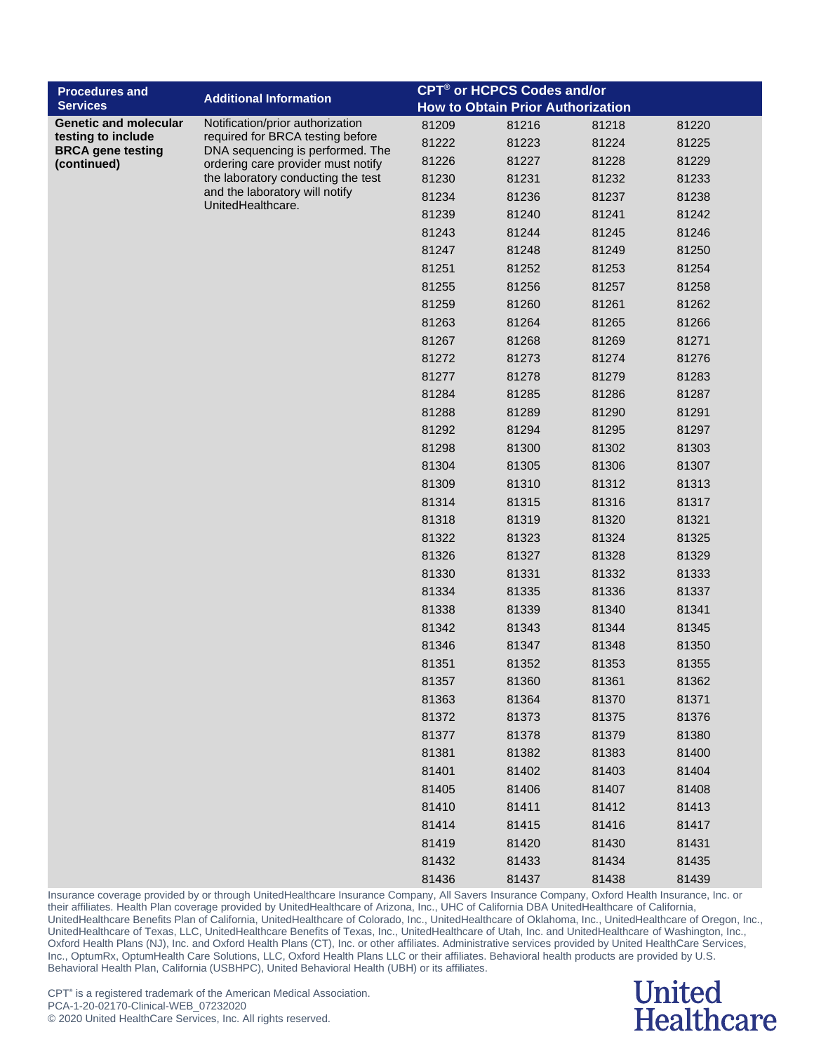| <b>Procedures and</b>                          | <b>Additional Information</b>                                        | <b>CPT<sup>®</sup> or HCPCS Codes and/or</b> |                                          |       |       |
|------------------------------------------------|----------------------------------------------------------------------|----------------------------------------------|------------------------------------------|-------|-------|
| <b>Services</b>                                |                                                                      |                                              | <b>How to Obtain Prior Authorization</b> |       |       |
| <b>Genetic and molecular</b>                   | Notification/prior authorization                                     | 81209                                        | 81216                                    | 81218 | 81220 |
| testing to include<br><b>BRCA</b> gene testing | required for BRCA testing before<br>DNA sequencing is performed. The | 81222                                        | 81223                                    | 81224 | 81225 |
| (continued)                                    | ordering care provider must notify                                   | 81226                                        | 81227                                    | 81228 | 81229 |
|                                                | the laboratory conducting the test                                   | 81230                                        | 81231                                    | 81232 | 81233 |
|                                                | and the laboratory will notify<br>UnitedHealthcare.                  | 81234                                        | 81236                                    | 81237 | 81238 |
|                                                |                                                                      | 81239                                        | 81240                                    | 81241 | 81242 |
|                                                |                                                                      | 81243                                        | 81244                                    | 81245 | 81246 |
|                                                |                                                                      | 81247                                        | 81248                                    | 81249 | 81250 |
|                                                |                                                                      | 81251                                        | 81252                                    | 81253 | 81254 |
|                                                |                                                                      | 81255                                        | 81256                                    | 81257 | 81258 |
|                                                |                                                                      | 81259                                        | 81260                                    | 81261 | 81262 |
|                                                |                                                                      | 81263                                        | 81264                                    | 81265 | 81266 |
|                                                |                                                                      | 81267                                        | 81268                                    | 81269 | 81271 |
|                                                |                                                                      | 81272                                        | 81273                                    | 81274 | 81276 |
|                                                |                                                                      | 81277                                        | 81278                                    | 81279 | 81283 |
|                                                |                                                                      | 81284                                        | 81285                                    | 81286 | 81287 |
|                                                |                                                                      | 81288                                        | 81289                                    | 81290 | 81291 |
|                                                |                                                                      | 81292                                        | 81294                                    | 81295 | 81297 |
|                                                |                                                                      | 81298                                        | 81300                                    | 81302 | 81303 |
|                                                |                                                                      | 81304                                        | 81305                                    | 81306 | 81307 |
|                                                |                                                                      | 81309                                        | 81310                                    | 81312 | 81313 |
|                                                |                                                                      | 81314                                        | 81315                                    | 81316 | 81317 |
|                                                |                                                                      | 81318                                        | 81319                                    | 81320 | 81321 |
|                                                |                                                                      | 81322                                        | 81323                                    | 81324 | 81325 |
|                                                |                                                                      | 81326                                        | 81327                                    | 81328 | 81329 |
|                                                |                                                                      | 81330                                        | 81331                                    | 81332 | 81333 |
|                                                |                                                                      | 81334                                        | 81335                                    | 81336 | 81337 |
|                                                |                                                                      | 81338                                        | 81339                                    | 81340 | 81341 |
|                                                |                                                                      | 81342                                        | 81343                                    | 81344 | 81345 |
|                                                |                                                                      | 81346                                        | 81347                                    | 81348 | 81350 |
|                                                |                                                                      | 81351                                        | 81352                                    | 81353 | 81355 |
|                                                |                                                                      | 81357                                        | 81360                                    | 81361 | 81362 |
|                                                |                                                                      | 81363                                        | 81364                                    | 81370 | 81371 |
|                                                |                                                                      | 81372                                        | 81373                                    | 81375 | 81376 |
|                                                |                                                                      | 81377                                        | 81378                                    | 81379 | 81380 |
|                                                |                                                                      | 81381                                        | 81382                                    | 81383 | 81400 |
|                                                |                                                                      | 81401                                        | 81402                                    | 81403 | 81404 |
|                                                |                                                                      | 81405                                        | 81406                                    | 81407 | 81408 |
|                                                |                                                                      | 81410                                        | 81411                                    | 81412 | 81413 |
|                                                |                                                                      | 81414                                        | 81415                                    | 81416 | 81417 |
|                                                |                                                                      | 81419                                        | 81420                                    | 81430 | 81431 |
|                                                |                                                                      | 81432                                        | 81433                                    | 81434 | 81435 |
|                                                |                                                                      | 81436                                        | 81437                                    | 81438 | 81439 |

#### **United Healthcare**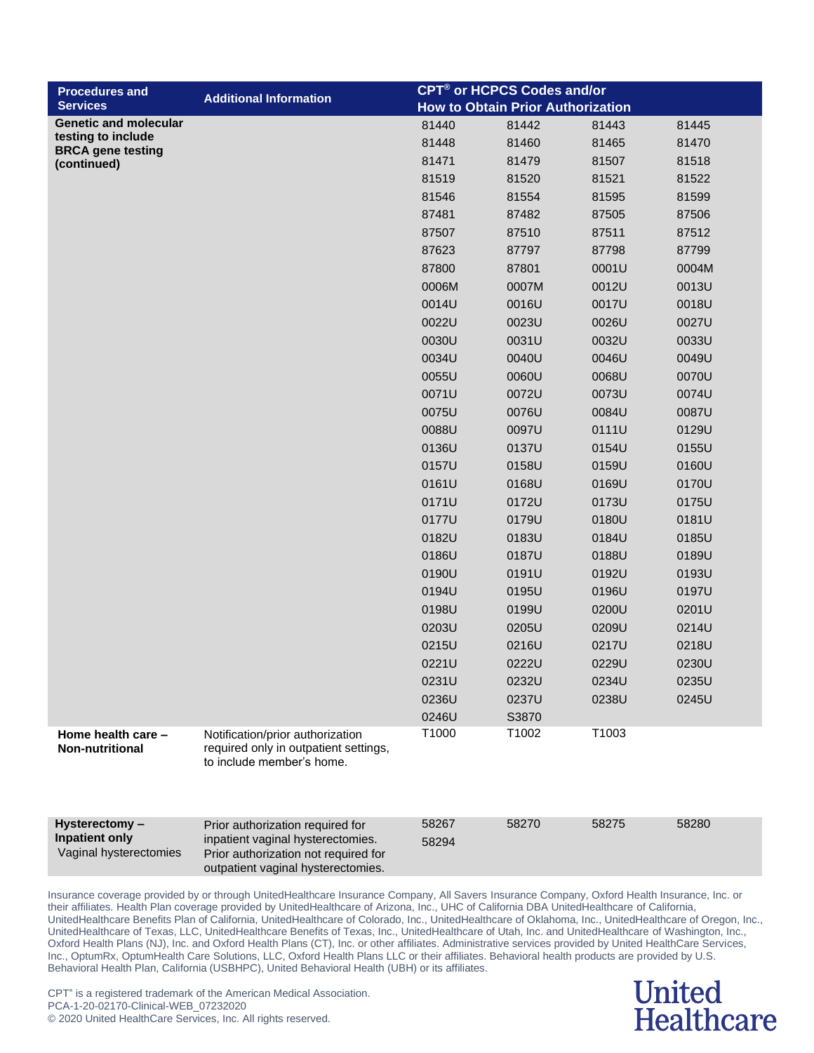| <b>Procedures and</b>                           |                                                                                                                 |       | <b>CPT<sup>®</sup> or HCPCS Codes and/or</b> |       |       |
|-------------------------------------------------|-----------------------------------------------------------------------------------------------------------------|-------|----------------------------------------------|-------|-------|
| <b>Services</b>                                 | <b>Additional Information</b>                                                                                   |       | <b>How to Obtain Prior Authorization</b>     |       |       |
| <b>Genetic and molecular</b>                    |                                                                                                                 | 81440 | 81442                                        | 81443 | 81445 |
| testing to include<br><b>BRCA</b> gene testing  |                                                                                                                 | 81448 | 81460                                        | 81465 | 81470 |
| (continued)                                     |                                                                                                                 | 81471 | 81479                                        | 81507 | 81518 |
|                                                 |                                                                                                                 | 81519 | 81520                                        | 81521 | 81522 |
|                                                 |                                                                                                                 | 81546 | 81554                                        | 81595 | 81599 |
|                                                 |                                                                                                                 | 87481 | 87482                                        | 87505 | 87506 |
|                                                 |                                                                                                                 | 87507 | 87510                                        | 87511 | 87512 |
|                                                 |                                                                                                                 | 87623 | 87797                                        | 87798 | 87799 |
|                                                 |                                                                                                                 | 87800 | 87801                                        | 0001U | 0004M |
|                                                 |                                                                                                                 | 0006M | 0007M                                        | 0012U | 0013U |
|                                                 |                                                                                                                 | 0014U | 0016U                                        | 0017U | 0018U |
|                                                 |                                                                                                                 | 0022U | 0023U                                        | 0026U | 0027U |
|                                                 |                                                                                                                 | 0030U | 0031U                                        | 0032U | 0033U |
|                                                 |                                                                                                                 | 0034U | 0040U                                        | 0046U | 0049U |
|                                                 |                                                                                                                 | 0055U | 0060U                                        | 0068U | 0070U |
|                                                 |                                                                                                                 | 0071U | 0072U                                        | 0073U | 0074U |
|                                                 |                                                                                                                 | 0075U | 0076U                                        | 0084U | 0087U |
|                                                 |                                                                                                                 | 0088U | 0097U                                        | 0111U | 0129U |
|                                                 |                                                                                                                 | 0136U | 0137U                                        | 0154U | 0155U |
|                                                 |                                                                                                                 | 0157U | 0158U                                        | 0159U | 0160U |
|                                                 |                                                                                                                 | 0161U | 0168U                                        | 0169U | 0170U |
|                                                 |                                                                                                                 | 0171U | 0172U                                        | 0173U | 0175U |
|                                                 |                                                                                                                 | 0177U | 0179U                                        | 0180U | 0181U |
|                                                 |                                                                                                                 | 0182U | 0183U                                        | 0184U | 0185U |
|                                                 |                                                                                                                 | 0186U | 0187U                                        | 0188U | 0189U |
|                                                 |                                                                                                                 | 0190U | 0191U                                        | 0192U | 0193U |
|                                                 |                                                                                                                 | 0194U | 0195U                                        | 0196U | 0197U |
|                                                 |                                                                                                                 | 0198U | 0199U                                        | 0200U | 0201U |
|                                                 |                                                                                                                 | 0203U | 0205U                                        | 0209U | 0214U |
|                                                 |                                                                                                                 | 0215U | 0216U                                        | 0217U | 0218U |
|                                                 |                                                                                                                 | 0221U | 0222U                                        | 0229U | 0230U |
|                                                 |                                                                                                                 | 0231U | 0232U                                        | 0234U | 0235U |
|                                                 |                                                                                                                 | 0236U | 0237U                                        | 0238U | 0245U |
|                                                 |                                                                                                                 | 0246U | S3870                                        |       |       |
| Home health care -<br><b>Non-nutritional</b>    | Notification/prior authorization<br>required only in outpatient settings,<br>to include member's home.          | T1000 | T1002                                        | T1003 |       |
| Hysterectomy -                                  | Prior authorization required for                                                                                | 58267 | 58270                                        | 58275 | 58280 |
| <b>Inpatient only</b><br>Vaginal hysterectomies | inpatient vaginal hysterectomies.<br>Prior authorization not required for<br>outpatient vaginal hysterectomies. | 58294 |                                              |       |       |

#### **United Healthcare**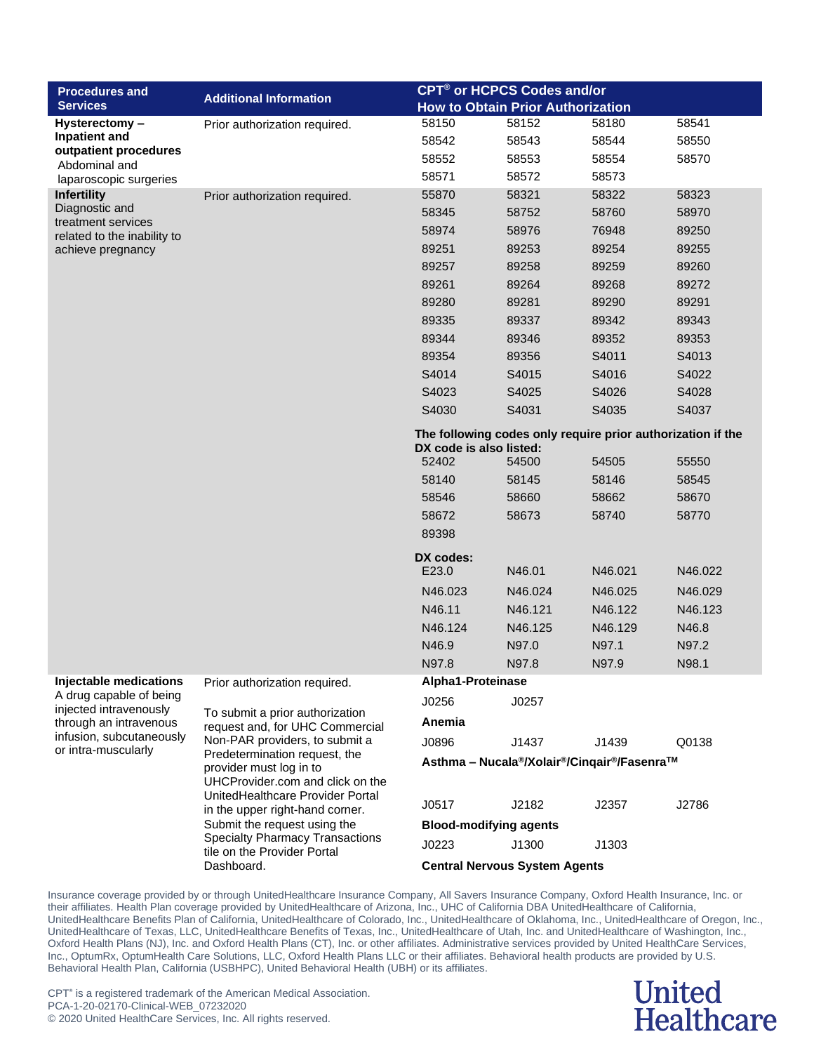| <b>Procedures and</b>                             | <b>Additional Information</b>                                      | <b>CPT<sup>®</sup> or HCPCS Codes and/or</b>                                           |                                                                                   |         |         |  |
|---------------------------------------------------|--------------------------------------------------------------------|----------------------------------------------------------------------------------------|-----------------------------------------------------------------------------------|---------|---------|--|
| <b>Services</b>                                   |                                                                    |                                                                                        | <b>How to Obtain Prior Authorization</b>                                          |         |         |  |
| Hysterectomy-                                     | Prior authorization required.                                      | 58150                                                                                  | 58152                                                                             | 58180   | 58541   |  |
| Inpatient and<br>outpatient procedures            |                                                                    | 58542                                                                                  | 58543                                                                             | 58544   | 58550   |  |
| Abdominal and                                     |                                                                    | 58552                                                                                  | 58553                                                                             | 58554   | 58570   |  |
| laparoscopic surgeries                            |                                                                    | 58571                                                                                  | 58572                                                                             | 58573   |         |  |
| <b>Infertility</b>                                | Prior authorization required.                                      | 55870                                                                                  | 58321                                                                             | 58322   | 58323   |  |
| Diagnostic and<br>treatment services              |                                                                    | 58345                                                                                  | 58752                                                                             | 58760   | 58970   |  |
| related to the inability to                       |                                                                    | 58974                                                                                  | 58976                                                                             | 76948   | 89250   |  |
| achieve pregnancy                                 |                                                                    | 89251                                                                                  | 89253                                                                             | 89254   | 89255   |  |
|                                                   |                                                                    | 89257                                                                                  | 89258                                                                             | 89259   | 89260   |  |
|                                                   |                                                                    | 89261                                                                                  | 89264                                                                             | 89268   | 89272   |  |
|                                                   |                                                                    | 89280                                                                                  | 89281                                                                             | 89290   | 89291   |  |
|                                                   |                                                                    | 89335                                                                                  | 89337                                                                             | 89342   | 89343   |  |
|                                                   |                                                                    | 89344                                                                                  | 89346                                                                             | 89352   | 89353   |  |
|                                                   |                                                                    | 89354                                                                                  | 89356                                                                             | S4011   | S4013   |  |
|                                                   |                                                                    | S4014                                                                                  | S4015                                                                             | S4016   | S4022   |  |
|                                                   |                                                                    | S4023                                                                                  | S4025                                                                             | S4026   | S4028   |  |
|                                                   |                                                                    | S4030                                                                                  | S4031                                                                             | S4035   | S4037   |  |
|                                                   |                                                                    | The following codes only require prior authorization if the<br>DX code is also listed: |                                                                                   |         |         |  |
|                                                   |                                                                    | 52402                                                                                  | 54500                                                                             | 54505   | 55550   |  |
|                                                   |                                                                    | 58140                                                                                  | 58145                                                                             | 58146   | 58545   |  |
|                                                   |                                                                    | 58546                                                                                  | 58660                                                                             | 58662   | 58670   |  |
|                                                   |                                                                    | 58672                                                                                  | 58673                                                                             | 58740   | 58770   |  |
|                                                   |                                                                    | 89398                                                                                  |                                                                                   |         |         |  |
|                                                   |                                                                    |                                                                                        |                                                                                   |         |         |  |
|                                                   |                                                                    | DX codes:<br>E23.0                                                                     | N46.01                                                                            | N46.021 | N46.022 |  |
|                                                   |                                                                    | N46.023                                                                                | N46.024                                                                           | N46.025 | N46.029 |  |
|                                                   |                                                                    | N46.11                                                                                 | N46.121                                                                           | N46.122 | N46.123 |  |
|                                                   |                                                                    | N46.124                                                                                | N46.125                                                                           | N46.129 | N46.8   |  |
|                                                   |                                                                    | N46.9                                                                                  | N97.0                                                                             | N97.1   | N97.2   |  |
|                                                   |                                                                    | N97.8                                                                                  | N97.8                                                                             | N97.9   | N98.1   |  |
| Injectable medications                            | Prior authorization required.                                      | Alpha1-Proteinase                                                                      |                                                                                   |         |         |  |
| A drug capable of being<br>injected intravenously |                                                                    | J0256                                                                                  | J0257                                                                             |         |         |  |
| through an intravenous                            | To submit a prior authorization<br>request and, for UHC Commercial | Anemia                                                                                 |                                                                                   |         |         |  |
| infusion, subcutaneously<br>or intra-muscularly   | Non-PAR providers, to submit a                                     | J0896                                                                                  | J1437                                                                             | J1439   | Q0138   |  |
|                                                   | Predetermination request, the<br>provider must log in to           |                                                                                        | Asthma - Nucala <sup>®</sup> /Xolair <sup>®</sup> /Cingair <sup>®</sup> /Fasenra™ |         |         |  |
|                                                   | UHCProvider.com and click on the                                   |                                                                                        |                                                                                   |         |         |  |
|                                                   | UnitedHealthcare Provider Portal                                   | J0517                                                                                  | J2182                                                                             | J2357   | J2786   |  |
|                                                   | in the upper right-hand corner.<br>Submit the request using the    | <b>Blood-modifying agents</b>                                                          |                                                                                   |         |         |  |
|                                                   | <b>Specialty Pharmacy Transactions</b>                             | J0223                                                                                  | J1300                                                                             | J1303   |         |  |
|                                                   | tile on the Provider Portal<br>Dashboard.                          |                                                                                        | <b>Central Nervous System Agents</b>                                              |         |         |  |
|                                                   |                                                                    |                                                                                        |                                                                                   |         |         |  |

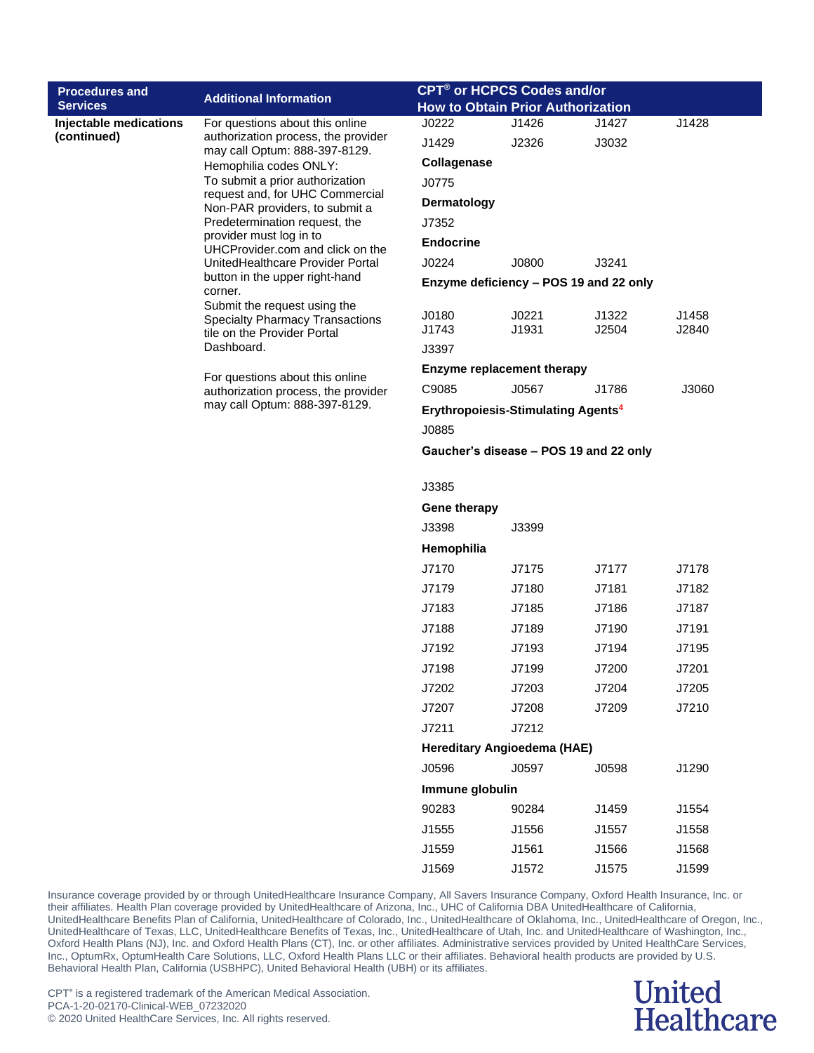| <b>Procedures and</b>                 | CPT <sup>®</sup> or HCPCS Codes and/or                                                                                                                                                                                                                                                                                                                                                                                                              |                                          |                                                |       |       |
|---------------------------------------|-----------------------------------------------------------------------------------------------------------------------------------------------------------------------------------------------------------------------------------------------------------------------------------------------------------------------------------------------------------------------------------------------------------------------------------------------------|------------------------------------------|------------------------------------------------|-------|-------|
| <b>Services</b>                       | <b>Additional Information</b>                                                                                                                                                                                                                                                                                                                                                                                                                       | <b>How to Obtain Prior Authorization</b> |                                                |       |       |
| Injectable medications<br>(continued) | For questions about this online                                                                                                                                                                                                                                                                                                                                                                                                                     | J0222                                    | J1426                                          | J1427 | J1428 |
|                                       | authorization process, the provider<br>may call Optum: 888-397-8129.                                                                                                                                                                                                                                                                                                                                                                                | J1429                                    | J2326                                          | J3032 |       |
|                                       | Hemophilia codes ONLY:                                                                                                                                                                                                                                                                                                                                                                                                                              | Collagenase                              |                                                |       |       |
|                                       | To submit a prior authorization<br>request and, for UHC Commercial                                                                                                                                                                                                                                                                                                                                                                                  | J0775                                    |                                                |       |       |
|                                       | Non-PAR providers, to submit a                                                                                                                                                                                                                                                                                                                                                                                                                      | Dermatology                              |                                                |       |       |
|                                       | Predetermination request, the<br>provider must log in to                                                                                                                                                                                                                                                                                                                                                                                            | J7352                                    |                                                |       |       |
|                                       | UHCProvider.com and click on the                                                                                                                                                                                                                                                                                                                                                                                                                    | <b>Endocrine</b>                         |                                                |       |       |
|                                       | UnitedHealthcare Provider Portal                                                                                                                                                                                                                                                                                                                                                                                                                    | J0224                                    | J0800                                          | J3241 |       |
|                                       | button in the upper right-hand<br>corner.                                                                                                                                                                                                                                                                                                                                                                                                           |                                          | Enzyme deficiency - POS 19 and 22 only         |       |       |
|                                       | Submit the request using the<br><b>Specialty Pharmacy Transactions</b>                                                                                                                                                                                                                                                                                                                                                                              | J0180                                    | J0221                                          | J1322 | J1458 |
|                                       | tile on the Provider Portal                                                                                                                                                                                                                                                                                                                                                                                                                         | J1743                                    | J1931                                          | J2504 | J2840 |
|                                       | Dashboard.                                                                                                                                                                                                                                                                                                                                                                                                                                          | J3397                                    |                                                |       |       |
|                                       | For questions about this online                                                                                                                                                                                                                                                                                                                                                                                                                     |                                          | <b>Enzyme replacement therapy</b>              |       |       |
|                                       | authorization process, the provider                                                                                                                                                                                                                                                                                                                                                                                                                 | C9085                                    | J0567                                          | J1786 | J3060 |
|                                       | may call Optum: 888-397-8129.                                                                                                                                                                                                                                                                                                                                                                                                                       |                                          | Erythropoiesis-Stimulating Agents <sup>4</sup> |       |       |
|                                       |                                                                                                                                                                                                                                                                                                                                                                                                                                                     | J0885                                    |                                                |       |       |
|                                       |                                                                                                                                                                                                                                                                                                                                                                                                                                                     |                                          | Gaucher's disease - POS 19 and 22 only         |       |       |
|                                       |                                                                                                                                                                                                                                                                                                                                                                                                                                                     | J3385                                    |                                                |       |       |
|                                       |                                                                                                                                                                                                                                                                                                                                                                                                                                                     | <b>Gene therapy</b>                      |                                                |       |       |
|                                       |                                                                                                                                                                                                                                                                                                                                                                                                                                                     | J3398                                    | J3399                                          |       |       |
|                                       |                                                                                                                                                                                                                                                                                                                                                                                                                                                     | Hemophilia                               |                                                |       |       |
|                                       |                                                                                                                                                                                                                                                                                                                                                                                                                                                     | J7170                                    | J7175                                          | J7177 | J7178 |
|                                       |                                                                                                                                                                                                                                                                                                                                                                                                                                                     | J7179                                    | J7180                                          | J7181 | J7182 |
|                                       |                                                                                                                                                                                                                                                                                                                                                                                                                                                     | J7183                                    | J7185                                          | J7186 | J7187 |
|                                       |                                                                                                                                                                                                                                                                                                                                                                                                                                                     | J7188                                    | J7189                                          | J7190 | J7191 |
|                                       |                                                                                                                                                                                                                                                                                                                                                                                                                                                     | J7192                                    | J7193                                          | J7194 | J7195 |
|                                       |                                                                                                                                                                                                                                                                                                                                                                                                                                                     | J7198                                    | J7199                                          | J7200 | J7201 |
|                                       |                                                                                                                                                                                                                                                                                                                                                                                                                                                     | J7202                                    | J7203                                          | J7204 | J7205 |
|                                       |                                                                                                                                                                                                                                                                                                                                                                                                                                                     | J7207                                    | J7208                                          | J7209 | J7210 |
|                                       |                                                                                                                                                                                                                                                                                                                                                                                                                                                     | J7211                                    | J7212                                          |       |       |
|                                       |                                                                                                                                                                                                                                                                                                                                                                                                                                                     |                                          | Hereditary Angioedema (HAE)                    |       |       |
|                                       |                                                                                                                                                                                                                                                                                                                                                                                                                                                     | J0596                                    | J0597                                          | J0598 | J1290 |
|                                       |                                                                                                                                                                                                                                                                                                                                                                                                                                                     | Immune globulin                          |                                                |       |       |
|                                       |                                                                                                                                                                                                                                                                                                                                                                                                                                                     | 90283                                    | 90284                                          | J1459 | J1554 |
|                                       |                                                                                                                                                                                                                                                                                                                                                                                                                                                     | J1555                                    | J1556                                          | J1557 | J1558 |
|                                       |                                                                                                                                                                                                                                                                                                                                                                                                                                                     | J1559                                    | J1561                                          | J1566 | J1568 |
|                                       |                                                                                                                                                                                                                                                                                                                                                                                                                                                     | J1569                                    | J1572                                          | J1575 | J1599 |
|                                       | Insurance coverage provided by or through UnitedHealthcare Insurance Company, All Savers Insurance Company, Oxford Health Insurance, Inc. or<br>their affiliates. Health Plan coverage provided by UnitedHealthcare of Arizona, Inc., UHC of California DBA UnitedHealthcare of California,<br>UnitedHealthcare Benefits Plan of California, UnitedHealthcare of Colorado, Inc., UnitedHealthcare of Oklahoma, Inc., UnitedHealthcare of Oregon, Ir |                                          |                                                |       |       |

UnitedHealthcare Benefits Plan of California, UnitedHealthcare of Colorado, Inc., UnitedHealthcare of Oklahoma, Inc., UnitedHealthcare of Oregon, Inc., UnitedHealthcare of Texas, LLC, UnitedHealthcare Benefits of Texas, Inc., UnitedHealthcare of Utah, Inc. and UnitedHealthcare of Washington, Inc., Oxford Health Plans (NJ), Inc. and Oxford Health Plans (CT), Inc. or other affiliates. Administrative services provided by United HealthCare Services, Inc., OptumRx, OptumHealth Care Solutions, LLC, Oxford Health Plans LLC or their affiliates. Behavioral health products are provided by U.S. Behavioral Health Plan, California (USBHPC), United Behavioral Health (UBH) or its affiliates.

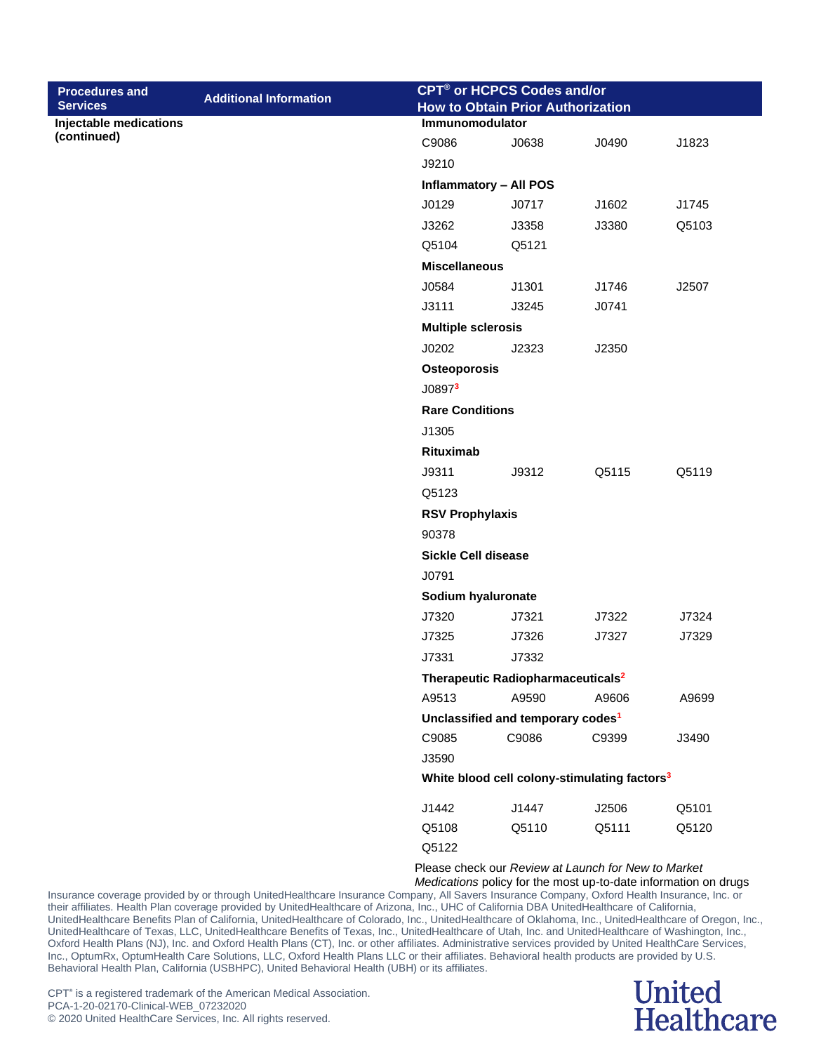| <b>Procedures and</b>  |                               |                                          | <b>CPT<sup>®</sup> or HCPCS Codes and/or</b>             |       |       |  |  |
|------------------------|-------------------------------|------------------------------------------|----------------------------------------------------------|-------|-------|--|--|
| <b>Services</b>        | <b>Additional Information</b> | <b>How to Obtain Prior Authorization</b> |                                                          |       |       |  |  |
| Injectable medications |                               |                                          | <b>Immunomodulator</b>                                   |       |       |  |  |
| (continued)            |                               | C9086                                    | J0638                                                    | J0490 | J1823 |  |  |
|                        |                               | J9210                                    |                                                          |       |       |  |  |
|                        |                               |                                          | <b>Inflammatory - All POS</b>                            |       |       |  |  |
|                        |                               | J0129                                    | J0717                                                    | J1602 | J1745 |  |  |
|                        |                               | J3262                                    | J3358                                                    | J3380 | Q5103 |  |  |
|                        |                               | Q5104                                    | Q5121                                                    |       |       |  |  |
|                        |                               | <b>Miscellaneous</b>                     |                                                          |       |       |  |  |
|                        |                               | J0584                                    | J1301                                                    | J1746 | J2507 |  |  |
|                        |                               | J3111                                    | J3245                                                    | J0741 |       |  |  |
|                        |                               | <b>Multiple sclerosis</b>                |                                                          |       |       |  |  |
|                        |                               | J0202                                    | J2323                                                    | J2350 |       |  |  |
|                        |                               | <b>Osteoporosis</b>                      |                                                          |       |       |  |  |
|                        |                               | J08973                                   |                                                          |       |       |  |  |
|                        |                               | <b>Rare Conditions</b>                   |                                                          |       |       |  |  |
|                        |                               | J1305                                    |                                                          |       |       |  |  |
|                        |                               | <b>Rituximab</b>                         |                                                          |       |       |  |  |
|                        |                               | J9311                                    | J9312                                                    | Q5115 | Q5119 |  |  |
|                        |                               | Q5123                                    |                                                          |       |       |  |  |
|                        |                               | <b>RSV Prophylaxis</b>                   |                                                          |       |       |  |  |
|                        |                               | 90378                                    |                                                          |       |       |  |  |
|                        |                               | <b>Sickle Cell disease</b>               |                                                          |       |       |  |  |
|                        |                               | J0791                                    |                                                          |       |       |  |  |
|                        |                               | Sodium hyaluronate                       |                                                          |       |       |  |  |
|                        |                               | J7320                                    | J7321                                                    | J7322 | J7324 |  |  |
|                        |                               | J7325                                    | J7326                                                    | J7327 | J7329 |  |  |
|                        |                               | J7331                                    | J7332                                                    |       |       |  |  |
|                        |                               |                                          | Therapeutic Radiopharmaceuticals <sup>2</sup>            |       |       |  |  |
|                        |                               | A9513                                    | A9590                                                    | A9606 | A9699 |  |  |
|                        |                               |                                          | Unclassified and temporary codes <sup>1</sup>            |       |       |  |  |
|                        |                               | C9085                                    | C9086                                                    | C9399 | J3490 |  |  |
|                        |                               | J3590                                    |                                                          |       |       |  |  |
|                        |                               |                                          | White blood cell colony-stimulating factors <sup>3</sup> |       |       |  |  |
|                        |                               | J1442                                    | J1447                                                    | J2506 | Q5101 |  |  |
|                        |                               | Q5108                                    | Q5110                                                    | Q5111 | Q5120 |  |  |
|                        |                               | Q5122                                    |                                                          |       |       |  |  |
|                        |                               |                                          | Please check our Review at Launch for New to Market      |       |       |  |  |

*Medications* policy for the most up-to-date information on drugs

Insurance coverage provided by or through UnitedHealthcare Insurance Company, All Savers Insurance Company, Oxford Health Insurance, Inc. or their affiliates. Health Plan coverage provided by UnitedHealthcare of Arizona, Inc., UHC of California DBA UnitedHealthcare of California, UnitedHealthcare Benefits Plan of California, UnitedHealthcare of Colorado, Inc., UnitedHealthcare of Oklahoma, Inc., UnitedHealthcare of Oregon, Inc., UnitedHealthcare of Texas, LLC, UnitedHealthcare Benefits of Texas, Inc., UnitedHealthcare of Utah, Inc. and UnitedHealthcare of Washington, Inc., Oxford Health Plans (NJ), Inc. and Oxford Health Plans (CT), Inc. or other affiliates. Administrative services provided by United HealthCare Services, Inc., OptumRx, OptumHealth Care Solutions, LLC, Oxford Health Plans LLC or their affiliates. Behavioral health products are provided by U.S. Behavioral Health Plan, California (USBHPC), United Behavioral Health (UBH) or its affiliates.

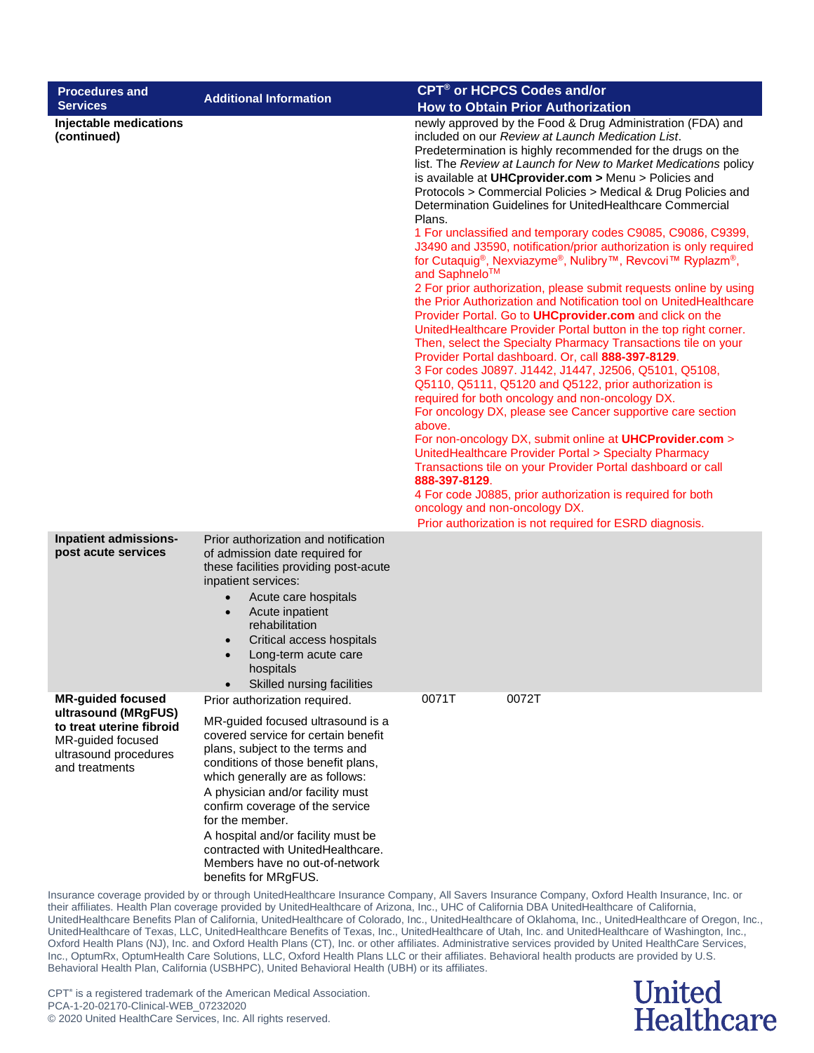| <b>Procedures and</b>                                                                                                                       | <b>Additional Information</b>                                                                                                                                                                                                                                                                                                                                                                                                                        | CPT <sup>®</sup> or HCPCS Codes and/or                                                                                                                                                                                                                                                                                                                                                                                                                                                                                                                                                                                                                                                                                                                                                                                                                                                                                                                                                                                                                                                                                                                                                                                                                                                                                                                                                                                                                                                                                                                                                                                                                                                                                           |
|---------------------------------------------------------------------------------------------------------------------------------------------|------------------------------------------------------------------------------------------------------------------------------------------------------------------------------------------------------------------------------------------------------------------------------------------------------------------------------------------------------------------------------------------------------------------------------------------------------|----------------------------------------------------------------------------------------------------------------------------------------------------------------------------------------------------------------------------------------------------------------------------------------------------------------------------------------------------------------------------------------------------------------------------------------------------------------------------------------------------------------------------------------------------------------------------------------------------------------------------------------------------------------------------------------------------------------------------------------------------------------------------------------------------------------------------------------------------------------------------------------------------------------------------------------------------------------------------------------------------------------------------------------------------------------------------------------------------------------------------------------------------------------------------------------------------------------------------------------------------------------------------------------------------------------------------------------------------------------------------------------------------------------------------------------------------------------------------------------------------------------------------------------------------------------------------------------------------------------------------------------------------------------------------------------------------------------------------------|
| <b>Services</b><br>Injectable medications<br>(continued)                                                                                    |                                                                                                                                                                                                                                                                                                                                                                                                                                                      | <b>How to Obtain Prior Authorization</b><br>newly approved by the Food & Drug Administration (FDA) and<br>included on our Review at Launch Medication List.<br>Predetermination is highly recommended for the drugs on the<br>list. The Review at Launch for New to Market Medications policy<br>is available at UHCprovider.com > Menu > Policies and<br>Protocols > Commercial Policies > Medical & Drug Policies and<br>Determination Guidelines for UnitedHealthcare Commercial<br>Plans.<br>1 For unclassified and temporary codes C9085, C9086, C9399,<br>J3490 and J3590, notification/prior authorization is only required<br>for Cutaquig®, Nexviazyme®, Nulibry™, Revcovi™ Ryplazm®,<br>and Saphnelo™<br>2 For prior authorization, please submit requests online by using<br>the Prior Authorization and Notification tool on UnitedHealthcare<br>Provider Portal. Go to UHCprovider.com and click on the<br>UnitedHealthcare Provider Portal button in the top right corner.<br>Then, select the Specialty Pharmacy Transactions tile on your<br>Provider Portal dashboard. Or, call 888-397-8129.<br>3 For codes J0897. J1442, J1447, J2506, Q5101, Q5108,<br>Q5110, Q5111, Q5120 and Q5122, prior authorization is<br>required for both oncology and non-oncology DX.<br>For oncology DX, please see Cancer supportive care section<br>above.<br>For non-oncology DX, submit online at <b>UHCProvider.com</b> ><br>UnitedHealthcare Provider Portal > Specialty Pharmacy<br>Transactions tile on your Provider Portal dashboard or call<br>888-397-8129.<br>4 For code J0885, prior authorization is required for both<br>oncology and non-oncology DX.<br>Prior authorization is not required for ESRD diagnosis. |
| Inpatient admissions-<br>post acute services                                                                                                | Prior authorization and notification<br>of admission date required for<br>these facilities providing post-acute<br>inpatient services:<br>Acute care hospitals<br>$\bullet$<br>Acute inpatient<br>$\bullet$<br>rehabilitation<br>Critical access hospitals<br>Long-term acute care<br>hospitals<br>Skilled nursing facilities                                                                                                                        |                                                                                                                                                                                                                                                                                                                                                                                                                                                                                                                                                                                                                                                                                                                                                                                                                                                                                                                                                                                                                                                                                                                                                                                                                                                                                                                                                                                                                                                                                                                                                                                                                                                                                                                                  |
| <b>MR-guided focused</b><br>ultrasound (MRgFUS)<br>to treat uterine fibroid<br>MR-guided focused<br>ultrasound procedures<br>and treatments | Prior authorization required.<br>MR-guided focused ultrasound is a<br>covered service for certain benefit<br>plans, subject to the terms and<br>conditions of those benefit plans,<br>which generally are as follows:<br>A physician and/or facility must<br>confirm coverage of the service<br>for the member.<br>A hospital and/or facility must be<br>contracted with UnitedHealthcare.<br>Members have no out-of-network<br>benefits for MRgFUS. | 0072T<br>0071T<br>Insurance coverage provided by or through UnitedHealthcare Insurance Company, All Savers Insurance Company, Oxford Health Insurance, Inc. or                                                                                                                                                                                                                                                                                                                                                                                                                                                                                                                                                                                                                                                                                                                                                                                                                                                                                                                                                                                                                                                                                                                                                                                                                                                                                                                                                                                                                                                                                                                                                                   |

> **United Healthcare**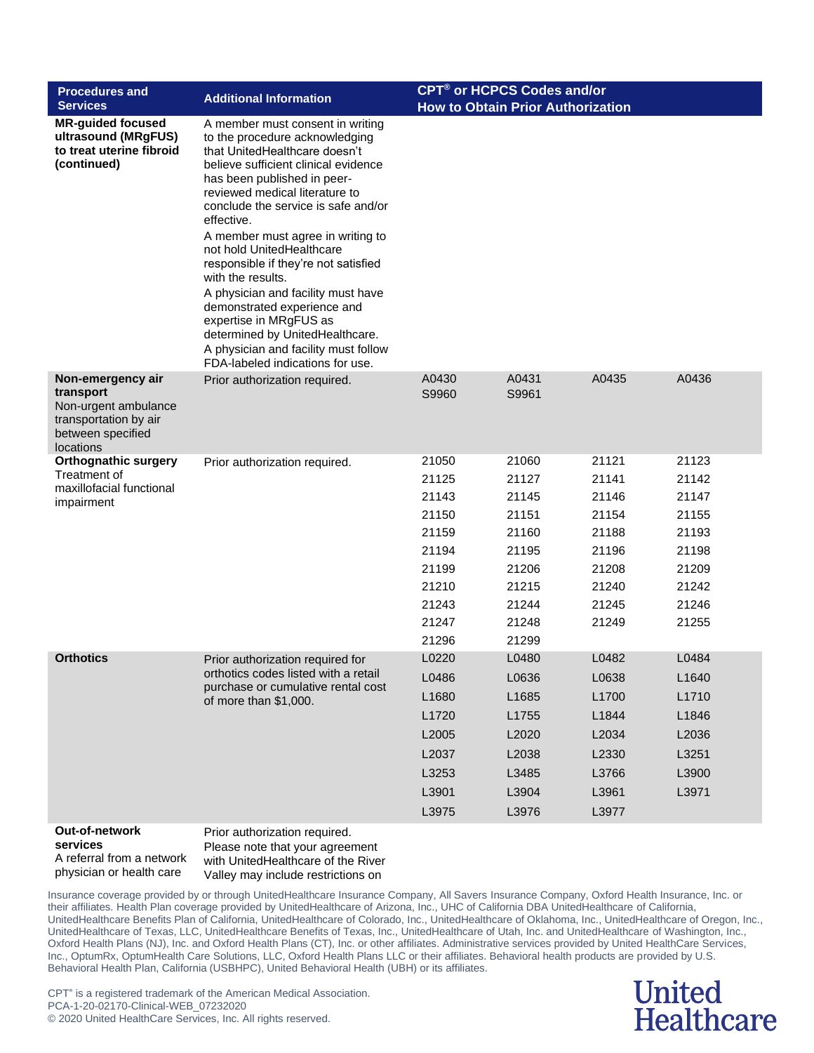| <b>Procedures and</b><br><b>Services</b>                                                                          | <b>Additional Information</b>                                                                                                                                                                                                                                                                                                                                                                                                                                                                                                                                                                                  | <b>CPT<sup>®</sup> or HCPCS Codes and/or</b><br><b>How to Obtain Prior Authorization</b>        |                                                                                                 |                                                                                        |                                                                                        |
|-------------------------------------------------------------------------------------------------------------------|----------------------------------------------------------------------------------------------------------------------------------------------------------------------------------------------------------------------------------------------------------------------------------------------------------------------------------------------------------------------------------------------------------------------------------------------------------------------------------------------------------------------------------------------------------------------------------------------------------------|-------------------------------------------------------------------------------------------------|-------------------------------------------------------------------------------------------------|----------------------------------------------------------------------------------------|----------------------------------------------------------------------------------------|
| <b>MR-guided focused</b><br>ultrasound (MRgFUS)<br>to treat uterine fibroid<br>(continued)                        | A member must consent in writing<br>to the procedure acknowledging<br>that UnitedHealthcare doesn't<br>believe sufficient clinical evidence<br>has been published in peer-<br>reviewed medical literature to<br>conclude the service is safe and/or<br>effective.<br>A member must agree in writing to<br>not hold UnitedHealthcare<br>responsible if they're not satisfied<br>with the results.<br>A physician and facility must have<br>demonstrated experience and<br>expertise in MRgFUS as<br>determined by UnitedHealthcare.<br>A physician and facility must follow<br>FDA-labeled indications for use. |                                                                                                 |                                                                                                 |                                                                                        |                                                                                        |
| Non-emergency air<br>transport<br>Non-urgent ambulance<br>transportation by air<br>between specified<br>locations | Prior authorization required.                                                                                                                                                                                                                                                                                                                                                                                                                                                                                                                                                                                  | A0430<br>S9960                                                                                  | A0431<br>S9961                                                                                  | A0435                                                                                  | A0436                                                                                  |
| <b>Orthognathic surgery</b><br>Treatment of<br>maxillofacial functional<br>impairment                             | Prior authorization required.                                                                                                                                                                                                                                                                                                                                                                                                                                                                                                                                                                                  | 21050<br>21125<br>21143<br>21150<br>21159<br>21194<br>21199<br>21210<br>21243<br>21247<br>21296 | 21060<br>21127<br>21145<br>21151<br>21160<br>21195<br>21206<br>21215<br>21244<br>21248<br>21299 | 21121<br>21141<br>21146<br>21154<br>21188<br>21196<br>21208<br>21240<br>21245<br>21249 | 21123<br>21142<br>21147<br>21155<br>21193<br>21198<br>21209<br>21242<br>21246<br>21255 |
| <b>Orthotics</b>                                                                                                  | Prior authorization required for<br>orthotics codes listed with a retail<br>purchase or cumulative rental cost<br>of more than \$1,000.                                                                                                                                                                                                                                                                                                                                                                                                                                                                        | L0220<br>L0486<br>L1680<br>L1720<br>L2005<br>L2037<br>L3253<br>L3901<br>L3975                   | L0480<br>L0636<br>L1685<br>L1755<br>L2020<br>L2038<br>L3485<br>L3904<br>L3976                   | L0482<br>L0638<br>L1700<br>L1844<br>L2034<br>L2330<br>L3766<br>L3961<br>L3977          | L0484<br>L1640<br>L1710<br>L1846<br>L2036<br>L3251<br>L3900<br>L3971                   |
| Out-of-network<br>services                                                                                        | Prior authorization required.<br>Please note that your agreement                                                                                                                                                                                                                                                                                                                                                                                                                                                                                                                                               |                                                                                                 |                                                                                                 |                                                                                        |                                                                                        |

A referral from a network physician or health care

se note that your agreement with UnitedHealthcare of the River Valley may include restrictions on

Insurance coverage provided by or through UnitedHealthcare Insurance Company, All Savers Insurance Company, Oxford Health Insurance, Inc. or their affiliates. Health Plan coverage provided by UnitedHealthcare of Arizona, Inc., UHC of California DBA UnitedHealthcare of California, UnitedHealthcare Benefits Plan of California, UnitedHealthcare of Colorado, Inc., UnitedHealthcare of Oklahoma, Inc., UnitedHealthcare of Oregon, Inc., UnitedHealthcare of Texas, LLC, UnitedHealthcare Benefits of Texas, Inc., UnitedHealthcare of Utah, Inc. and UnitedHealthcare of Washington, Inc., Oxford Health Plans (NJ), Inc. and Oxford Health Plans (CT), Inc. or other affiliates. Administrative services provided by United HealthCare Services, Inc., OptumRx, OptumHealth Care Solutions, LLC, Oxford Health Plans LLC or their affiliates. Behavioral health products are provided by U.S. Behavioral Health Plan, California (USBHPC), United Behavioral Health (UBH) or its affiliates.

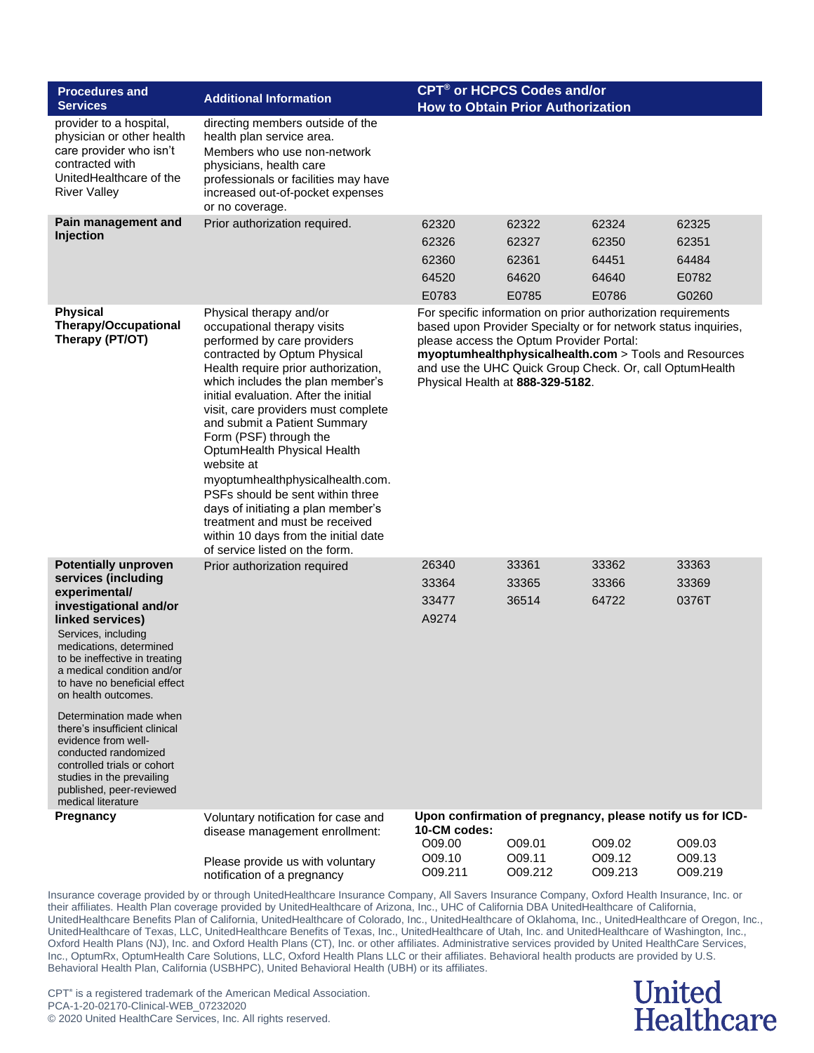| <b>Procedures and</b>                                                                                                                                                                                                                                                                                                                                                                                                                                                                                              | <b>Additional Information</b>                                                                                                                                                                                                                                                                                                                                                                                                                                                                                                                                                                                     | <b>CPT<sup>®</sup> or HCPCS Codes and/or</b>                                                                                                                                                                                                                                                                                       |                                           |                                           |                                           |
|--------------------------------------------------------------------------------------------------------------------------------------------------------------------------------------------------------------------------------------------------------------------------------------------------------------------------------------------------------------------------------------------------------------------------------------------------------------------------------------------------------------------|-------------------------------------------------------------------------------------------------------------------------------------------------------------------------------------------------------------------------------------------------------------------------------------------------------------------------------------------------------------------------------------------------------------------------------------------------------------------------------------------------------------------------------------------------------------------------------------------------------------------|------------------------------------------------------------------------------------------------------------------------------------------------------------------------------------------------------------------------------------------------------------------------------------------------------------------------------------|-------------------------------------------|-------------------------------------------|-------------------------------------------|
| <b>Services</b>                                                                                                                                                                                                                                                                                                                                                                                                                                                                                                    |                                                                                                                                                                                                                                                                                                                                                                                                                                                                                                                                                                                                                   | <b>How to Obtain Prior Authorization</b>                                                                                                                                                                                                                                                                                           |                                           |                                           |                                           |
| provider to a hospital,<br>physician or other health<br>care provider who isn't<br>contracted with<br>UnitedHealthcare of the<br><b>River Valley</b>                                                                                                                                                                                                                                                                                                                                                               | directing members outside of the<br>health plan service area.<br>Members who use non-network<br>physicians, health care<br>professionals or facilities may have<br>increased out-of-pocket expenses<br>or no coverage.                                                                                                                                                                                                                                                                                                                                                                                            |                                                                                                                                                                                                                                                                                                                                    |                                           |                                           |                                           |
| Pain management and<br>Injection                                                                                                                                                                                                                                                                                                                                                                                                                                                                                   | Prior authorization required.                                                                                                                                                                                                                                                                                                                                                                                                                                                                                                                                                                                     | 62320<br>62326<br>62360<br>64520<br>E0783                                                                                                                                                                                                                                                                                          | 62322<br>62327<br>62361<br>64620<br>E0785 | 62324<br>62350<br>64451<br>64640<br>E0786 | 62325<br>62351<br>64484<br>E0782<br>G0260 |
| <b>Physical</b><br><b>Therapy/Occupational</b><br>Therapy (PT/OT)                                                                                                                                                                                                                                                                                                                                                                                                                                                  | Physical therapy and/or<br>occupational therapy visits<br>performed by care providers<br>contracted by Optum Physical<br>Health require prior authorization,<br>which includes the plan member's<br>initial evaluation. After the initial<br>visit, care providers must complete<br>and submit a Patient Summary<br>Form (PSF) through the<br>OptumHealth Physical Health<br>website at<br>myoptumhealthphysicalhealth.com.<br>PSFs should be sent within three<br>days of initiating a plan member's<br>treatment and must be received<br>within 10 days from the initial date<br>of service listed on the form. | For specific information on prior authorization requirements<br>based upon Provider Specialty or for network status inquiries,<br>please access the Optum Provider Portal:<br>myoptumhealthphysicalhealth.com > Tools and Resources<br>and use the UHC Quick Group Check. Or, call OptumHealth<br>Physical Health at 888-329-5182. |                                           |                                           |                                           |
| <b>Potentially unproven</b><br>services (including<br>experimental/<br>investigational and/or<br>linked services)<br>Services, including<br>medications, determined<br>to be ineffective in treating<br>a medical condition and/or<br>to have no beneficial effect<br>on health outcomes.<br>Determination made when<br>there's insufficient clinical<br>evidence from well-<br>conducted randomized<br>controlled trials or cohort<br>studies in the prevailing<br>published, peer-reviewed<br>medical literature | Prior authorization required                                                                                                                                                                                                                                                                                                                                                                                                                                                                                                                                                                                      | 26340<br>33364<br>33477<br>A9274                                                                                                                                                                                                                                                                                                   | 33361<br>33365<br>36514                   | 33362<br>33366<br>64722                   | 33363<br>33369<br>0376T                   |
| Pregnancy                                                                                                                                                                                                                                                                                                                                                                                                                                                                                                          | Voluntary notification for case and<br>disease management enrollment:<br>Please provide us with voluntary                                                                                                                                                                                                                                                                                                                                                                                                                                                                                                         | Upon confirmation of pregnancy, please notify us for ICD-<br>10-CM codes:<br>O09.00<br>O09.10                                                                                                                                                                                                                                      | O09.01<br>O09.11                          | O09.02<br>O09.12                          | O09.03<br>O09.13                          |
|                                                                                                                                                                                                                                                                                                                                                                                                                                                                                                                    | notification of a pregnancy                                                                                                                                                                                                                                                                                                                                                                                                                                                                                                                                                                                       | O09.211                                                                                                                                                                                                                                                                                                                            | O09.212                                   | O09.213                                   | O09.219                                   |

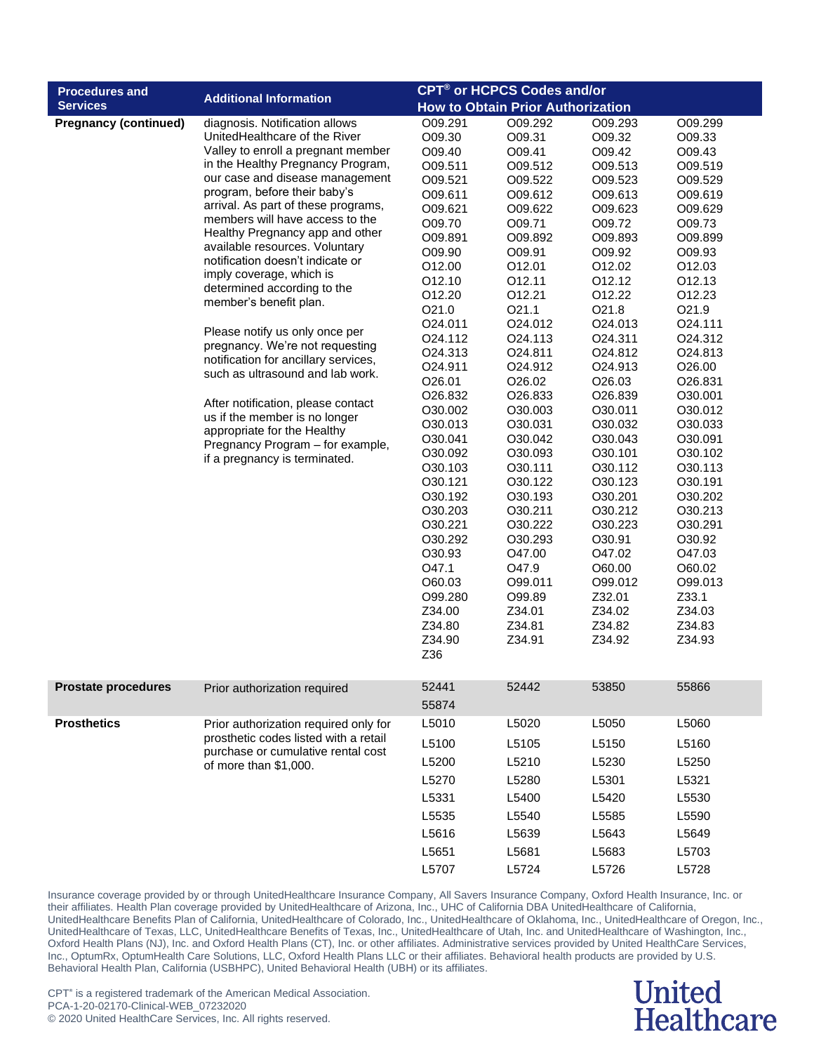| <b>Procedures and</b>        | <b>Additional Information</b>                                                  | <b>CPT<sup>®</sup> or HCPCS Codes and/or</b> |                                          |                    |                    |
|------------------------------|--------------------------------------------------------------------------------|----------------------------------------------|------------------------------------------|--------------------|--------------------|
| <b>Services</b>              |                                                                                |                                              | <b>How to Obtain Prior Authorization</b> |                    |                    |
| <b>Pregnancy (continued)</b> | diagnosis. Notification allows                                                 | O09.291                                      | O09.292                                  | O09.293            | O09.299            |
|                              | UnitedHealthcare of the River                                                  | O09.30                                       | O09.31                                   | O09.32             | O09.33             |
|                              | Valley to enroll a pregnant member                                             | O09.40                                       | O09.41                                   | O09.42             | O09.43             |
|                              | in the Healthy Pregnancy Program,                                              | O09.511                                      | O09.512                                  | O09.513            | O09.519            |
|                              | our case and disease management                                                | O09.521                                      | O09.522                                  | O09.523            | O09.529            |
|                              | program, before their baby's                                                   | O09.611                                      | O09.612                                  | O09.613            | O09.619            |
|                              | arrival. As part of these programs,                                            | O09.621                                      | O09.622                                  | O09.623            | O09.629            |
|                              | members will have access to the<br>Healthy Pregnancy app and other             | O09.70                                       | O09.71                                   | O09.72             | O09.73             |
|                              | available resources. Voluntary                                                 | O09.891                                      | O09.892                                  | O09.893            | O09.899            |
|                              | notification doesn't indicate or                                               | O09.90                                       | O09.91                                   | O09.92             | O09.93             |
|                              | imply coverage, which is                                                       | O12.00                                       | O12.01                                   | O12.02             | O12.03             |
|                              | determined according to the                                                    | O12.10                                       | 012.11                                   | 012.12             | O12.13             |
|                              | member's benefit plan.                                                         | O12.20                                       | 012.21                                   | 012.22             | 012.23             |
|                              |                                                                                | O21.0                                        | O21.1                                    | O21.8              | O <sub>21.9</sub>  |
|                              | Please notify us only once per                                                 | O24.011                                      | O24.012                                  | O24.013            | O24.111            |
|                              | pregnancy. We're not requesting                                                | O24.112                                      | O24.113                                  | O24.311            | O24.312            |
|                              | notification for ancillary services,                                           | O24.313                                      | O <sub>24.811</sub>                      | O24.812            | O24.813            |
|                              | such as ultrasound and lab work.                                               | O24.911                                      | O24.912                                  | O24.913            | O <sub>26.00</sub> |
|                              |                                                                                | O26.01                                       | O26.02                                   | O <sub>26.03</sub> | O26.831            |
|                              | After notification, please contact                                             | O26.832                                      | O <sub>26.833</sub>                      | O26.839            | O30.001            |
|                              | us if the member is no longer                                                  | O30.002                                      | O30.003                                  | O30.011            | O30.012            |
|                              | appropriate for the Healthy                                                    | O30.013                                      | O30.031                                  | O30.032            | O30.033            |
|                              | Pregnancy Program - for example,                                               | O30.041                                      | O30.042                                  | O30.043            | O30.091            |
|                              | if a pregnancy is terminated.                                                  | O30.092                                      | O30.093                                  | O30.101            | O30.102            |
|                              |                                                                                | O30.103                                      | O30.111                                  | O30.112            | O30.113            |
|                              |                                                                                | O30.121                                      | O30.122                                  | O30.123            | O30.191            |
|                              |                                                                                | O30.192                                      | O30.193                                  | O30.201            | O30.202            |
|                              |                                                                                | O30.203                                      | O30.211                                  | O30.212            | O30.213            |
|                              |                                                                                | O30.221                                      | O30.222                                  | O30.223            | O30.291            |
|                              |                                                                                | O30.292                                      | O30.293                                  | O30.91             | O30.92             |
|                              |                                                                                | O30.93                                       | O47.00                                   | O47.02             | O47.03             |
|                              |                                                                                | O47.1                                        | O47.9                                    | O60.00             | O60.02             |
|                              |                                                                                | O60.03                                       | O99.011                                  | O99.012            | O99.013            |
|                              |                                                                                | O99.280                                      | O99.89                                   | Z32.01             | Z33.1              |
|                              |                                                                                | Z34.00                                       | Z34.01                                   | Z34.02             | Z34.03<br>Z34.83   |
|                              |                                                                                | Z34.80                                       | Z34.81<br>Z34.91                         | Z34.82<br>Z34.92   | Z34.93             |
|                              |                                                                                | Z34.90<br>Z36                                |                                          |                    |                    |
|                              |                                                                                |                                              |                                          |                    |                    |
|                              |                                                                                |                                              |                                          |                    |                    |
| <b>Prostate procedures</b>   | Prior authorization required                                                   | 52441                                        | 52442                                    | 53850              | 55866              |
|                              |                                                                                | 55874                                        |                                          |                    |                    |
| <b>Prosthetics</b>           | Prior authorization required only for<br>prosthetic codes listed with a retail | L5010                                        | L5020                                    | L5050              | L5060              |
|                              | purchase or cumulative rental cost                                             | L5100                                        | L5105                                    | L5150              | L5160              |
|                              | of more than \$1,000.                                                          | L5200                                        | L5210                                    | L5230              | L5250              |
|                              |                                                                                | L5270                                        | L5280                                    | L5301              | L5321              |
|                              |                                                                                | L5331                                        | L5400                                    | L5420              | L5530              |
|                              |                                                                                | L5535                                        | L5540                                    | L5585              | L5590              |
|                              |                                                                                | L5616                                        | L5639                                    | L5643              | L5649              |
|                              |                                                                                | L5651                                        | L5681                                    | L5683              | L5703              |
|                              |                                                                                |                                              |                                          |                    |                    |
|                              |                                                                                | L5707                                        | L5724                                    | L5726              | L5728              |

### **United Healthcare**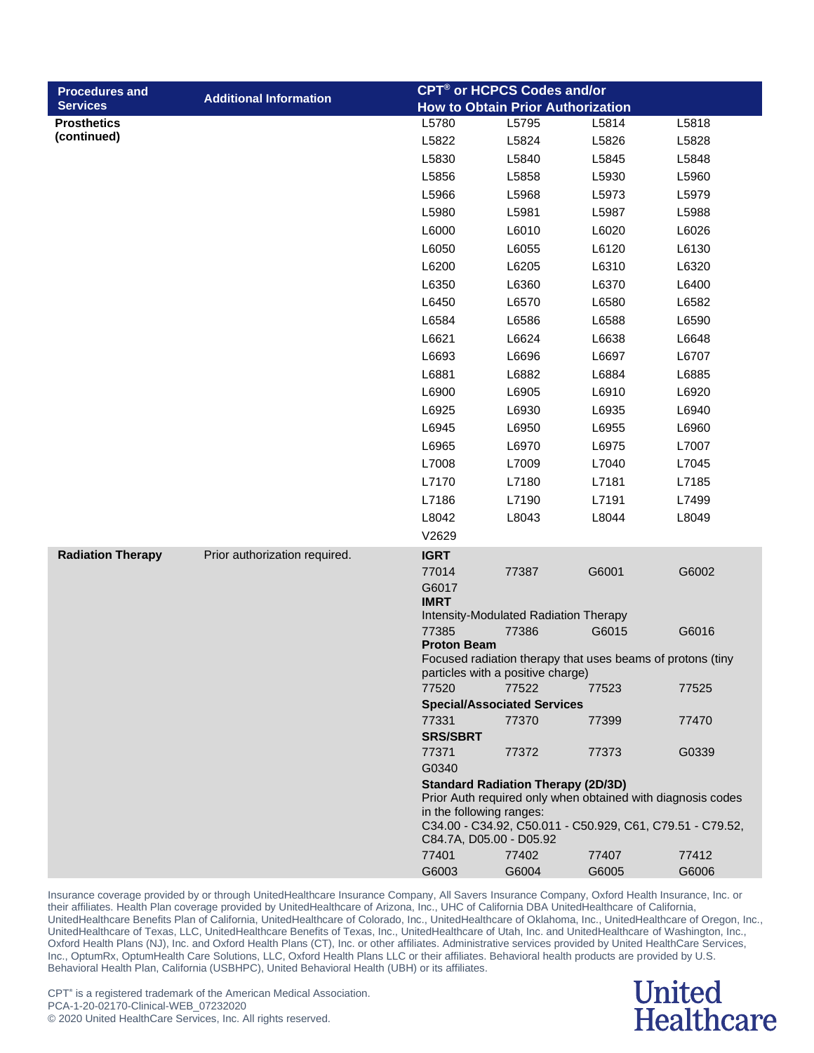| <b>Procedures and</b>    |                               | CPT <sup>®</sup> or HCPCS Codes and/or |                                                |                                                            |                                                             |
|--------------------------|-------------------------------|----------------------------------------|------------------------------------------------|------------------------------------------------------------|-------------------------------------------------------------|
| <b>Services</b>          | <b>Additional Information</b> |                                        | <b>How to Obtain Prior Authorization</b>       |                                                            |                                                             |
| <b>Prosthetics</b>       |                               | L5780                                  | L5795                                          | L5814                                                      | L5818                                                       |
| (continued)              |                               | L5822                                  | L5824                                          | L5826                                                      | L5828                                                       |
|                          |                               | L5830                                  | L5840                                          | L5845                                                      | L5848                                                       |
|                          |                               | L5856                                  | L5858                                          | L5930                                                      | L5960                                                       |
|                          |                               | L5966                                  | L5968                                          | L5973                                                      | L5979                                                       |
|                          |                               | L5980                                  | L5981                                          | L5987                                                      | L5988                                                       |
|                          |                               | L6000                                  | L6010                                          | L6020                                                      | L6026                                                       |
|                          |                               | L6050                                  | L6055                                          | L6120                                                      | L6130                                                       |
|                          |                               | L6200                                  | L6205                                          | L6310                                                      | L6320                                                       |
|                          |                               | L6350                                  | L6360                                          | L6370                                                      | L6400                                                       |
|                          |                               | L6450                                  | L6570                                          | L6580                                                      | L6582                                                       |
|                          |                               | L6584                                  | L6586                                          | L6588                                                      | L6590                                                       |
|                          |                               | L6621                                  | L6624                                          | L6638                                                      | L6648                                                       |
|                          |                               | L6693                                  | L6696                                          | L6697                                                      | L6707                                                       |
|                          |                               | L6881                                  | L6882                                          | L6884                                                      | L6885                                                       |
|                          |                               | L6900                                  | L6905                                          | L6910                                                      | L6920                                                       |
|                          |                               | L6925                                  | L6930                                          | L6935                                                      | L6940                                                       |
|                          |                               | L6945                                  | L6950                                          | L6955                                                      | L6960                                                       |
|                          |                               | L6965                                  | L6970                                          | L6975                                                      | L7007                                                       |
|                          |                               | L7008                                  | L7009                                          | L7040                                                      | L7045                                                       |
|                          |                               | L7170                                  | L7180                                          | L7181                                                      | L7185                                                       |
|                          |                               | L7186                                  | L7190                                          | L7191                                                      | L7499                                                       |
|                          |                               | L8042                                  | L8043                                          | L8044                                                      | L8049                                                       |
|                          |                               | V2629                                  |                                                |                                                            |                                                             |
| <b>Radiation Therapy</b> | Prior authorization required. | <b>IGRT</b>                            |                                                |                                                            |                                                             |
|                          |                               | 77014                                  | 77387                                          | G6001                                                      | G6002                                                       |
|                          |                               | G6017                                  |                                                |                                                            |                                                             |
|                          |                               | <b>IMRT</b>                            |                                                |                                                            |                                                             |
|                          |                               | 77385                                  | Intensity-Modulated Radiation Therapy<br>77386 | G6015                                                      | G6016                                                       |
|                          |                               | <b>Proton Beam</b>                     |                                                |                                                            |                                                             |
|                          |                               |                                        |                                                | Focused radiation therapy that uses beams of protons (tiny |                                                             |
|                          |                               |                                        | particles with a positive charge)              |                                                            |                                                             |
|                          |                               | 77520                                  | 77522                                          | 77523                                                      | 77525                                                       |
|                          |                               | 77331                                  | <b>Special/Associated Services</b><br>77370    | 77399                                                      | 77470                                                       |
|                          |                               | <b>SRS/SBRT</b>                        |                                                |                                                            |                                                             |
|                          |                               | 77371                                  | 77372                                          | 77373                                                      | G0339                                                       |
|                          |                               | G0340                                  |                                                |                                                            |                                                             |
|                          |                               |                                        | <b>Standard Radiation Therapy (2D/3D)</b>      |                                                            | Prior Auth required only when obtained with diagnosis codes |
|                          |                               | in the following ranges:               |                                                |                                                            |                                                             |
|                          |                               | C84.7A, D05.00 - D05.92                |                                                |                                                            | C34.00 - C34.92, C50.011 - C50.929, C61, C79.51 - C79.52,   |
|                          |                               | 77401                                  | 77402                                          | 77407                                                      | 77412                                                       |
|                          |                               | G6003                                  | G6004                                          | G6005                                                      | G6006                                                       |

#### **United Healthcare**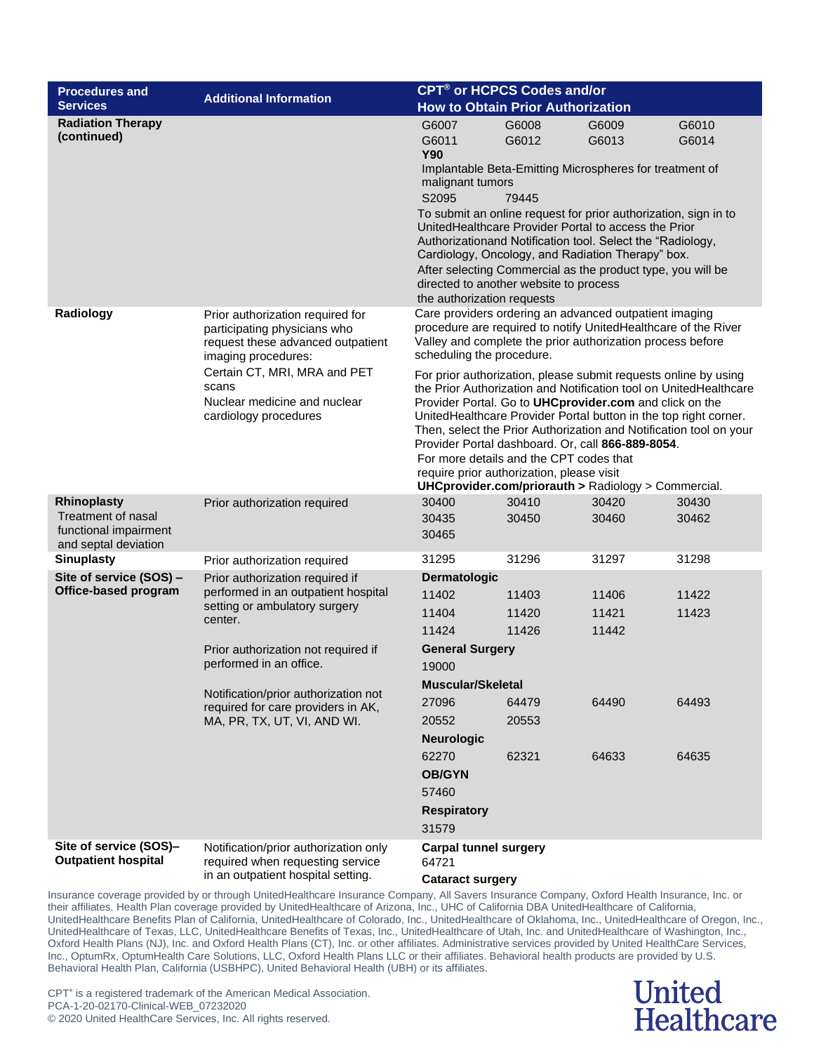| CPT <sup>®</sup> or HCPCS Codes and/or<br><b>Procedures and</b>                                  |                                                                                                                                                                                                                                                                                                   |                                                                                                                                                                                                                                                                                                                                                                                                                                                                                                                                                                                                                                                                                                                                                                                   |                                                    |                                           |                                  |
|--------------------------------------------------------------------------------------------------|---------------------------------------------------------------------------------------------------------------------------------------------------------------------------------------------------------------------------------------------------------------------------------------------------|-----------------------------------------------------------------------------------------------------------------------------------------------------------------------------------------------------------------------------------------------------------------------------------------------------------------------------------------------------------------------------------------------------------------------------------------------------------------------------------------------------------------------------------------------------------------------------------------------------------------------------------------------------------------------------------------------------------------------------------------------------------------------------------|----------------------------------------------------|-------------------------------------------|----------------------------------|
| <b>Services</b>                                                                                  | <b>Additional Information</b>                                                                                                                                                                                                                                                                     | <b>How to Obtain Prior Authorization</b>                                                                                                                                                                                                                                                                                                                                                                                                                                                                                                                                                                                                                                                                                                                                          |                                                    |                                           |                                  |
| <b>Radiation Therapy</b><br>(continued)                                                          |                                                                                                                                                                                                                                                                                                   | G6008<br>G6009<br>G6010<br>G6007<br>G6014<br>G6011<br>G6012<br>G6013<br><b>Y90</b><br>Implantable Beta-Emitting Microspheres for treatment of<br>malignant tumors<br>S2095<br>79445<br>To submit an online request for prior authorization, sign in to<br>UnitedHealthcare Provider Portal to access the Prior<br>Authorizationand Notification tool. Select the "Radiology,<br>Cardiology, Oncology, and Radiation Therapy" box.<br>After selecting Commercial as the product type, you will be<br>directed to another website to process<br>the authorization requests                                                                                                                                                                                                          |                                                    |                                           |                                  |
| Radiology                                                                                        | Prior authorization required for<br>participating physicians who<br>request these advanced outpatient<br>imaging procedures:<br>Certain CT, MRI, MRA and PET<br>scans<br>Nuclear medicine and nuclear<br>cardiology procedures                                                                    | Care providers ordering an advanced outpatient imaging<br>procedure are required to notify UnitedHealthcare of the River<br>Valley and complete the prior authorization process before<br>scheduling the procedure.<br>For prior authorization, please submit requests online by using<br>the Prior Authorization and Notification tool on UnitedHealthcare<br>Provider Portal. Go to UHCprovider.com and click on the<br>UnitedHealthcare Provider Portal button in the top right corner.<br>Then, select the Prior Authorization and Notification tool on your<br>Provider Portal dashboard. Or, call 866-889-8054.<br>For more details and the CPT codes that<br>require prior authorization, please visit<br><b>UHCprovider.com/priorauth &gt; Radiology &gt; Commercial.</b> |                                                    |                                           |                                  |
| <b>Rhinoplasty</b><br><b>Treatment of nasal</b><br>functional impairment<br>and septal deviation | Prior authorization required                                                                                                                                                                                                                                                                      | 30400<br>30435<br>30465                                                                                                                                                                                                                                                                                                                                                                                                                                                                                                                                                                                                                                                                                                                                                           | 30410<br>30450                                     | 30420<br>30460                            | 30430<br>30462                   |
| <b>Sinuplasty</b>                                                                                | Prior authorization required                                                                                                                                                                                                                                                                      | 31295                                                                                                                                                                                                                                                                                                                                                                                                                                                                                                                                                                                                                                                                                                                                                                             | 31296                                              | 31297                                     | 31298                            |
| Site of service (SOS) -<br>Office-based program                                                  | Prior authorization required if<br>performed in an outpatient hospital<br>setting or ambulatory surgery<br>center.<br>Prior authorization not required if<br>performed in an office.<br>Notification/prior authorization not<br>required for care providers in AK,<br>MA, PR, TX, UT, VI, AND WI. | Dermatologic<br>11402<br>11404<br>11424<br><b>General Surgery</b><br>19000<br><b>Muscular/Skeletal</b><br>27096<br>20552<br><b>Neurologic</b><br>62270<br><b>OB/GYN</b><br>57460<br><b>Respiratory</b><br>31579                                                                                                                                                                                                                                                                                                                                                                                                                                                                                                                                                                   | 11403<br>11420<br>11426<br>64479<br>20553<br>62321 | 11406<br>11421<br>11442<br>64490<br>64633 | 11422<br>11423<br>64493<br>64635 |
| Site of service (SOS)-<br><b>Outpatient hospital</b>                                             | Notification/prior authorization only<br>required when requesting service<br>in an outpatient hospital setting.                                                                                                                                                                                   | <b>Carpal tunnel surgery</b><br>64721<br><b>Cataract surgery</b>                                                                                                                                                                                                                                                                                                                                                                                                                                                                                                                                                                                                                                                                                                                  |                                                    |                                           |                                  |

### **United Healthcare**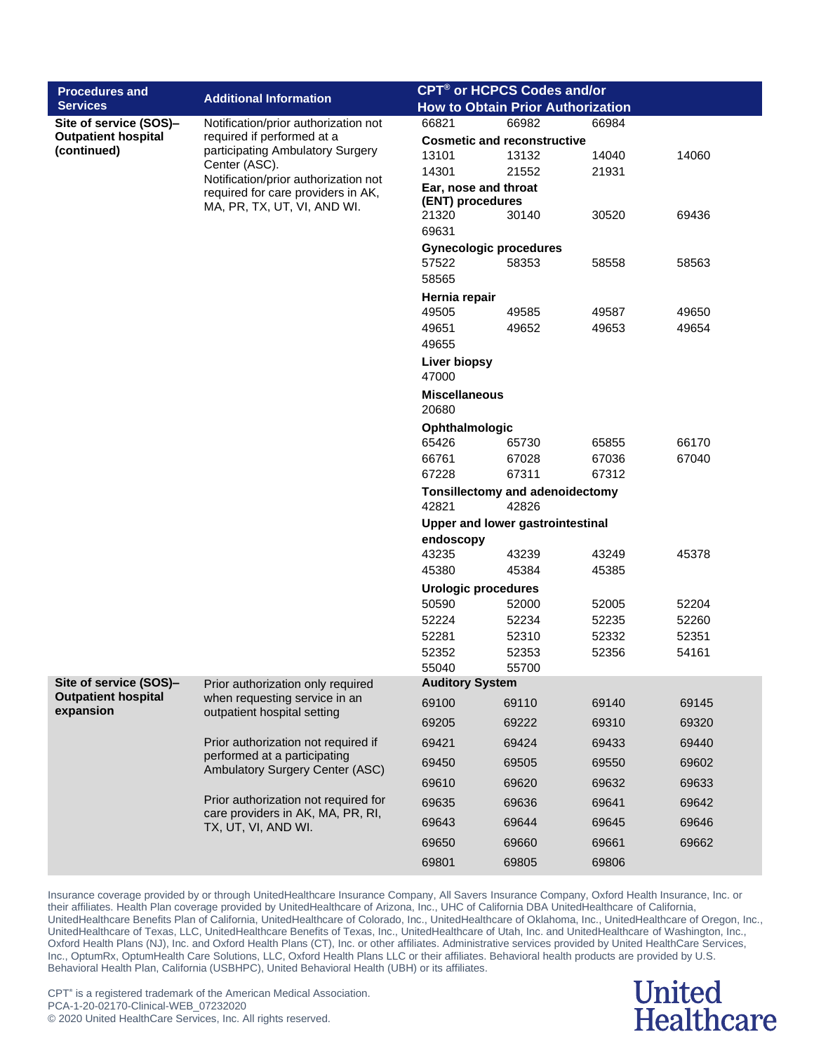| CPT <sup>®</sup> or HCPCS Codes and/or<br><b>Procedures and</b> |                                                          |                                                          |                                    |                |                |  |
|-----------------------------------------------------------------|----------------------------------------------------------|----------------------------------------------------------|------------------------------------|----------------|----------------|--|
| <b>Services</b>                                                 | <b>Additional Information</b>                            | <b>How to Obtain Prior Authorization</b>                 |                                    |                |                |  |
| Site of service (SOS)-                                          | Notification/prior authorization not                     | 66821                                                    | 66982                              | 66984          |                |  |
| <b>Outpatient hospital</b><br>(continued)                       | required if performed at a                               |                                                          | <b>Cosmetic and reconstructive</b> |                |                |  |
|                                                                 | participating Ambulatory Surgery<br>Center (ASC).        | 13101                                                    | 13132                              | 14040          | 14060          |  |
|                                                                 | Notification/prior authorization not                     | 14301                                                    | 21552                              | 21931          |                |  |
|                                                                 | required for care providers in AK,                       | Ear, nose and throat                                     |                                    |                |                |  |
|                                                                 | MA, PR, TX, UT, VI, AND WI.                              | (ENT) procedures<br>21320                                | 30140                              | 30520          | 69436          |  |
|                                                                 |                                                          | 69631                                                    |                                    |                |                |  |
|                                                                 |                                                          | <b>Gynecologic procedures</b>                            |                                    |                |                |  |
|                                                                 |                                                          | 57522                                                    | 58353                              | 58558          | 58563          |  |
|                                                                 |                                                          | 58565                                                    |                                    |                |                |  |
|                                                                 |                                                          | Hernia repair                                            |                                    |                |                |  |
|                                                                 |                                                          | 49505                                                    | 49585                              | 49587          | 49650          |  |
|                                                                 |                                                          | 49651                                                    | 49652                              | 49653          | 49654          |  |
|                                                                 |                                                          | 49655                                                    |                                    |                |                |  |
|                                                                 |                                                          | Liver biopsy<br>47000                                    |                                    |                |                |  |
|                                                                 |                                                          | <b>Miscellaneous</b><br>20680                            |                                    |                |                |  |
|                                                                 |                                                          | Ophthalmologic                                           |                                    |                |                |  |
|                                                                 |                                                          | 65426                                                    | 65730                              | 65855          | 66170          |  |
|                                                                 |                                                          | 66761                                                    | 67028                              | 67036          | 67040          |  |
|                                                                 |                                                          | 67228                                                    | 67311                              | 67312          |                |  |
|                                                                 |                                                          | <b>Tonsillectomy and adenoidectomy</b><br>42821<br>42826 |                                    |                |                |  |
|                                                                 |                                                          | Upper and lower gastrointestinal                         |                                    |                |                |  |
|                                                                 |                                                          | endoscopy                                                |                                    |                |                |  |
|                                                                 |                                                          | 43235                                                    | 43239                              | 43249          | 45378          |  |
|                                                                 |                                                          | 45380                                                    | 45384                              | 45385          |                |  |
|                                                                 |                                                          | <b>Urologic procedures</b>                               |                                    |                |                |  |
|                                                                 |                                                          | 50590<br>52224                                           | 52000<br>52234                     | 52005<br>52235 | 52204<br>52260 |  |
|                                                                 |                                                          | 52281                                                    | 52310                              | 52332          | 52351          |  |
|                                                                 |                                                          | 52352                                                    | 52353                              | 52356          | 54161          |  |
|                                                                 |                                                          | 55040                                                    | 55700                              |                |                |  |
| Site of service (SOS)-                                          | Prior authorization only required                        | <b>Auditory System</b>                                   |                                    |                |                |  |
| <b>Outpatient hospital</b>                                      | when requesting service in an                            | 69100                                                    | 69110                              | 69140          | 69145          |  |
| expansion                                                       | outpatient hospital setting                              | 69205                                                    | 69222                              | 69310          | 69320          |  |
|                                                                 | Prior authorization not required if                      | 69421                                                    | 69424                              | 69433          | 69440          |  |
|                                                                 | performed at a participating                             |                                                          |                                    |                |                |  |
|                                                                 | Ambulatory Surgery Center (ASC)                          | 69450                                                    | 69505                              | 69550          | 69602          |  |
|                                                                 |                                                          | 69610                                                    | 69620                              | 69632          | 69633          |  |
|                                                                 | Prior authorization not required for                     | 69635                                                    | 69636                              | 69641          | 69642          |  |
|                                                                 | care providers in AK, MA, PR, RI,<br>TX, UT, VI, AND WI. | 69643                                                    | 69644                              | 69645          | 69646          |  |
|                                                                 |                                                          | 69650                                                    | 69660                              | 69661          | 69662          |  |
|                                                                 |                                                          | 69801                                                    | 69805                              | 69806          |                |  |

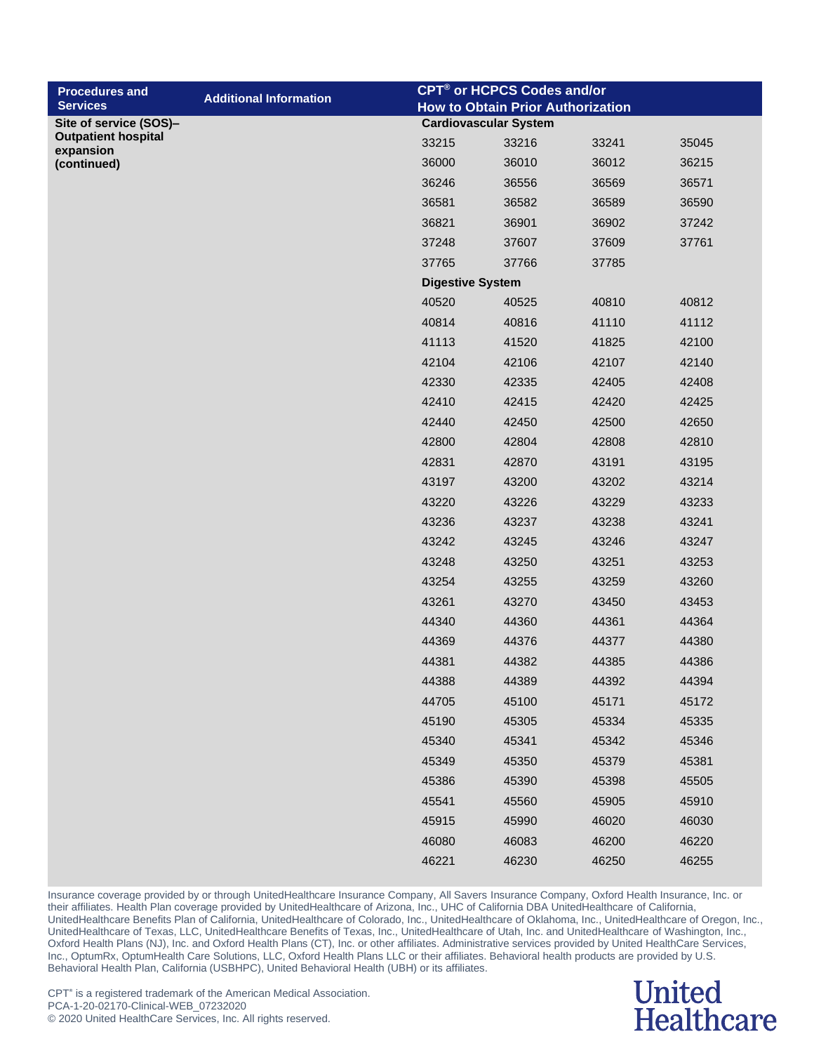| <b>Procedures and</b><br><b>Services</b> | <b>Additional Information</b> |                         | CPT <sup>®</sup> or HCPCS Codes and/or                                   |       |       |  |  |
|------------------------------------------|-------------------------------|-------------------------|--------------------------------------------------------------------------|-------|-------|--|--|
| Site of service (SOS)-                   |                               |                         | <b>How to Obtain Prior Authorization</b><br><b>Cardiovascular System</b> |       |       |  |  |
| <b>Outpatient hospital</b>               |                               | 33215                   | 33216                                                                    | 33241 | 35045 |  |  |
| expansion<br>(continued)                 |                               | 36000                   | 36010                                                                    | 36012 | 36215 |  |  |
|                                          |                               | 36246                   | 36556                                                                    | 36569 | 36571 |  |  |
|                                          |                               | 36581                   | 36582                                                                    | 36589 | 36590 |  |  |
|                                          |                               | 36821                   | 36901                                                                    | 36902 | 37242 |  |  |
|                                          |                               | 37248                   | 37607                                                                    | 37609 | 37761 |  |  |
|                                          |                               | 37765                   | 37766                                                                    | 37785 |       |  |  |
|                                          |                               | <b>Digestive System</b> |                                                                          |       |       |  |  |
|                                          |                               | 40520                   | 40525                                                                    | 40810 | 40812 |  |  |
|                                          |                               | 40814                   | 40816                                                                    | 41110 | 41112 |  |  |
|                                          |                               | 41113                   | 41520                                                                    | 41825 | 42100 |  |  |
|                                          |                               | 42104                   | 42106                                                                    | 42107 | 42140 |  |  |
|                                          |                               | 42330                   | 42335                                                                    | 42405 | 42408 |  |  |
|                                          |                               | 42410                   | 42415                                                                    | 42420 | 42425 |  |  |
|                                          |                               | 42440                   | 42450                                                                    | 42500 | 42650 |  |  |
|                                          |                               | 42800                   | 42804                                                                    | 42808 | 42810 |  |  |
|                                          |                               | 42831                   | 42870                                                                    | 43191 | 43195 |  |  |
|                                          |                               | 43197                   | 43200                                                                    | 43202 | 43214 |  |  |
|                                          |                               | 43220                   | 43226                                                                    | 43229 | 43233 |  |  |
|                                          |                               | 43236                   | 43237                                                                    | 43238 | 43241 |  |  |
|                                          |                               | 43242                   | 43245                                                                    | 43246 | 43247 |  |  |
|                                          |                               | 43248                   | 43250                                                                    | 43251 | 43253 |  |  |
|                                          |                               | 43254                   | 43255                                                                    | 43259 | 43260 |  |  |
|                                          |                               | 43261                   | 43270                                                                    | 43450 | 43453 |  |  |
|                                          |                               | 44340                   | 44360                                                                    | 44361 | 44364 |  |  |
|                                          |                               | 44369                   | 44376                                                                    | 44377 | 44380 |  |  |
|                                          |                               | 44381                   | 44382                                                                    | 44385 | 44386 |  |  |
|                                          |                               | 44388                   | 44389                                                                    | 44392 | 44394 |  |  |
|                                          |                               | 44705                   | 45100                                                                    | 45171 | 45172 |  |  |
|                                          |                               | 45190                   | 45305                                                                    | 45334 | 45335 |  |  |
|                                          |                               | 45340                   | 45341                                                                    | 45342 | 45346 |  |  |
|                                          |                               | 45349                   | 45350                                                                    | 45379 | 45381 |  |  |
|                                          |                               | 45386                   | 45390                                                                    | 45398 | 45505 |  |  |
|                                          |                               | 45541                   | 45560                                                                    | 45905 | 45910 |  |  |
|                                          |                               | 45915                   | 45990                                                                    | 46020 | 46030 |  |  |
|                                          |                               | 46080                   | 46083                                                                    | 46200 | 46220 |  |  |
|                                          |                               | 46221                   | 46230                                                                    | 46250 | 46255 |  |  |

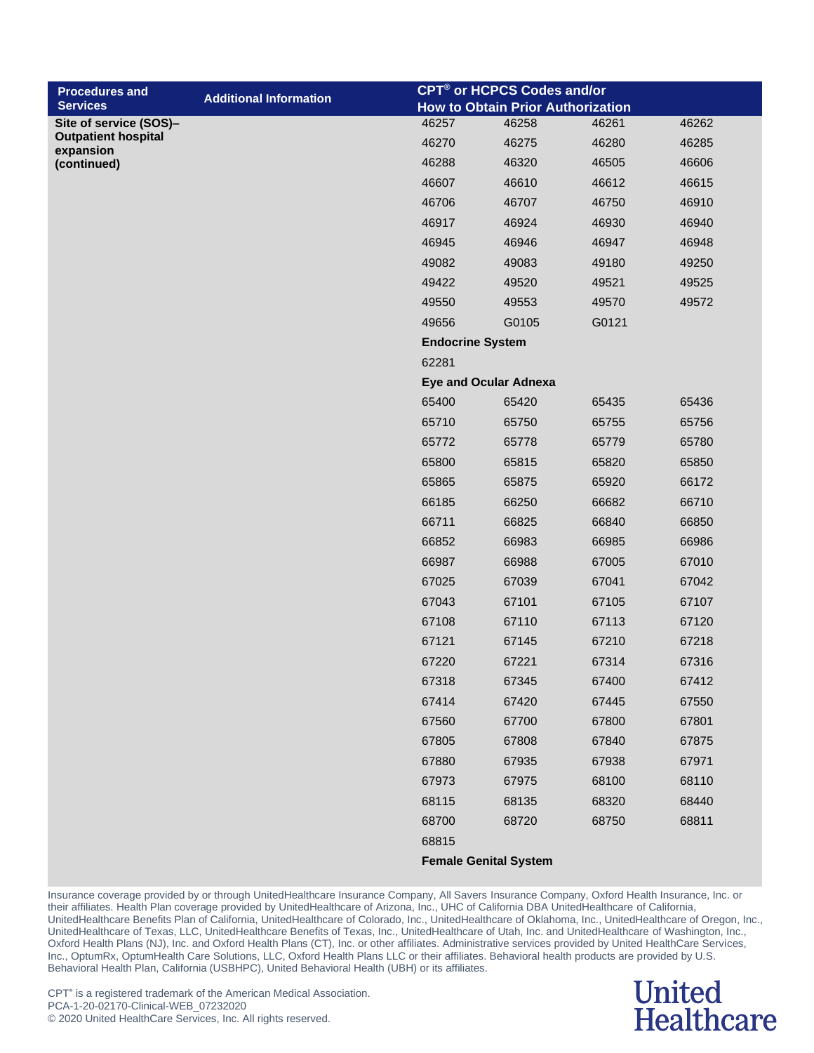| <b>Procedures and</b>                   | <b>Additional Information</b> |                         | CPT <sup>®</sup> or HCPCS Codes and/or   |       |       |
|-----------------------------------------|-------------------------------|-------------------------|------------------------------------------|-------|-------|
| <b>Services</b>                         |                               |                         | <b>How to Obtain Prior Authorization</b> |       |       |
| Site of service (SOS)-                  |                               | 46257                   | 46258                                    | 46261 | 46262 |
| <b>Outpatient hospital</b><br>expansion |                               | 46270                   | 46275                                    | 46280 | 46285 |
| (continued)                             |                               | 46288                   | 46320                                    | 46505 | 46606 |
|                                         |                               | 46607                   | 46610                                    | 46612 | 46615 |
|                                         |                               | 46706                   | 46707                                    | 46750 | 46910 |
|                                         |                               | 46917                   | 46924                                    | 46930 | 46940 |
|                                         |                               | 46945                   | 46946                                    | 46947 | 46948 |
|                                         |                               | 49082                   | 49083                                    | 49180 | 49250 |
|                                         |                               | 49422                   | 49520                                    | 49521 | 49525 |
|                                         |                               | 49550                   | 49553                                    | 49570 | 49572 |
|                                         |                               | 49656                   | G0105                                    | G0121 |       |
|                                         |                               | <b>Endocrine System</b> |                                          |       |       |
|                                         |                               | 62281                   |                                          |       |       |
|                                         |                               |                         | <b>Eye and Ocular Adnexa</b>             |       |       |
|                                         |                               | 65400                   | 65420                                    | 65435 | 65436 |
|                                         |                               | 65710                   | 65750                                    | 65755 | 65756 |
|                                         |                               | 65772                   | 65778                                    | 65779 | 65780 |
|                                         |                               | 65800                   | 65815                                    | 65820 | 65850 |
|                                         |                               | 65865                   | 65875                                    | 65920 | 66172 |
|                                         |                               | 66185                   | 66250                                    | 66682 | 66710 |
|                                         |                               | 66711                   | 66825                                    | 66840 | 66850 |
|                                         |                               | 66852                   | 66983                                    | 66985 | 66986 |
|                                         |                               | 66987                   | 66988                                    | 67005 | 67010 |
|                                         |                               | 67025                   | 67039                                    | 67041 | 67042 |
|                                         |                               | 67043                   | 67101                                    | 67105 | 67107 |
|                                         |                               | 67108                   | 67110                                    | 67113 | 67120 |
|                                         |                               | 67121                   | 67145                                    | 67210 | 67218 |
|                                         |                               | 67220                   | 67221                                    | 67314 | 67316 |
|                                         |                               | 67318                   | 67345                                    | 67400 | 67412 |
|                                         |                               | 67414                   | 67420                                    | 67445 | 67550 |
|                                         |                               | 67560                   | 67700                                    | 67800 | 67801 |
|                                         |                               | 67805                   | 67808                                    | 67840 | 67875 |
|                                         |                               | 67880                   | 67935                                    | 67938 | 67971 |
|                                         |                               | 67973                   | 67975                                    | 68100 | 68110 |
|                                         |                               | 68115                   | 68135                                    | 68320 | 68440 |
|                                         |                               | 68700                   | 68720                                    | 68750 | 68811 |
|                                         |                               | 68815                   |                                          |       |       |

**Female Genital System**

Insurance coverage provided by or through UnitedHealthcare Insurance Company, All Savers Insurance Company, Oxford Health Insurance, Inc. or their affiliates. Health Plan coverage provided by UnitedHealthcare of Arizona, Inc., UHC of California DBA UnitedHealthcare of California, UnitedHealthcare Benefits Plan of California, UnitedHealthcare of Colorado, Inc., UnitedHealthcare of Oklahoma, Inc., UnitedHealthcare of Oregon, Inc., UnitedHealthcare of Texas, LLC, UnitedHealthcare Benefits of Texas, Inc., UnitedHealthcare of Utah, Inc. and UnitedHealthcare of Washington, Inc., Oxford Health Plans (NJ), Inc. and Oxford Health Plans (CT), Inc. or other affiliates. Administrative services provided by United HealthCare Services, Inc., OptumRx, OptumHealth Care Solutions, LLC, Oxford Health Plans LLC or their affiliates. Behavioral health products are provided by U.S. Behavioral Health Plan, California (USBHPC), United Behavioral Health (UBH) or its affiliates.

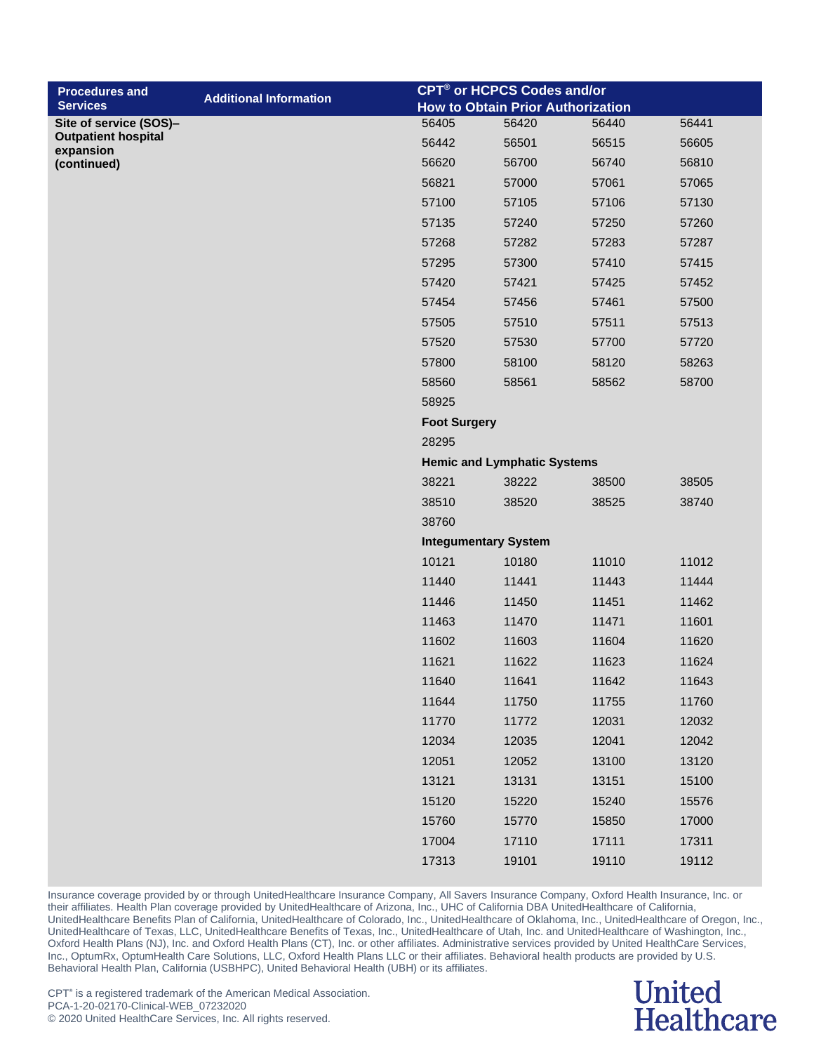| <b>Procedures and</b>                   |                               |                     | CPT <sup>®</sup> or HCPCS Codes and/or   |       |       |
|-----------------------------------------|-------------------------------|---------------------|------------------------------------------|-------|-------|
| <b>Services</b>                         | <b>Additional Information</b> |                     | <b>How to Obtain Prior Authorization</b> |       |       |
| Site of service (SOS)-                  |                               | 56405               | 56420                                    | 56440 | 56441 |
| <b>Outpatient hospital</b><br>expansion |                               | 56442               | 56501                                    | 56515 | 56605 |
| (continued)                             |                               | 56620               | 56700                                    | 56740 | 56810 |
|                                         |                               | 56821               | 57000                                    | 57061 | 57065 |
|                                         |                               | 57100               | 57105                                    | 57106 | 57130 |
|                                         |                               | 57135               | 57240                                    | 57250 | 57260 |
|                                         |                               | 57268               | 57282                                    | 57283 | 57287 |
|                                         |                               | 57295               | 57300                                    | 57410 | 57415 |
|                                         |                               | 57420               | 57421                                    | 57425 | 57452 |
|                                         |                               | 57454               | 57456                                    | 57461 | 57500 |
|                                         |                               | 57505               | 57510                                    | 57511 | 57513 |
|                                         |                               | 57520               | 57530                                    | 57700 | 57720 |
|                                         |                               | 57800               | 58100                                    | 58120 | 58263 |
|                                         |                               | 58560               | 58561                                    | 58562 | 58700 |
|                                         |                               | 58925               |                                          |       |       |
|                                         |                               | <b>Foot Surgery</b> |                                          |       |       |
|                                         |                               | 28295               |                                          |       |       |
|                                         |                               |                     | <b>Hemic and Lymphatic Systems</b>       |       |       |
|                                         |                               | 38221               | 38222                                    | 38500 | 38505 |
|                                         |                               | 38510               | 38520                                    | 38525 | 38740 |
|                                         |                               | 38760               |                                          |       |       |
|                                         |                               |                     | <b>Integumentary System</b>              |       |       |
|                                         |                               | 10121               | 10180                                    | 11010 | 11012 |
|                                         |                               | 11440               | 11441                                    | 11443 | 11444 |
|                                         |                               | 11446               | 11450                                    | 11451 | 11462 |
|                                         |                               | 11463               | 11470                                    | 11471 | 11601 |
|                                         |                               | 11602               | 11603                                    | 11604 | 11620 |
|                                         |                               | 11621               | 11622                                    | 11623 | 11624 |
|                                         |                               | 11640               | 11641                                    | 11642 | 11643 |
|                                         |                               | 11644               | 11750                                    | 11755 | 11760 |
|                                         |                               | 11770               | 11772                                    | 12031 | 12032 |
|                                         |                               | 12034               | 12035                                    | 12041 | 12042 |
|                                         |                               | 12051               | 12052                                    | 13100 | 13120 |
|                                         |                               | 13121               | 13131                                    | 13151 | 15100 |
|                                         |                               | 15120               | 15220                                    | 15240 | 15576 |
|                                         |                               | 15760               | 15770                                    | 15850 | 17000 |
|                                         |                               | 17004               | 17110                                    | 17111 | 17311 |
|                                         |                               | 17313               | 19101                                    | 19110 | 19112 |

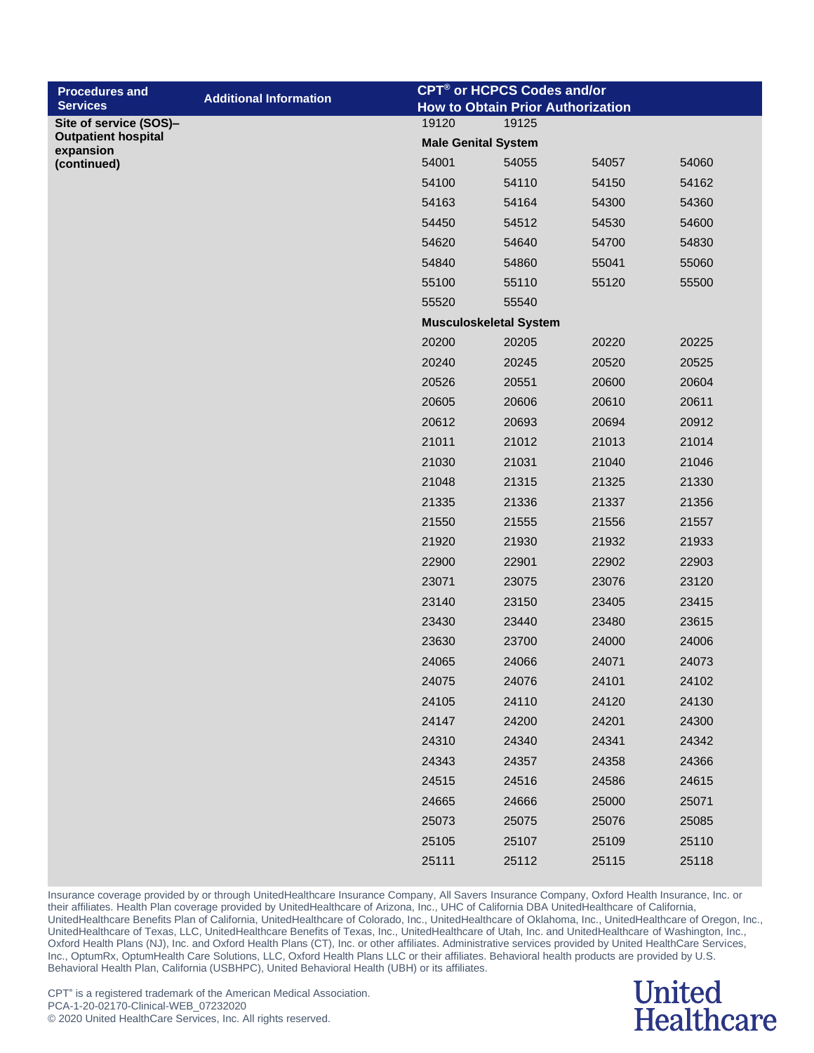| <b>Procedures and</b>                   |                               |                            | CPT <sup>®</sup> or HCPCS Codes and/or   |       |       |
|-----------------------------------------|-------------------------------|----------------------------|------------------------------------------|-------|-------|
| <b>Services</b>                         | <b>Additional Information</b> |                            | <b>How to Obtain Prior Authorization</b> |       |       |
| Site of service (SOS)-                  |                               | 19120                      | 19125                                    |       |       |
| <b>Outpatient hospital</b><br>expansion |                               | <b>Male Genital System</b> |                                          |       |       |
| (continued)                             |                               | 54001                      | 54055                                    | 54057 | 54060 |
|                                         |                               | 54100                      | 54110                                    | 54150 | 54162 |
|                                         |                               | 54163                      | 54164                                    | 54300 | 54360 |
|                                         |                               | 54450                      | 54512                                    | 54530 | 54600 |
|                                         |                               | 54620                      | 54640                                    | 54700 | 54830 |
|                                         |                               | 54840                      | 54860                                    | 55041 | 55060 |
|                                         |                               | 55100                      | 55110                                    | 55120 | 55500 |
|                                         |                               | 55520                      | 55540                                    |       |       |
|                                         |                               |                            | <b>Musculoskeletal System</b>            |       |       |
|                                         |                               | 20200                      | 20205                                    | 20220 | 20225 |
|                                         |                               | 20240                      | 20245                                    | 20520 | 20525 |
|                                         |                               | 20526                      | 20551                                    | 20600 | 20604 |
|                                         |                               | 20605                      | 20606                                    | 20610 | 20611 |
|                                         |                               | 20612                      | 20693                                    | 20694 | 20912 |
|                                         |                               | 21011                      | 21012                                    | 21013 | 21014 |
|                                         |                               | 21030                      | 21031                                    | 21040 | 21046 |
|                                         |                               | 21048                      | 21315                                    | 21325 | 21330 |
|                                         |                               | 21335                      | 21336                                    | 21337 | 21356 |
|                                         |                               | 21550                      | 21555                                    | 21556 | 21557 |
|                                         |                               | 21920                      | 21930                                    | 21932 | 21933 |
|                                         |                               | 22900                      | 22901                                    | 22902 | 22903 |
|                                         |                               | 23071                      | 23075                                    | 23076 | 23120 |
|                                         |                               | 23140                      | 23150                                    | 23405 | 23415 |
|                                         |                               | 23430                      | 23440                                    | 23480 | 23615 |
|                                         |                               | 23630                      | 23700                                    | 24000 | 24006 |
|                                         |                               | 24065                      | 24066                                    | 24071 | 24073 |
|                                         |                               | 24075                      | 24076                                    | 24101 | 24102 |
|                                         |                               | 24105                      | 24110                                    | 24120 | 24130 |
|                                         |                               | 24147                      | 24200                                    | 24201 | 24300 |
|                                         |                               | 24310                      | 24340                                    | 24341 | 24342 |
|                                         |                               | 24343                      | 24357                                    | 24358 | 24366 |
|                                         |                               | 24515                      | 24516                                    | 24586 | 24615 |
|                                         |                               | 24665                      | 24666                                    | 25000 | 25071 |
|                                         |                               | 25073                      | 25075                                    | 25076 | 25085 |
|                                         |                               | 25105                      | 25107                                    | 25109 | 25110 |
|                                         |                               | 25111                      | 25112                                    | 25115 | 25118 |

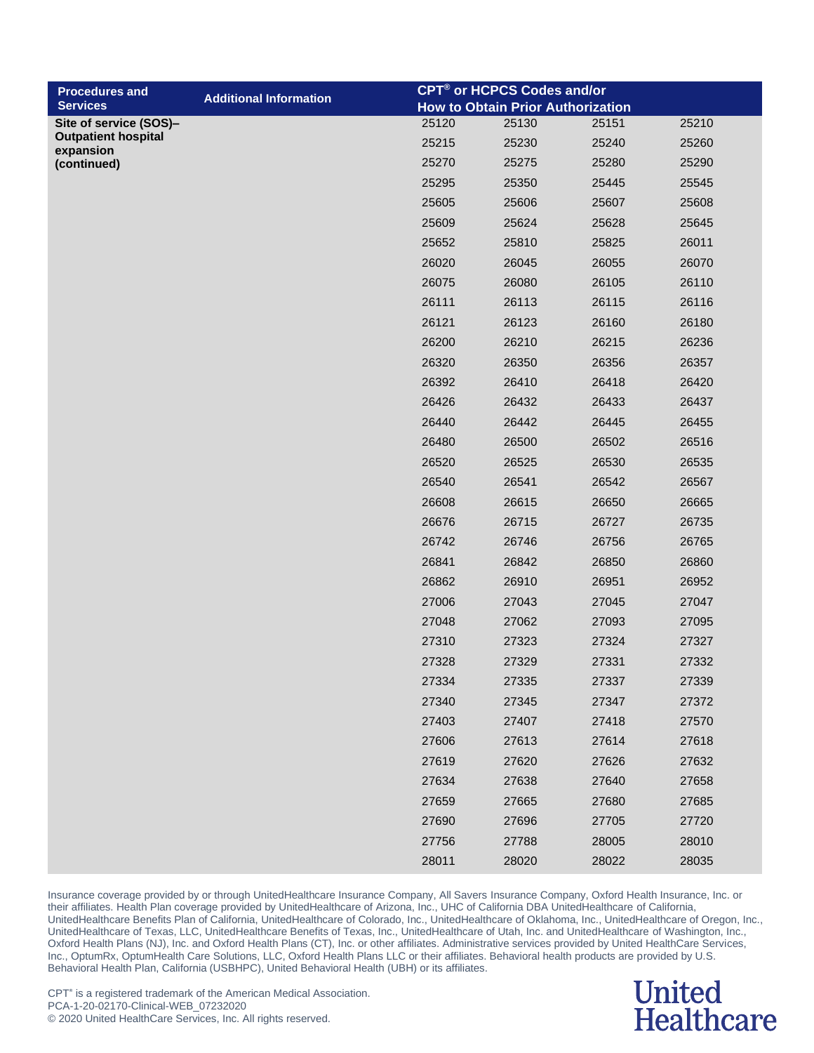| <b>Procedures and</b>                                | <b>Additional Information</b> |       | <b>CPT<sup>®</sup> or HCPCS Codes and/or</b> |       |       |
|------------------------------------------------------|-------------------------------|-------|----------------------------------------------|-------|-------|
| <b>Services</b>                                      |                               |       | <b>How to Obtain Prior Authorization</b>     |       |       |
| Site of service (SOS)-<br><b>Outpatient hospital</b> |                               | 25120 | 25130                                        | 25151 | 25210 |
| expansion                                            |                               | 25215 | 25230                                        | 25240 | 25260 |
| (continued)                                          |                               | 25270 | 25275                                        | 25280 | 25290 |
|                                                      |                               | 25295 | 25350                                        | 25445 | 25545 |
|                                                      |                               | 25605 | 25606                                        | 25607 | 25608 |
|                                                      |                               | 25609 | 25624                                        | 25628 | 25645 |
|                                                      |                               | 25652 | 25810                                        | 25825 | 26011 |
|                                                      |                               | 26020 | 26045                                        | 26055 | 26070 |
|                                                      |                               | 26075 | 26080                                        | 26105 | 26110 |
|                                                      |                               | 26111 | 26113                                        | 26115 | 26116 |
|                                                      |                               | 26121 | 26123                                        | 26160 | 26180 |
|                                                      |                               | 26200 | 26210                                        | 26215 | 26236 |
|                                                      |                               | 26320 | 26350                                        | 26356 | 26357 |
|                                                      |                               | 26392 | 26410                                        | 26418 | 26420 |
|                                                      |                               | 26426 | 26432                                        | 26433 | 26437 |
|                                                      |                               | 26440 | 26442                                        | 26445 | 26455 |
|                                                      |                               | 26480 | 26500                                        | 26502 | 26516 |
|                                                      |                               | 26520 | 26525                                        | 26530 | 26535 |
|                                                      |                               | 26540 | 26541                                        | 26542 | 26567 |
|                                                      |                               | 26608 | 26615                                        | 26650 | 26665 |
|                                                      |                               | 26676 | 26715                                        | 26727 | 26735 |
|                                                      |                               | 26742 | 26746                                        | 26756 | 26765 |
|                                                      |                               | 26841 | 26842                                        | 26850 | 26860 |
|                                                      |                               | 26862 | 26910                                        | 26951 | 26952 |
|                                                      |                               | 27006 | 27043                                        | 27045 | 27047 |
|                                                      |                               | 27048 | 27062                                        | 27093 | 27095 |
|                                                      |                               | 27310 | 27323                                        | 27324 | 27327 |
|                                                      |                               | 27328 | 27329                                        | 27331 | 27332 |
|                                                      |                               | 27334 | 27335                                        | 27337 | 27339 |
|                                                      |                               | 27340 | 27345                                        | 27347 | 27372 |
|                                                      |                               | 27403 | 27407                                        | 27418 | 27570 |
|                                                      |                               | 27606 | 27613                                        | 27614 | 27618 |
|                                                      |                               | 27619 | 27620                                        | 27626 | 27632 |
|                                                      |                               | 27634 | 27638                                        | 27640 | 27658 |
|                                                      |                               | 27659 | 27665                                        | 27680 | 27685 |
|                                                      |                               | 27690 | 27696                                        | 27705 | 27720 |
|                                                      |                               | 27756 | 27788                                        | 28005 | 28010 |
|                                                      |                               | 28011 | 28020                                        | 28022 | 28035 |

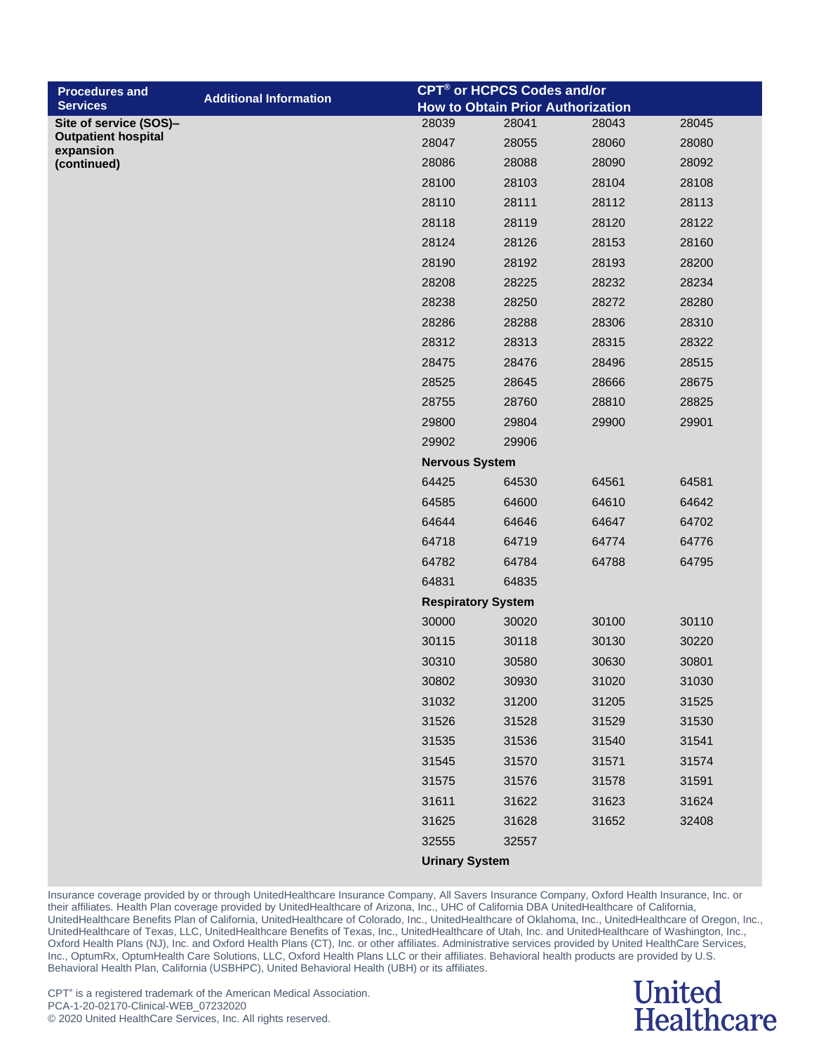| <b>Procedures and</b>                   |                               |                           | CPT <sup>®</sup> or HCPCS Codes and/or   |       |       |
|-----------------------------------------|-------------------------------|---------------------------|------------------------------------------|-------|-------|
| <b>Services</b>                         | <b>Additional Information</b> |                           | <b>How to Obtain Prior Authorization</b> |       |       |
| Site of service (SOS)-                  |                               | 28039                     | 28041                                    | 28043 | 28045 |
| <b>Outpatient hospital</b><br>expansion |                               | 28047                     | 28055                                    | 28060 | 28080 |
| (continued)                             |                               | 28086                     | 28088                                    | 28090 | 28092 |
|                                         |                               | 28100                     | 28103                                    | 28104 | 28108 |
|                                         |                               | 28110                     | 28111                                    | 28112 | 28113 |
|                                         |                               | 28118                     | 28119                                    | 28120 | 28122 |
|                                         |                               | 28124                     | 28126                                    | 28153 | 28160 |
|                                         |                               | 28190                     | 28192                                    | 28193 | 28200 |
|                                         |                               | 28208                     | 28225                                    | 28232 | 28234 |
|                                         |                               | 28238                     | 28250                                    | 28272 | 28280 |
|                                         |                               | 28286                     | 28288                                    | 28306 | 28310 |
|                                         |                               | 28312                     | 28313                                    | 28315 | 28322 |
|                                         |                               | 28475                     | 28476                                    | 28496 | 28515 |
|                                         |                               | 28525                     | 28645                                    | 28666 | 28675 |
|                                         |                               | 28755                     | 28760                                    | 28810 | 28825 |
|                                         |                               | 29800                     | 29804                                    | 29900 | 29901 |
|                                         |                               | 29902                     | 29906                                    |       |       |
|                                         |                               | <b>Nervous System</b>     |                                          |       |       |
|                                         |                               | 64425                     | 64530                                    | 64561 | 64581 |
|                                         |                               | 64585                     | 64600                                    | 64610 | 64642 |
|                                         |                               | 64644                     | 64646                                    | 64647 | 64702 |
|                                         |                               | 64718                     | 64719                                    | 64774 | 64776 |
|                                         |                               | 64782                     | 64784                                    | 64788 | 64795 |
|                                         |                               | 64831                     | 64835                                    |       |       |
|                                         |                               | <b>Respiratory System</b> |                                          |       |       |
|                                         |                               | 30000                     | 30020                                    | 30100 | 30110 |
|                                         |                               | 30115                     | 30118                                    | 30130 | 30220 |
|                                         |                               | 30310                     | 30580                                    | 30630 | 30801 |
|                                         |                               | 30802                     | 30930                                    | 31020 | 31030 |
|                                         |                               | 31032                     | 31200                                    | 31205 | 31525 |
|                                         |                               | 31526                     | 31528                                    | 31529 | 31530 |
|                                         |                               | 31535                     | 31536                                    | 31540 | 31541 |
|                                         |                               | 31545                     | 31570                                    | 31571 | 31574 |
|                                         |                               | 31575                     | 31576                                    | 31578 | 31591 |
|                                         |                               | 31611                     | 31622                                    | 31623 | 31624 |
|                                         |                               | 31625                     | 31628                                    | 31652 | 32408 |
|                                         |                               | 32555                     | 32557                                    |       |       |
|                                         |                               | <b>Urinary System</b>     |                                          |       |       |

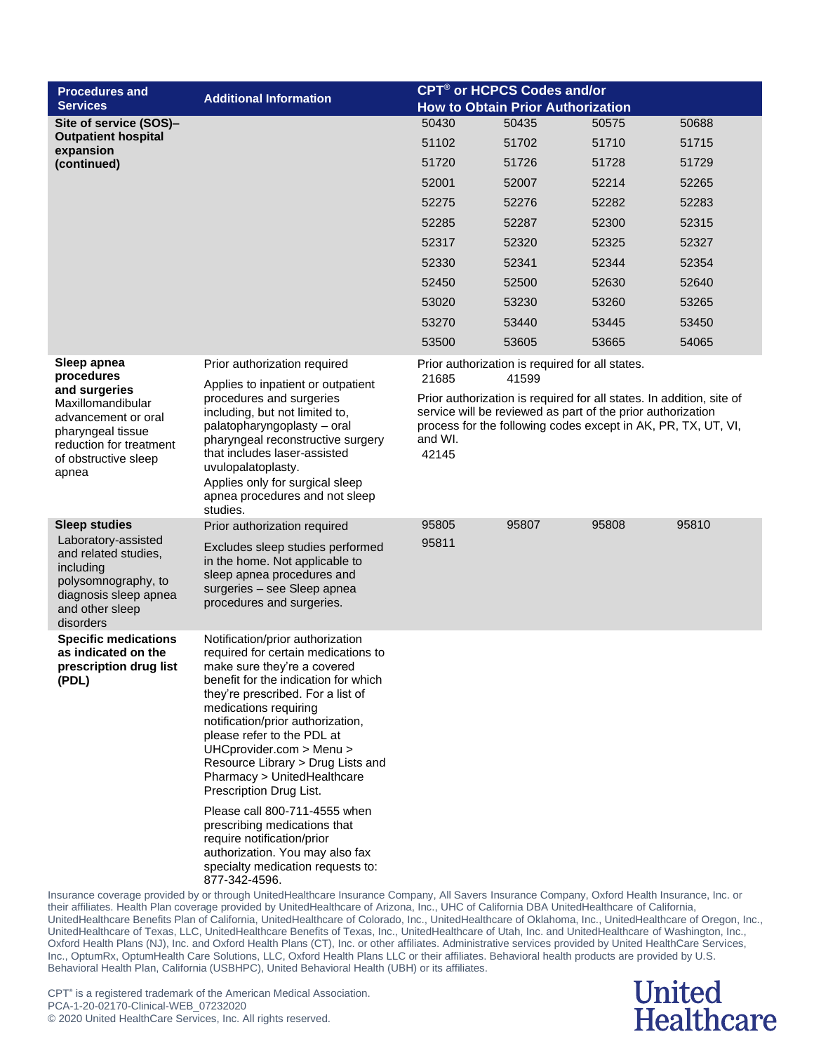| <b>Procedures and</b>                                                                                                                      | <b>Additional Information</b>                                                                                                                                                                                                                                                                                                                                                                                                               |                                                                                                                                                                                                                          | <b>CPT<sup>®</sup> or HCPCS Codes and/or</b> |       |       |  |
|--------------------------------------------------------------------------------------------------------------------------------------------|---------------------------------------------------------------------------------------------------------------------------------------------------------------------------------------------------------------------------------------------------------------------------------------------------------------------------------------------------------------------------------------------------------------------------------------------|--------------------------------------------------------------------------------------------------------------------------------------------------------------------------------------------------------------------------|----------------------------------------------|-------|-------|--|
| <b>Services</b>                                                                                                                            |                                                                                                                                                                                                                                                                                                                                                                                                                                             |                                                                                                                                                                                                                          | <b>How to Obtain Prior Authorization</b>     |       |       |  |
| Site of service (SOS)-                                                                                                                     |                                                                                                                                                                                                                                                                                                                                                                                                                                             | 50430                                                                                                                                                                                                                    | 50435                                        | 50575 | 50688 |  |
| <b>Outpatient hospital</b><br>expansion                                                                                                    |                                                                                                                                                                                                                                                                                                                                                                                                                                             | 51102                                                                                                                                                                                                                    | 51702                                        | 51710 | 51715 |  |
| (continued)                                                                                                                                |                                                                                                                                                                                                                                                                                                                                                                                                                                             | 51720                                                                                                                                                                                                                    | 51726                                        | 51728 | 51729 |  |
|                                                                                                                                            |                                                                                                                                                                                                                                                                                                                                                                                                                                             | 52001                                                                                                                                                                                                                    | 52007                                        | 52214 | 52265 |  |
|                                                                                                                                            |                                                                                                                                                                                                                                                                                                                                                                                                                                             | 52275                                                                                                                                                                                                                    | 52276                                        | 52282 | 52283 |  |
|                                                                                                                                            |                                                                                                                                                                                                                                                                                                                                                                                                                                             | 52285                                                                                                                                                                                                                    | 52287                                        | 52300 | 52315 |  |
|                                                                                                                                            |                                                                                                                                                                                                                                                                                                                                                                                                                                             | 52317                                                                                                                                                                                                                    | 52320                                        | 52325 | 52327 |  |
|                                                                                                                                            |                                                                                                                                                                                                                                                                                                                                                                                                                                             | 52330                                                                                                                                                                                                                    | 52341                                        | 52344 | 52354 |  |
|                                                                                                                                            |                                                                                                                                                                                                                                                                                                                                                                                                                                             | 52450                                                                                                                                                                                                                    | 52500                                        | 52630 | 52640 |  |
|                                                                                                                                            |                                                                                                                                                                                                                                                                                                                                                                                                                                             | 53020                                                                                                                                                                                                                    | 53230                                        | 53260 | 53265 |  |
|                                                                                                                                            |                                                                                                                                                                                                                                                                                                                                                                                                                                             | 53270                                                                                                                                                                                                                    | 53440                                        | 53445 | 53450 |  |
|                                                                                                                                            |                                                                                                                                                                                                                                                                                                                                                                                                                                             | 53500                                                                                                                                                                                                                    | 53605                                        | 53665 | 54065 |  |
| Sleep apnea<br>procedures                                                                                                                  | Prior authorization required                                                                                                                                                                                                                                                                                                                                                                                                                | Prior authorization is required for all states.<br>21685<br>41599                                                                                                                                                        |                                              |       |       |  |
| and surgeries<br>Maxillomandibular<br>advancement or oral<br>pharyngeal tissue<br>reduction for treatment<br>of obstructive sleep<br>apnea | Applies to inpatient or outpatient<br>procedures and surgeries<br>including, but not limited to,<br>palatopharyngoplasty - oral<br>pharyngeal reconstructive surgery<br>that includes laser-assisted<br>uvulopalatoplasty.<br>Applies only for surgical sleep<br>apnea procedures and not sleep<br>studies.                                                                                                                                 | Prior authorization is required for all states. In addition, site of<br>service will be reviewed as part of the prior authorization<br>process for the following codes except in AK, PR, TX, UT, VI,<br>and WI.<br>42145 |                                              |       |       |  |
| <b>Sleep studies</b>                                                                                                                       | Prior authorization required                                                                                                                                                                                                                                                                                                                                                                                                                | 95805                                                                                                                                                                                                                    | 95807                                        | 95808 | 95810 |  |
| Laboratory-assisted<br>and related studies,<br>including<br>polysomnography, to<br>diagnosis sleep apnea<br>and other sleep<br>disorders   | Excludes sleep studies performed<br>in the home. Not applicable to<br>sleep apnea procedures and<br>surgeries - see Sleep apnea<br>procedures and surgeries.                                                                                                                                                                                                                                                                                | 95811                                                                                                                                                                                                                    |                                              |       |       |  |
| <b>Specific medications</b><br>as indicated on the<br>prescription drug list<br>(PDL)                                                      | Notification/prior authorization<br>required for certain medications to<br>make sure they're a covered<br>benefit for the indication for which<br>they're prescribed. For a list of<br>medications requiring<br>notification/prior authorization,<br>please refer to the PDL at<br>UHCprovider.com > Menu ><br>Resource Library > Drug Lists and<br>Pharmacy > UnitedHealthcare<br>Prescription Drug List.<br>Please call 800-711-4555 when |                                                                                                                                                                                                                          |                                              |       |       |  |
|                                                                                                                                            | prescribing medications that<br>require notification/prior<br>authorization. You may also fax<br>specialty medication requests to:<br>877-342-4596.                                                                                                                                                                                                                                                                                         |                                                                                                                                                                                                                          |                                              |       |       |  |
|                                                                                                                                            | Insurance coverage provided by or through UnitedHealthcare Insurance Company, All Savers Insurance Company, Oxford Health Insurance, Inc. or<br>their affiliates. Health Plan coverage provided by UnitedHealthcare of Arizona, Inc., UHC of California DBA UnitedHealthcare of California,                                                                                                                                                 |                                                                                                                                                                                                                          |                                              |       |       |  |

UnitedHealthcare Benefits Plan of California, UnitedHealthcare of Colorado, Inc., UnitedHealthcare of Oklahoma, Inc., UnitedHealthcare of Oregon, Inc., UnitedHealthcare of Texas, LLC, UnitedHealthcare Benefits of Texas, Inc., UnitedHealthcare of Utah, Inc. and UnitedHealthcare of Washington, Inc., Oxford Health Plans (NJ), Inc. and Oxford Health Plans (CT), Inc. or other affiliates. Administrative services provided by United HealthCare Services, Inc., OptumRx, OptumHealth Care Solutions, LLC, Oxford Health Plans LLC or their affiliates. Behavioral health products are provided by U.S. Behavioral Health Plan, California (USBHPC), United Behavioral Health (UBH) or its affiliates.

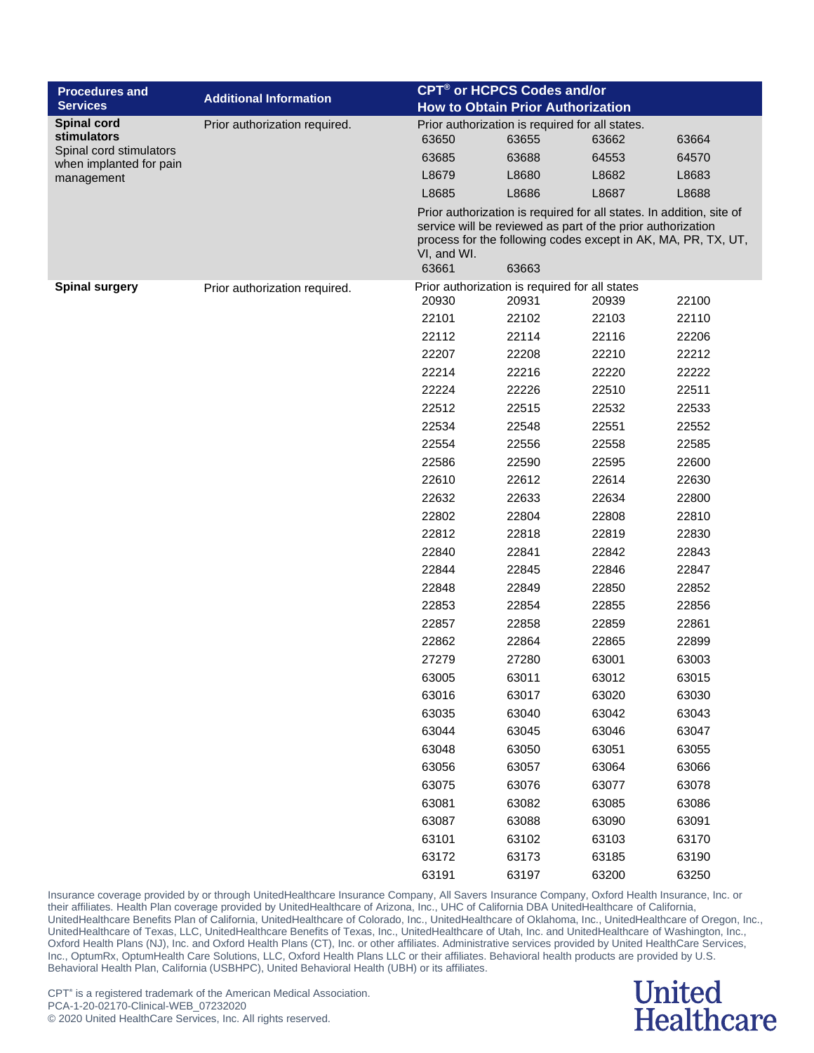| <b>Procedures and</b>                                                           |                               |                                          | CPT® or HCPCS Codes and/or                                                                                                   |       |       |  |
|---------------------------------------------------------------------------------|-------------------------------|------------------------------------------|------------------------------------------------------------------------------------------------------------------------------|-------|-------|--|
| <b>Services</b>                                                                 | <b>Additional Information</b> | <b>How to Obtain Prior Authorization</b> |                                                                                                                              |       |       |  |
| <b>Spinal cord</b>                                                              | Prior authorization required. |                                          | Prior authorization is required for all states.                                                                              |       |       |  |
| stimulators<br>Spinal cord stimulators<br>when implanted for pain<br>management |                               | 63650                                    | 63655                                                                                                                        | 63662 | 63664 |  |
|                                                                                 |                               | 63685                                    | 63688                                                                                                                        | 64553 | 64570 |  |
|                                                                                 |                               | L8679                                    | L8680                                                                                                                        | L8682 | L8683 |  |
|                                                                                 |                               | L8685                                    | L8686                                                                                                                        | L8687 | L8688 |  |
|                                                                                 |                               |                                          | Prior authorization is required for all states. In addition, site of                                                         |       |       |  |
|                                                                                 |                               |                                          | service will be reviewed as part of the prior authorization<br>process for the following codes except in AK, MA, PR, TX, UT, |       |       |  |
|                                                                                 |                               | VI, and WI.                              |                                                                                                                              |       |       |  |
|                                                                                 |                               | 63661                                    | 63663                                                                                                                        |       |       |  |
| <b>Spinal surgery</b>                                                           | Prior authorization required. |                                          | Prior authorization is required for all states                                                                               |       |       |  |
|                                                                                 |                               | 20930                                    | 20931                                                                                                                        | 20939 | 22100 |  |
|                                                                                 |                               | 22101                                    | 22102                                                                                                                        | 22103 | 22110 |  |
|                                                                                 |                               | 22112                                    | 22114                                                                                                                        | 22116 | 22206 |  |
|                                                                                 |                               | 22207                                    | 22208                                                                                                                        | 22210 | 22212 |  |
|                                                                                 |                               | 22214                                    | 22216                                                                                                                        | 22220 | 22222 |  |
|                                                                                 |                               | 22224                                    | 22226                                                                                                                        | 22510 | 22511 |  |
|                                                                                 |                               | 22512                                    | 22515                                                                                                                        | 22532 | 22533 |  |
|                                                                                 |                               | 22534                                    | 22548                                                                                                                        | 22551 | 22552 |  |
|                                                                                 |                               | 22554                                    | 22556                                                                                                                        | 22558 | 22585 |  |
|                                                                                 |                               | 22586                                    | 22590                                                                                                                        | 22595 | 22600 |  |
|                                                                                 |                               | 22610                                    | 22612                                                                                                                        | 22614 | 22630 |  |
|                                                                                 |                               | 22632                                    | 22633                                                                                                                        | 22634 | 22800 |  |
|                                                                                 |                               | 22802                                    | 22804                                                                                                                        | 22808 | 22810 |  |
|                                                                                 |                               | 22812                                    | 22818                                                                                                                        | 22819 | 22830 |  |
|                                                                                 |                               | 22840                                    | 22841                                                                                                                        | 22842 | 22843 |  |
|                                                                                 |                               | 22844                                    | 22845                                                                                                                        | 22846 | 22847 |  |
|                                                                                 |                               | 22848                                    | 22849                                                                                                                        | 22850 | 22852 |  |
|                                                                                 |                               | 22853                                    | 22854                                                                                                                        | 22855 | 22856 |  |
|                                                                                 |                               | 22857                                    | 22858                                                                                                                        | 22859 | 22861 |  |
|                                                                                 |                               | 22862                                    | 22864                                                                                                                        | 22865 | 22899 |  |
|                                                                                 |                               | 27279                                    | 27280                                                                                                                        | 63001 | 63003 |  |
|                                                                                 |                               | 63005                                    | 63011                                                                                                                        | 63012 | 63015 |  |
|                                                                                 |                               | 63016                                    | 63017                                                                                                                        | 63020 | 63030 |  |
|                                                                                 |                               | 63035                                    | 63040                                                                                                                        | 63042 | 63043 |  |
|                                                                                 |                               | 63044                                    | 63045                                                                                                                        | 63046 | 63047 |  |
|                                                                                 |                               | 63048                                    | 63050                                                                                                                        | 63051 | 63055 |  |
|                                                                                 |                               | 63056                                    | 63057                                                                                                                        | 63064 | 63066 |  |
|                                                                                 |                               | 63075                                    | 63076                                                                                                                        | 63077 | 63078 |  |
|                                                                                 |                               | 63081                                    | 63082                                                                                                                        | 63085 | 63086 |  |
|                                                                                 |                               | 63087                                    | 63088                                                                                                                        | 63090 | 63091 |  |
|                                                                                 |                               | 63101                                    | 63102                                                                                                                        | 63103 | 63170 |  |
|                                                                                 |                               | 63172                                    | 63173                                                                                                                        | 63185 | 63190 |  |
|                                                                                 |                               | 63191                                    | 63197                                                                                                                        | 63200 | 63250 |  |

### **United Healthcare**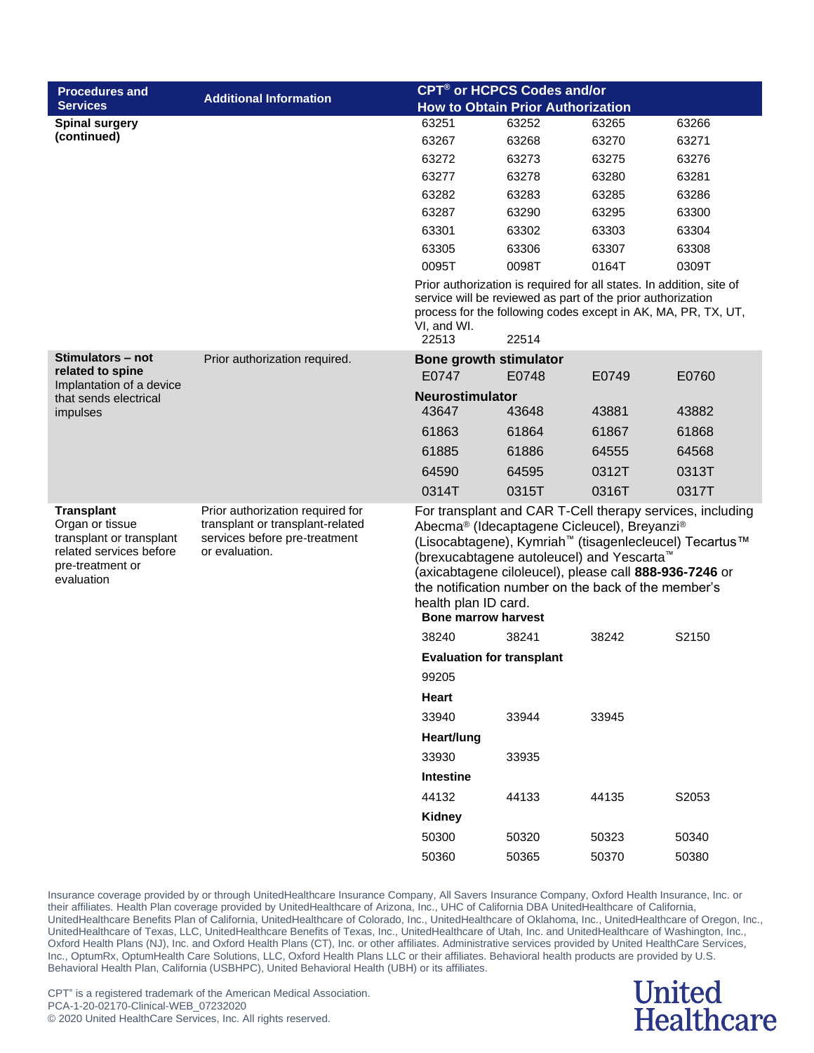| <b>Procedures and</b>                                                                                                         |                                                                                                                         |                                                    | <b>CPT<sup>®</sup> or HCPCS Codes and/or</b>                                                                                                                                                                                                                                                |       |                                                           |
|-------------------------------------------------------------------------------------------------------------------------------|-------------------------------------------------------------------------------------------------------------------------|----------------------------------------------------|---------------------------------------------------------------------------------------------------------------------------------------------------------------------------------------------------------------------------------------------------------------------------------------------|-------|-----------------------------------------------------------|
| <b>Services</b>                                                                                                               | <b>Additional Information</b>                                                                                           |                                                    | <b>How to Obtain Prior Authorization</b>                                                                                                                                                                                                                                                    |       |                                                           |
| <b>Spinal surgery</b>                                                                                                         |                                                                                                                         | 63251                                              | 63252                                                                                                                                                                                                                                                                                       | 63265 | 63266                                                     |
| (continued)                                                                                                                   |                                                                                                                         | 63267                                              | 63268                                                                                                                                                                                                                                                                                       | 63270 | 63271                                                     |
|                                                                                                                               |                                                                                                                         | 63272                                              | 63273                                                                                                                                                                                                                                                                                       | 63275 | 63276                                                     |
|                                                                                                                               |                                                                                                                         | 63277                                              | 63278                                                                                                                                                                                                                                                                                       | 63280 | 63281                                                     |
|                                                                                                                               |                                                                                                                         | 63282                                              | 63283                                                                                                                                                                                                                                                                                       | 63285 | 63286                                                     |
|                                                                                                                               |                                                                                                                         | 63287                                              | 63290                                                                                                                                                                                                                                                                                       | 63295 | 63300                                                     |
|                                                                                                                               |                                                                                                                         | 63301                                              | 63302                                                                                                                                                                                                                                                                                       | 63303 | 63304                                                     |
|                                                                                                                               |                                                                                                                         | 63305                                              | 63306                                                                                                                                                                                                                                                                                       | 63307 | 63308                                                     |
|                                                                                                                               |                                                                                                                         | 0095T                                              | 0098T                                                                                                                                                                                                                                                                                       | 0164T | 0309T                                                     |
|                                                                                                                               |                                                                                                                         | VI, and WI.<br>22513                               | Prior authorization is required for all states. In addition, site of<br>service will be reviewed as part of the prior authorization<br>process for the following codes except in AK, MA, PR, TX, UT,<br>22514                                                                               |       |                                                           |
| Stimulators – not                                                                                                             | Prior authorization required.                                                                                           | <b>Bone growth stimulator</b>                      |                                                                                                                                                                                                                                                                                             |       |                                                           |
| related to spine<br>Implantation of a device                                                                                  |                                                                                                                         | E0747                                              | E0748                                                                                                                                                                                                                                                                                       | E0749 | E0760                                                     |
| that sends electrical                                                                                                         |                                                                                                                         | Neurostimulator                                    |                                                                                                                                                                                                                                                                                             |       |                                                           |
| impulses                                                                                                                      |                                                                                                                         | 43647                                              | 43648                                                                                                                                                                                                                                                                                       | 43881 | 43882                                                     |
|                                                                                                                               |                                                                                                                         | 61863                                              | 61864                                                                                                                                                                                                                                                                                       | 61867 | 61868                                                     |
|                                                                                                                               |                                                                                                                         | 61885                                              | 61886                                                                                                                                                                                                                                                                                       | 64555 | 64568                                                     |
|                                                                                                                               |                                                                                                                         | 64590                                              | 64595                                                                                                                                                                                                                                                                                       | 0312T | 0313T                                                     |
|                                                                                                                               |                                                                                                                         | 0314T                                              | 0315T                                                                                                                                                                                                                                                                                       | 0316T | 0317T                                                     |
| <b>Transplant</b><br>Organ or tissue<br>transplant or transplant<br>related services before<br>pre-treatment or<br>evaluation | Prior authorization required for<br>transplant or transplant-related<br>services before pre-treatment<br>or evaluation. | health plan ID card.<br><b>Bone marrow harvest</b> | Abecma® (Idecaptagene Cicleucel), Breyanzi®<br>(Lisocabtagene), Kymriah <sup>™</sup> (tisagenlecleucel) Tecartus™<br>(brexucabtagene autoleucel) and Yescarta <sup>™</sup><br>(axicabtagene ciloleucel), please call 888-936-7246 or<br>the notification number on the back of the member's |       | For transplant and CAR T-Cell therapy services, including |
|                                                                                                                               |                                                                                                                         | 38240                                              | 38241                                                                                                                                                                                                                                                                                       | 38242 | S2150                                                     |
|                                                                                                                               |                                                                                                                         | <b>Evaluation for transplant</b>                   |                                                                                                                                                                                                                                                                                             |       |                                                           |
|                                                                                                                               |                                                                                                                         | 99205                                              |                                                                                                                                                                                                                                                                                             |       |                                                           |
|                                                                                                                               |                                                                                                                         | Heart                                              |                                                                                                                                                                                                                                                                                             |       |                                                           |
|                                                                                                                               |                                                                                                                         |                                                    |                                                                                                                                                                                                                                                                                             |       |                                                           |
|                                                                                                                               |                                                                                                                         | 33940                                              | 33944                                                                                                                                                                                                                                                                                       | 33945 |                                                           |
|                                                                                                                               |                                                                                                                         | Heart/lung                                         |                                                                                                                                                                                                                                                                                             |       |                                                           |
|                                                                                                                               |                                                                                                                         | 33930                                              | 33935                                                                                                                                                                                                                                                                                       |       |                                                           |
|                                                                                                                               |                                                                                                                         | Intestine                                          |                                                                                                                                                                                                                                                                                             |       |                                                           |
|                                                                                                                               |                                                                                                                         | 44132                                              | 44133                                                                                                                                                                                                                                                                                       | 44135 | S2053                                                     |
|                                                                                                                               |                                                                                                                         | <b>Kidney</b>                                      |                                                                                                                                                                                                                                                                                             |       |                                                           |
|                                                                                                                               |                                                                                                                         | 50300                                              | 50320                                                                                                                                                                                                                                                                                       | 50323 | 50340                                                     |
|                                                                                                                               |                                                                                                                         | 50360                                              | 50365                                                                                                                                                                                                                                                                                       | 50370 | 50380                                                     |

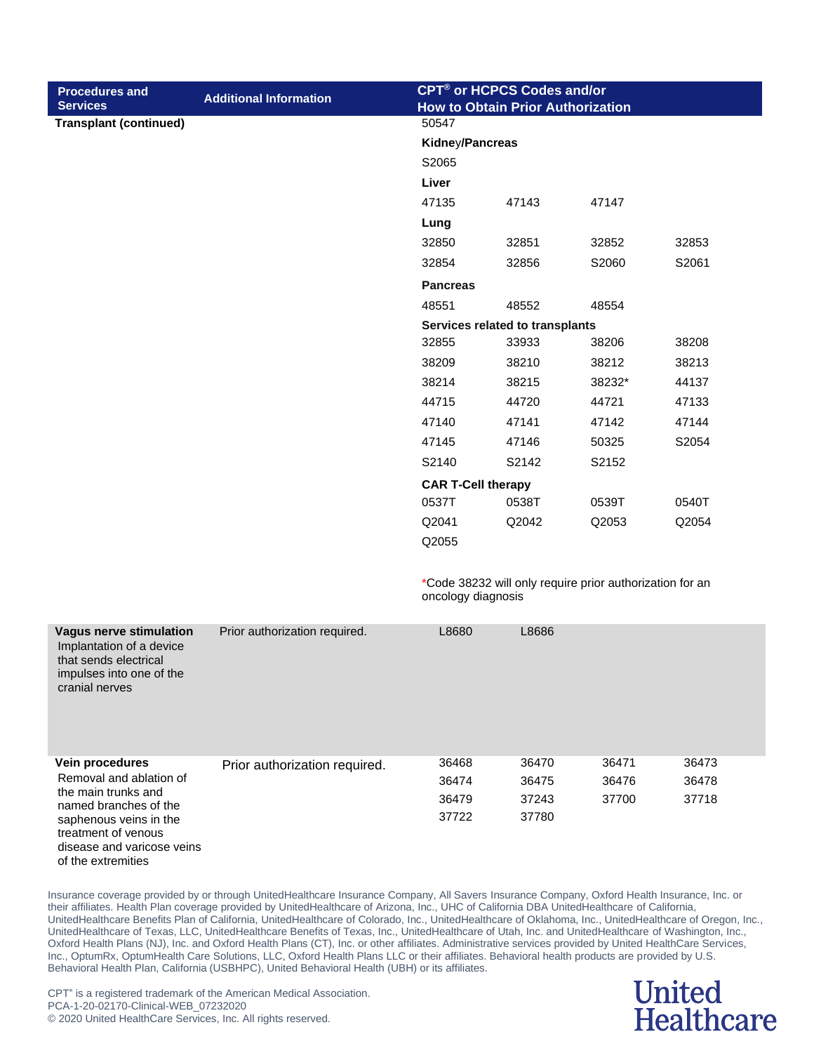|                               | 50547<br>Kidney/Pancreas<br>S2065<br>Liver<br>47135<br>Lung | 47143          | 47147                                                    |                                                                                             |
|-------------------------------|-------------------------------------------------------------|----------------|----------------------------------------------------------|---------------------------------------------------------------------------------------------|
|                               |                                                             |                |                                                          |                                                                                             |
|                               |                                                             |                |                                                          |                                                                                             |
|                               |                                                             |                |                                                          |                                                                                             |
|                               |                                                             |                |                                                          |                                                                                             |
|                               |                                                             |                |                                                          |                                                                                             |
|                               |                                                             |                |                                                          |                                                                                             |
|                               |                                                             | 32851          | 32852                                                    | 32853                                                                                       |
|                               | 32854                                                       | 32856          | S2060                                                    | S2061                                                                                       |
|                               | <b>Pancreas</b>                                             |                |                                                          |                                                                                             |
|                               | 48551                                                       | 48552          | 48554                                                    |                                                                                             |
|                               |                                                             |                |                                                          |                                                                                             |
|                               | 32855                                                       | 33933          | 38206                                                    | 38208                                                                                       |
|                               | 38209                                                       | 38210          | 38212                                                    | 38213                                                                                       |
|                               | 38214                                                       | 38215          | 38232*                                                   | 44137                                                                                       |
|                               | 44715                                                       | 44720          | 44721                                                    | 47133                                                                                       |
|                               | 47140                                                       | 47141          | 47142                                                    | 47144                                                                                       |
|                               | 47145                                                       | 47146          | 50325                                                    | S2054                                                                                       |
|                               | S2140                                                       | S2142          | S2152                                                    |                                                                                             |
|                               |                                                             |                |                                                          |                                                                                             |
|                               | 0537T                                                       | 0538T          | 0539T                                                    | 0540T                                                                                       |
|                               | Q2041                                                       | Q2042          | Q2053                                                    | Q2054                                                                                       |
|                               | Q2055                                                       |                |                                                          |                                                                                             |
|                               |                                                             |                |                                                          |                                                                                             |
| Prior authorization required. | L8680                                                       | L8686          |                                                          |                                                                                             |
| Prior authorization required. | 36468                                                       | 36470          | 36471                                                    | 36473                                                                                       |
|                               | 36474                                                       | 36475          | 36476                                                    | 36478                                                                                       |
|                               | 36479                                                       | 37243          | 37700                                                    | 37718                                                                                       |
|                               |                                                             |                |                                                          |                                                                                             |
|                               |                                                             | 32850<br>37722 | <b>CAR T-Cell therapy</b><br>oncology diagnosis<br>37780 | Services related to transplants<br>*Code 38232 will only require prior authorization for an |

#### **United Healthcare**